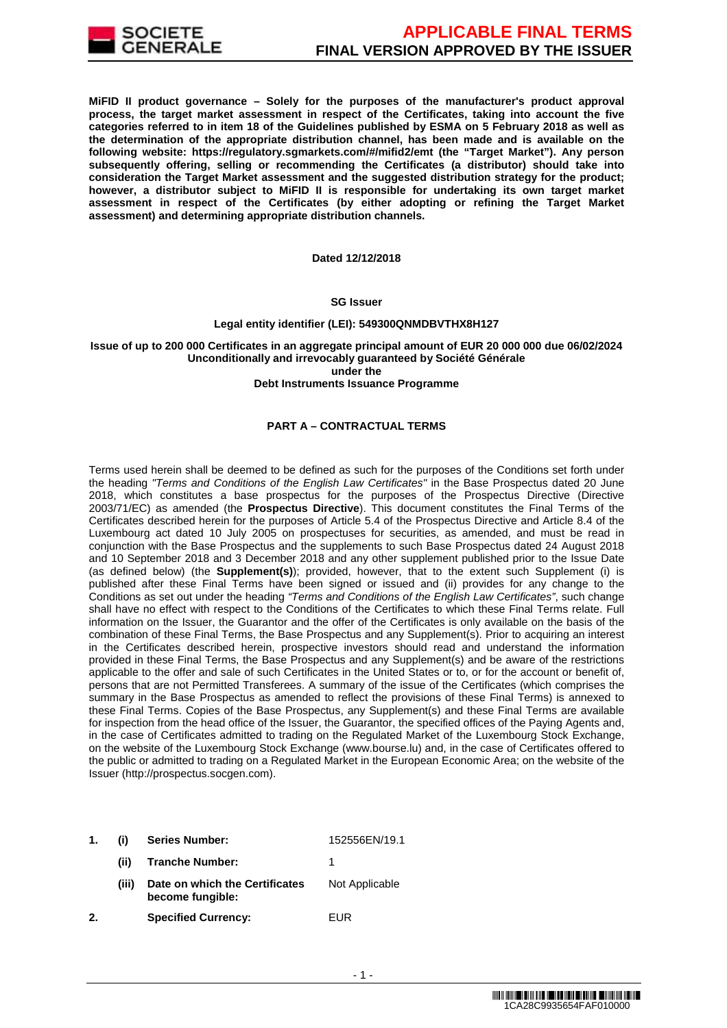

**MiFID II product governance – Solely for the purposes of the manufacturer's product approval process, the target market assessment in respect of the Certificates, taking into account the five categories referred to in item 18 of the Guidelines published by ESMA on 5 February 2018 as well as the determination of the appropriate distribution channel, has been made and is available on the following website: https://regulatory.sgmarkets.com/#/mifid2/emt (the "Target Market"). Any person subsequently offering, selling or recommending the Certificates (a distributor) should take into consideration the Target Market assessment and the suggested distribution strategy for the product; however, a distributor subject to MiFID II is responsible for undertaking its own target market assessment in respect of the Certificates (by either adopting or refining the Target Market assessment) and determining appropriate distribution channels.**

#### **Dated 12/12/2018**

#### **SG Issuer**

#### **Legal entity identifier (LEI): 549300QNMDBVTHX8H127**

### **Issue of up to 200 000 Certificates in an aggregate principal amount of EUR 20 000 000 due 06/02/2024 Unconditionally and irrevocably guaranteed by Société Générale under the**

#### **Debt Instruments Issuance Programme**

### **PART A – CONTRACTUAL TERMS**

Terms used herein shall be deemed to be defined as such for the purposes of the Conditions set forth under the heading "Terms and Conditions of the English Law Certificates" in the Base Prospectus dated 20 June 2018, which constitutes a base prospectus for the purposes of the Prospectus Directive (Directive 2003/71/EC) as amended (the **Prospectus Directive**). This document constitutes the Final Terms of the Certificates described herein for the purposes of Article 5.4 of the Prospectus Directive and Article 8.4 of the Luxembourg act dated 10 July 2005 on prospectuses for securities, as amended, and must be read in conjunction with the Base Prospectus and the supplements to such Base Prospectus dated 24 August 2018 and 10 September 2018 and 3 December 2018 and any other supplement published prior to the Issue Date (as defined below) (the **Supplement(s)**); provided, however, that to the extent such Supplement (i) is published after these Final Terms have been signed or issued and (ii) provides for any change to the Conditions as set out under the heading "Terms and Conditions of the English Law Certificates", such change shall have no effect with respect to the Conditions of the Certificates to which these Final Terms relate. Full information on the Issuer, the Guarantor and the offer of the Certificates is only available on the basis of the combination of these Final Terms, the Base Prospectus and any Supplement(s). Prior to acquiring an interest in the Certificates described herein, prospective investors should read and understand the information provided in these Final Terms, the Base Prospectus and any Supplement(s) and be aware of the restrictions applicable to the offer and sale of such Certificates in the United States or to, or for the account or benefit of, persons that are not Permitted Transferees. A summary of the issue of the Certificates (which comprises the summary in the Base Prospectus as amended to reflect the provisions of these Final Terms) is annexed to these Final Terms. Copies of the Base Prospectus, any Supplement(s) and these Final Terms are available for inspection from the head office of the Issuer, the Guarantor, the specified offices of the Paying Agents and, in the case of Certificates admitted to trading on the Regulated Market of the Luxembourg Stock Exchange, on the website of the Luxembourg Stock Exchange (www.bourse.lu) and, in the case of Certificates offered to the public or admitted to trading on a Regulated Market in the European Economic Area; on the website of the Issuer (http://prospectus.socgen.com).

| 1. | (i)   | <b>Series Number:</b>                              | 152556EN/19.1  |
|----|-------|----------------------------------------------------|----------------|
|    | (ii)  | <b>Tranche Number:</b>                             |                |
|    | (iii) | Date on which the Certificates<br>become fungible: | Not Applicable |
| 2. |       | <b>Specified Currency:</b>                         | EUR            |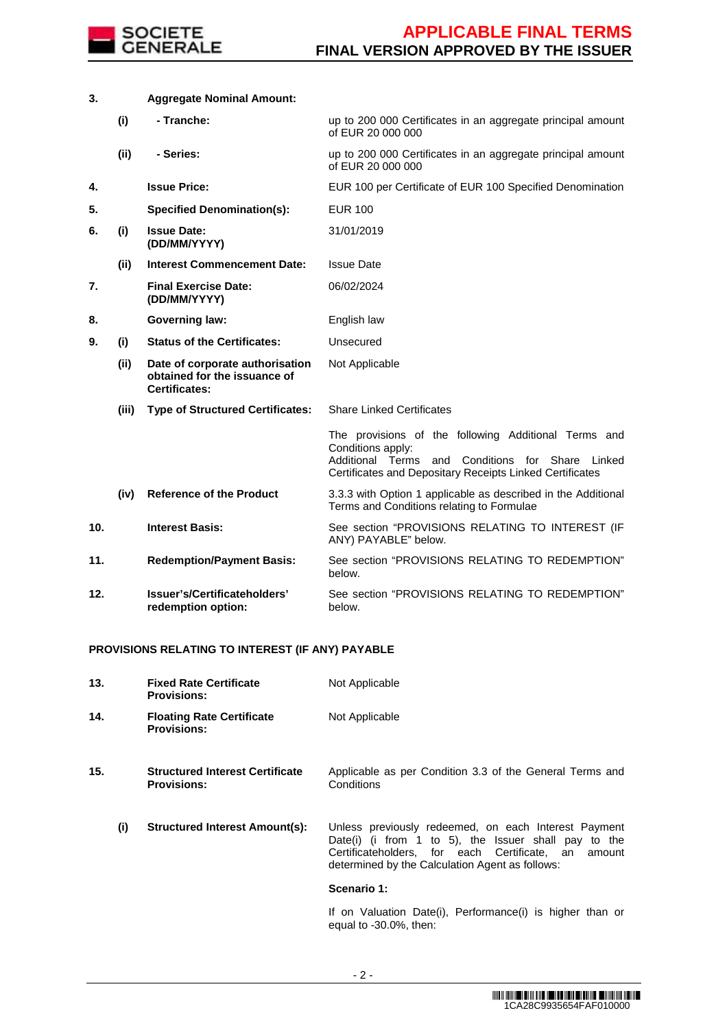

| 3.  |       | <b>Aggregate Nominal Amount:</b>                                                        |                                                                                                                                                                                              |
|-----|-------|-----------------------------------------------------------------------------------------|----------------------------------------------------------------------------------------------------------------------------------------------------------------------------------------------|
|     | (i)   | - Tranche:                                                                              | up to 200 000 Certificates in an aggregate principal amount<br>of EUR 20 000 000                                                                                                             |
|     | (ii)  | - Series:                                                                               | up to 200 000 Certificates in an aggregate principal amount<br>of EUR 20 000 000                                                                                                             |
| 4.  |       | <b>Issue Price:</b>                                                                     | EUR 100 per Certificate of EUR 100 Specified Denomination                                                                                                                                    |
| 5.  |       | <b>Specified Denomination(s):</b>                                                       | <b>EUR 100</b>                                                                                                                                                                               |
| 6.  | (i)   | <b>Issue Date:</b><br>(DD/MM/YYYY)                                                      | 31/01/2019                                                                                                                                                                                   |
|     | (ii)  | <b>Interest Commencement Date:</b>                                                      | <b>Issue Date</b>                                                                                                                                                                            |
| 7.  |       | <b>Final Exercise Date:</b><br>(DD/MM/YYYY)                                             | 06/02/2024                                                                                                                                                                                   |
| 8.  |       | <b>Governing law:</b>                                                                   | English law                                                                                                                                                                                  |
| 9.  | (i)   | <b>Status of the Certificates:</b>                                                      | Unsecured                                                                                                                                                                                    |
|     | (ii)  | Date of corporate authorisation<br>obtained for the issuance of<br><b>Certificates:</b> | Not Applicable                                                                                                                                                                               |
|     | (iii) | <b>Type of Structured Certificates:</b>                                                 | <b>Share Linked Certificates</b>                                                                                                                                                             |
|     |       |                                                                                         | The provisions of the following Additional Terms and<br>Conditions apply:<br>Additional Terms and Conditions for Share<br>Linked<br>Certificates and Depositary Receipts Linked Certificates |
|     | (iv)  | <b>Reference of the Product</b>                                                         | 3.3.3 with Option 1 applicable as described in the Additional<br>Terms and Conditions relating to Formulae                                                                                   |
| 10. |       | <b>Interest Basis:</b>                                                                  | See section "PROVISIONS RELATING TO INTEREST (IF<br>ANY) PAYABLE" below.                                                                                                                     |
| 11. |       | <b>Redemption/Payment Basis:</b>                                                        | See section "PROVISIONS RELATING TO REDEMPTION"<br>below.                                                                                                                                    |
| 12. |       | Issuer's/Certificateholders'<br>redemption option:                                      | See section "PROVISIONS RELATING TO REDEMPTION"<br>below.                                                                                                                                    |

### **PROVISIONS RELATING TO INTEREST (IF ANY) PAYABLE**

| 13. |     | <b>Fixed Rate Certificate</b><br><b>Provisions:</b>          | Not Applicable                                                                                                                                                                                                            |
|-----|-----|--------------------------------------------------------------|---------------------------------------------------------------------------------------------------------------------------------------------------------------------------------------------------------------------------|
| 14. |     | <b>Floating Rate Certificate</b><br><b>Provisions:</b>       | Not Applicable                                                                                                                                                                                                            |
| 15. |     | <b>Structured Interest Certificate</b><br><b>Provisions:</b> | Applicable as per Condition 3.3 of the General Terms and<br>Conditions                                                                                                                                                    |
|     | (i) | <b>Structured Interest Amount(s):</b>                        | Unless previously redeemed, on each Interest Payment<br>Date(i) (i from 1 to 5), the Issuer shall pay to the<br>Certificateholders, for each Certificate, an<br>amount<br>determined by the Calculation Agent as follows: |
|     |     |                                                              | Scenario 1:                                                                                                                                                                                                               |
|     |     |                                                              | If on Valuation Date(i), Performance(i) is higher than or<br>equal to $-30.0\%$ , then:                                                                                                                                   |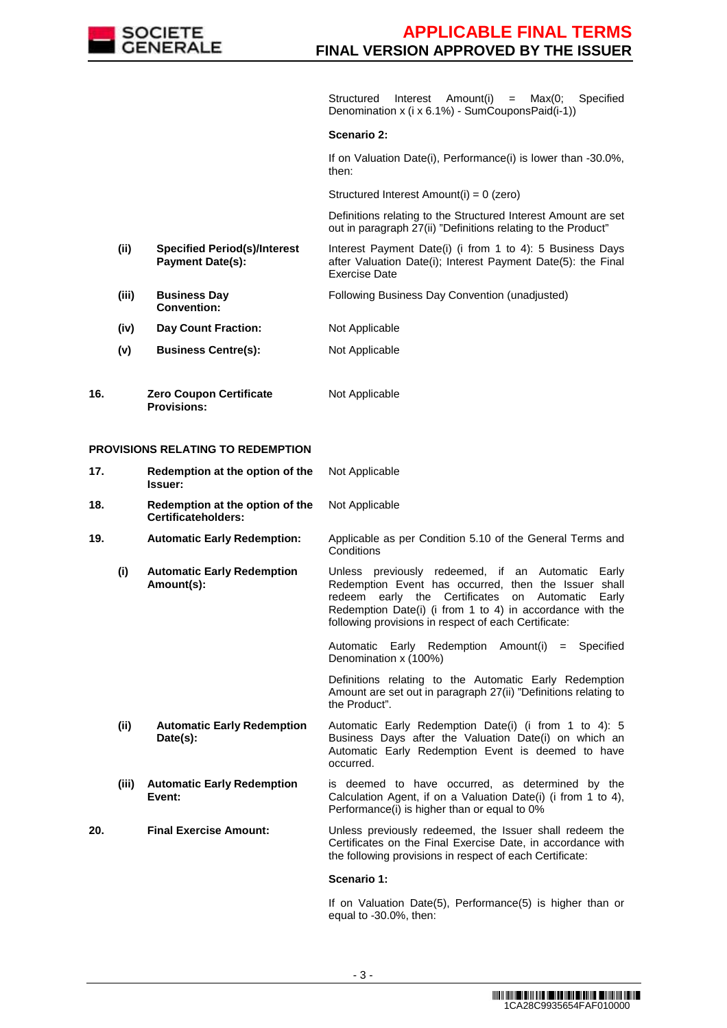

Structured Interest Amount(i) = Max(0; Specified Denomination x (i x 6.1%) - SumCouponsPaid(i-1))

#### **Scenario 2:**

If on Valuation Date(i), Performance(i) is lower than -30.0%, then:

Structured Interest Amount(i) = 0 (zero)

 Definitions relating to the Structured Interest Amount are set out in paragraph 27(ii) "Definitions relating to the Product"

Interest Payment Date(i) (i from 1 to 4): 5 Business Days after Valuation Date(i); Interest Payment Date(5): the Final

- **(ii) Specified Period(s)/Interest Payment Date(s):**
- **(iii) Business Day Convention:** Following Business Day Convention (unadjusted)

Exercise Date

- **(iv) Day Count Fraction:** Not Applicable
- **(v) Business Centre(s):** Not Applicable
- **16. Zero Coupon Certificate Provisions:** Not Applicable

#### **PROVISIONS RELATING TO REDEMPTION**

| 17. |       | Redemption at the option of the<br>Issuer:             | Not Applicable                                                                                                                                                                                                                                                                           |
|-----|-------|--------------------------------------------------------|------------------------------------------------------------------------------------------------------------------------------------------------------------------------------------------------------------------------------------------------------------------------------------------|
| 18. |       | Redemption at the option of the<br>Certificateholders: | Not Applicable                                                                                                                                                                                                                                                                           |
| 19. |       | <b>Automatic Early Redemption:</b>                     | Applicable as per Condition 5.10 of the General Terms and<br>Conditions                                                                                                                                                                                                                  |
|     | (i)   | <b>Automatic Early Redemption</b><br>Amount(s):        | Unless previously redeemed, if an Automatic<br>Early<br>Redemption Event has occurred, then the Issuer shall<br>redeem early the Certificates on Automatic<br>Early<br>Redemption Date(i) (i from 1 to 4) in accordance with the<br>following provisions in respect of each Certificate: |
|     |       |                                                        | Automatic Early Redemption Amount(i) = Specified<br>Denomination x (100%)                                                                                                                                                                                                                |
|     |       |                                                        | Definitions relating to the Automatic Early Redemption<br>Amount are set out in paragraph 27(ii) "Definitions relating to<br>the Product".                                                                                                                                               |
|     | (ii)  | <b>Automatic Early Redemption</b><br>Date(s):          | Automatic Early Redemption Date(i) (i from 1 to 4): 5<br>Business Days after the Valuation Date(i) on which an<br>Automatic Early Redemption Event is deemed to have<br>occurred.                                                                                                        |
|     | (iii) | <b>Automatic Early Redemption</b><br>Event:            | is deemed to have occurred, as determined by the<br>Calculation Agent, if on a Valuation Date(i) (i from 1 to 4),<br>Performance(i) is higher than or equal to 0%                                                                                                                        |
| 20. |       | <b>Final Exercise Amount:</b>                          | Unless previously redeemed, the Issuer shall redeem the<br>Certificates on the Final Exercise Date, in accordance with<br>the following provisions in respect of each Certificate:                                                                                                       |
|     |       |                                                        | Scenario 1:                                                                                                                                                                                                                                                                              |
|     |       |                                                        | If on Valuation Date(5), Performance(5) is higher than or                                                                                                                                                                                                                                |

equal to -30.0%, then: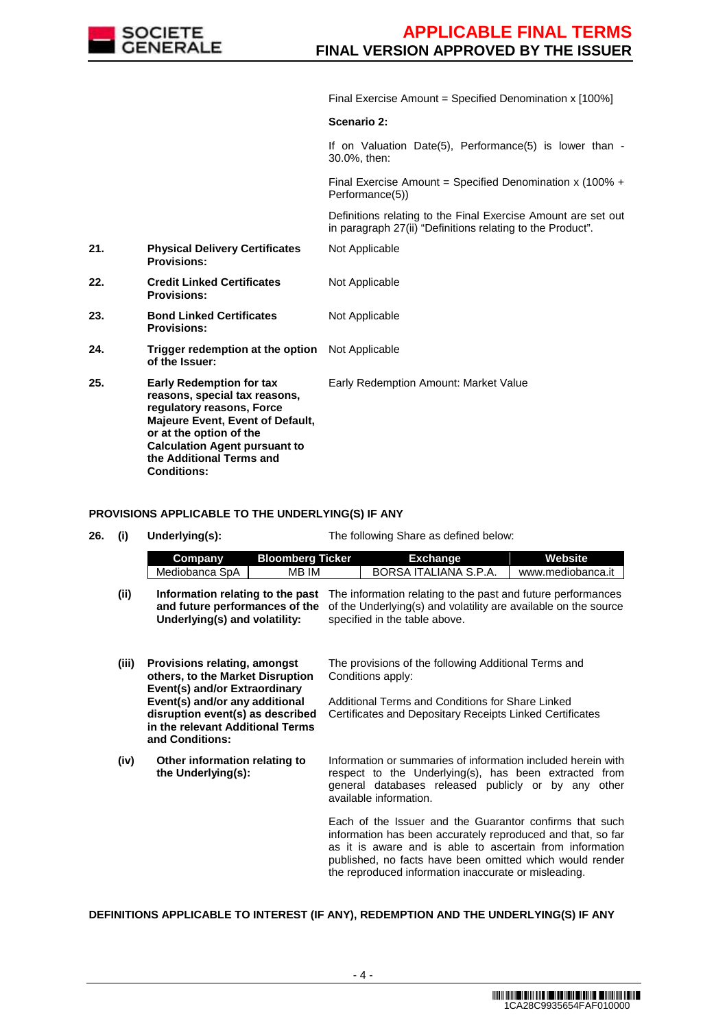

Final Exercise Amount = Specified Denomination x [100%]

|     |                                                                                                                                                                                                                                                               | Scenario 2:                                                                                                                 |
|-----|---------------------------------------------------------------------------------------------------------------------------------------------------------------------------------------------------------------------------------------------------------------|-----------------------------------------------------------------------------------------------------------------------------|
|     |                                                                                                                                                                                                                                                               | If on Valuation Date(5), Performance(5) is lower than -<br>30.0%, then:                                                     |
|     |                                                                                                                                                                                                                                                               | Final Exercise Amount = Specified Denomination x (100% +<br>Performance(5))                                                 |
|     |                                                                                                                                                                                                                                                               | Definitions relating to the Final Exercise Amount are set out<br>in paragraph 27(ii) "Definitions relating to the Product". |
| 21. | <b>Physical Delivery Certificates</b><br><b>Provisions:</b>                                                                                                                                                                                                   | Not Applicable                                                                                                              |
| 22. | <b>Credit Linked Certificates</b><br><b>Provisions:</b>                                                                                                                                                                                                       | Not Applicable                                                                                                              |
| 23. | <b>Bond Linked Certificates</b><br><b>Provisions:</b>                                                                                                                                                                                                         | Not Applicable                                                                                                              |
| 24. | <b>Trigger redemption at the option</b> Not Applicable<br>of the Issuer:                                                                                                                                                                                      |                                                                                                                             |
| 25. | <b>Early Redemption for tax</b><br>reasons, special tax reasons,<br>regulatory reasons, Force<br><b>Majeure Event, Event of Default,</b><br>or at the option of the<br><b>Calculation Agent pursuant to</b><br>the Additional Terms and<br><b>Conditions:</b> | Early Redemption Amount: Market Value                                                                                       |

**PROVISIONS APPLICABLE TO THE UNDERLYING(S) IF ANY**

| 26. | (i)   | Underlying(s):                                                                                                            |                         | The following Share as defined below: |                                                                                                                                                                                                                                                                                                        |                   |
|-----|-------|---------------------------------------------------------------------------------------------------------------------------|-------------------------|---------------------------------------|--------------------------------------------------------------------------------------------------------------------------------------------------------------------------------------------------------------------------------------------------------------------------------------------------------|-------------------|
|     |       | Company                                                                                                                   | <b>Bloomberg Ticker</b> |                                       | <b>Exchange</b>                                                                                                                                                                                                                                                                                        | <b>Website</b>    |
|     |       | Mediobanca SpA                                                                                                            | MB IM                   |                                       | BORSA ITALIANA S.P.A.                                                                                                                                                                                                                                                                                  | www.mediobanca.it |
|     | (ii)  | Information relating to the past<br>and future performances of the<br>Underlying(s) and volatility:                       |                         |                                       | The information relating to the past and future performances<br>of the Underlying(s) and volatility are available on the source<br>specified in the table above.                                                                                                                                       |                   |
|     | (iii) | <b>Provisions relating, amongst</b><br>others, to the Market Disruption<br>Event(s) and/or Extraordinary                  |                         |                                       | The provisions of the following Additional Terms and<br>Conditions apply:                                                                                                                                                                                                                              |                   |
|     |       | Event(s) and/or any additional<br>disruption event(s) as described<br>in the relevant Additional Terms<br>and Conditions: |                         |                                       | Additional Terms and Conditions for Share Linked<br>Certificates and Depositary Receipts Linked Certificates                                                                                                                                                                                           |                   |
|     | (iv)  | Other information relating to<br>the Underlying(s):                                                                       |                         |                                       | Information or summaries of information included herein with<br>respect to the Underlying(s), has been extracted from<br>general databases released publicly or by any other<br>available information.                                                                                                 |                   |
|     |       |                                                                                                                           |                         |                                       | Each of the Issuer and the Guarantor confirms that such<br>information has been accurately reproduced and that, so far<br>as it is aware and is able to ascertain from information<br>published, no facts have been omitted which would render<br>the reproduced information inaccurate or misleading. |                   |

**DEFINITIONS APPLICABLE TO INTEREST (IF ANY), REDEMPTION AND THE UNDERLYING(S) IF ANY**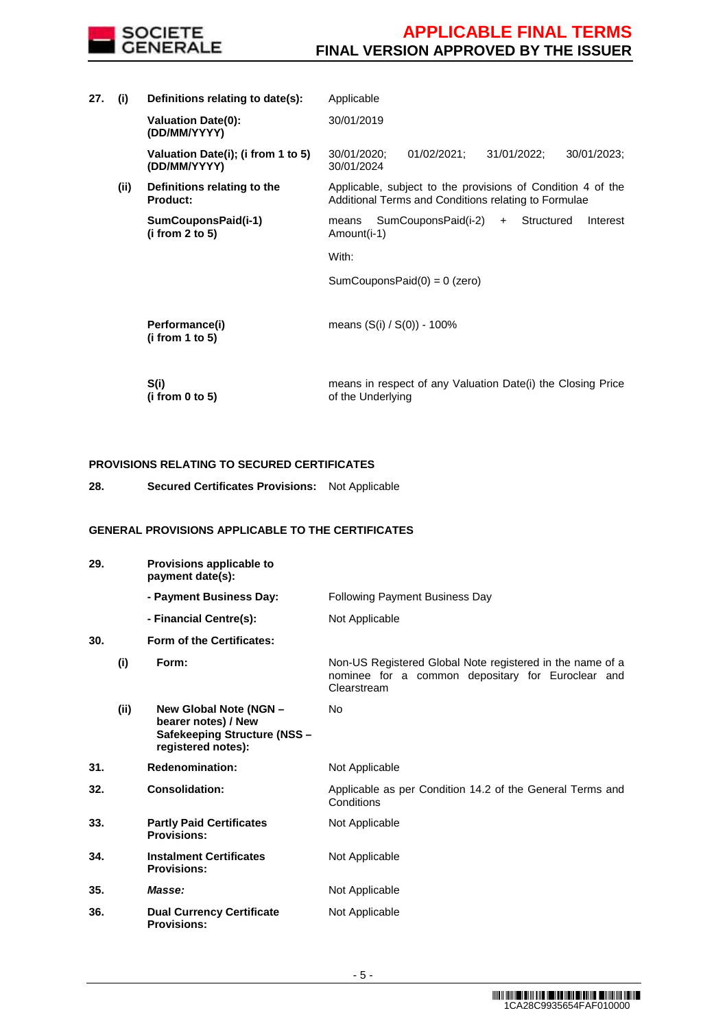

30/01/2020; 01/02/2021; 31/01/2022; 30/01/2023;

Applicable, subject to the provisions of Condition 4 of the Additional Terms and Conditions relating to Formulae

means SumCouponsPaid(i-2) + Structured Interest

**27. (i) Definitions relating to date(s):** Applicable **Valuation Date(0):** 

**(DD/MM/YYYY)**

 **Valuation Date(i); (i from 1 to 5) (DD/MM/YYYY)**

**(ii) Definitions relating to the Product: SumCouponsPaid(i-1)**

**(i from 2 to 5)**

Amount(i-1) With:

30/01/2019

30/01/2024

SumCouponsPaid(0) = 0 (zero)

 **Performance(i) (i from 1 to 5)** 

**S(i)** 

means (S(i) / S(0)) - 100%

**(i from 0 to 5)**  means in respect of any Valuation Date(i) the Closing Price of the Underlying

### **PROVISIONS RELATING TO SECURED CERTIFICATES**

**28. Secured Certificates Provisions:** Not Applicable

### **GENERAL PROVISIONS APPLICABLE TO THE CERTIFICATES**

| 29. |      | Provisions applicable to<br>payment date(s):                                                        |                                                                                                                               |
|-----|------|-----------------------------------------------------------------------------------------------------|-------------------------------------------------------------------------------------------------------------------------------|
|     |      | - Payment Business Day:                                                                             | <b>Following Payment Business Day</b>                                                                                         |
|     |      | - Financial Centre(s):                                                                              | Not Applicable                                                                                                                |
| 30. |      | Form of the Certificates:                                                                           |                                                                                                                               |
|     | (i)  | Form:                                                                                               | Non-US Registered Global Note registered in the name of a<br>nominee for a common depositary for Euroclear and<br>Clearstream |
|     | (ii) | New Global Note (NGN -<br>bearer notes) / New<br>Safekeeping Structure (NSS -<br>registered notes): | No                                                                                                                            |
| 31. |      | <b>Redenomination:</b>                                                                              | Not Applicable                                                                                                                |
| 32. |      | <b>Consolidation:</b>                                                                               | Applicable as per Condition 14.2 of the General Terms and<br>Conditions                                                       |
| 33. |      | <b>Partly Paid Certificates</b><br><b>Provisions:</b>                                               | Not Applicable                                                                                                                |
| 34. |      | <b>Instalment Certificates</b><br><b>Provisions:</b>                                                | Not Applicable                                                                                                                |
| 35. |      | Masse:                                                                                              | Not Applicable                                                                                                                |
| 36. |      | <b>Dual Currency Certificate</b><br><b>Provisions:</b>                                              | Not Applicable                                                                                                                |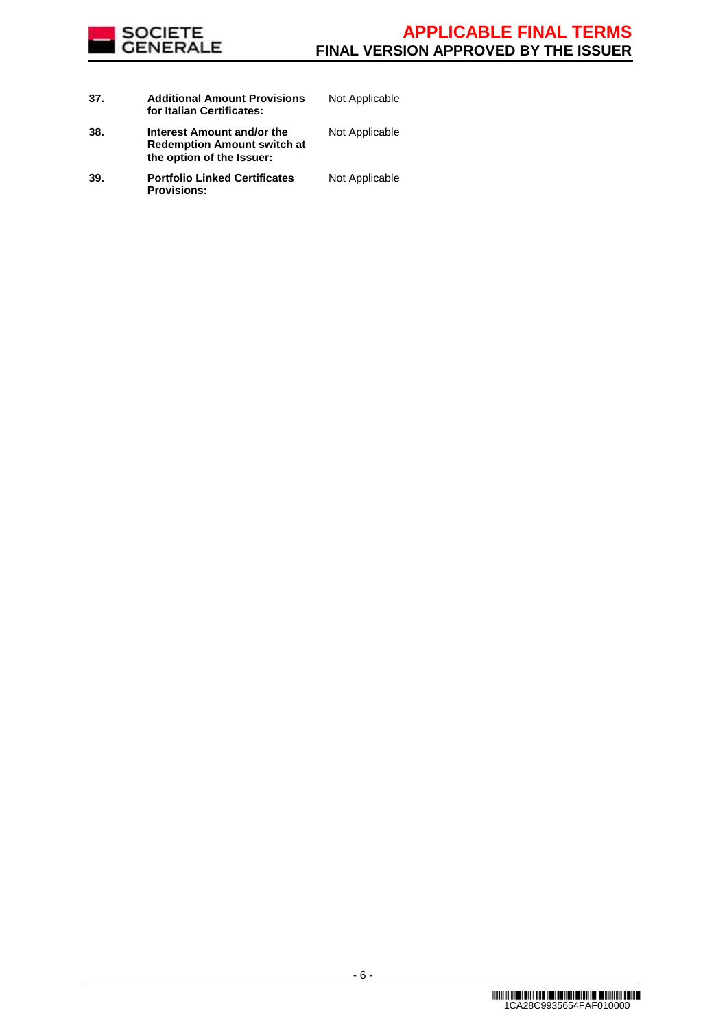

| 37. | <b>Additional Amount Provisions</b><br>for Italian Certificates:                              | Not Applicable |
|-----|-----------------------------------------------------------------------------------------------|----------------|
| 38. | Interest Amount and/or the<br><b>Redemption Amount switch at</b><br>the option of the Issuer: | Not Applicable |
| 39. | <b>Portfolio Linked Certificates</b><br><b>Provisions:</b>                                    | Not Applicable |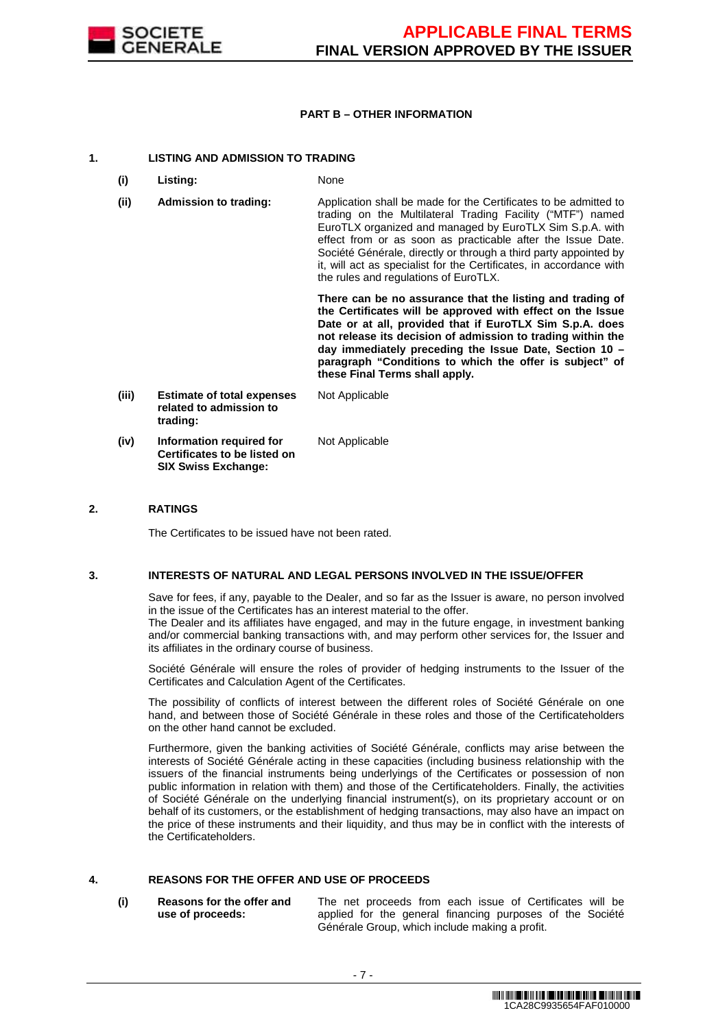

#### **PART B – OTHER INFORMATION**

#### **1. LISTING AND ADMISSION TO TRADING**

- **(i) Listing:** None
- **(ii) Admission to trading:** Application shall be made for the Certificates to be admitted to trading on the Multilateral Trading Facility ("MTF") named EuroTLX organized and managed by EuroTLX Sim S.p.A. with effect from or as soon as practicable after the Issue Date. Société Générale, directly or through a third party appointed by it, will act as specialist for the Certificates, in accordance with the rules and regulations of EuroTLX.

 **There can be no assurance that the listing and trading of the Certificates will be approved with effect on the Issue Date or at all, provided that if EuroTLX Sim S.p.A. does not release its decision of admission to trading within the day immediately preceding the Issue Date, Section 10 – paragraph "Conditions to which the offer is subject" of these Final Terms shall apply.**

**(iii) Estimate of total expenses related to admission to trading:** Not Applicable **(iv) Information required for Certificates to be listed on SIX Swiss Exchange:** Not Applicable

#### **2. RATINGS**

The Certificates to be issued have not been rated.

#### **3. INTERESTS OF NATURAL AND LEGAL PERSONS INVOLVED IN THE ISSUE/OFFER**

 Save for fees, if any, payable to the Dealer, and so far as the Issuer is aware, no person involved in the issue of the Certificates has an interest material to the offer.

The Dealer and its affiliates have engaged, and may in the future engage, in investment banking and/or commercial banking transactions with, and may perform other services for, the Issuer and its affiliates in the ordinary course of business.

 Société Générale will ensure the roles of provider of hedging instruments to the Issuer of the Certificates and Calculation Agent of the Certificates.

 The possibility of conflicts of interest between the different roles of Société Générale on one hand, and between those of Société Générale in these roles and those of the Certificateholders on the other hand cannot be excluded.

 Furthermore, given the banking activities of Société Générale, conflicts may arise between the interests of Société Générale acting in these capacities (including business relationship with the issuers of the financial instruments being underlyings of the Certificates or possession of non public information in relation with them) and those of the Certificateholders. Finally, the activities of Société Générale on the underlying financial instrument(s), on its proprietary account or on behalf of its customers, or the establishment of hedging transactions, may also have an impact on the price of these instruments and their liquidity, and thus may be in conflict with the interests of the Certificateholders.

### **4. REASONS FOR THE OFFER AND USE OF PROCEEDS**

**(i) Reasons for the offer and use of proceeds:**

The net proceeds from each issue of Certificates will be applied for the general financing purposes of the Société Générale Group, which include making a profit.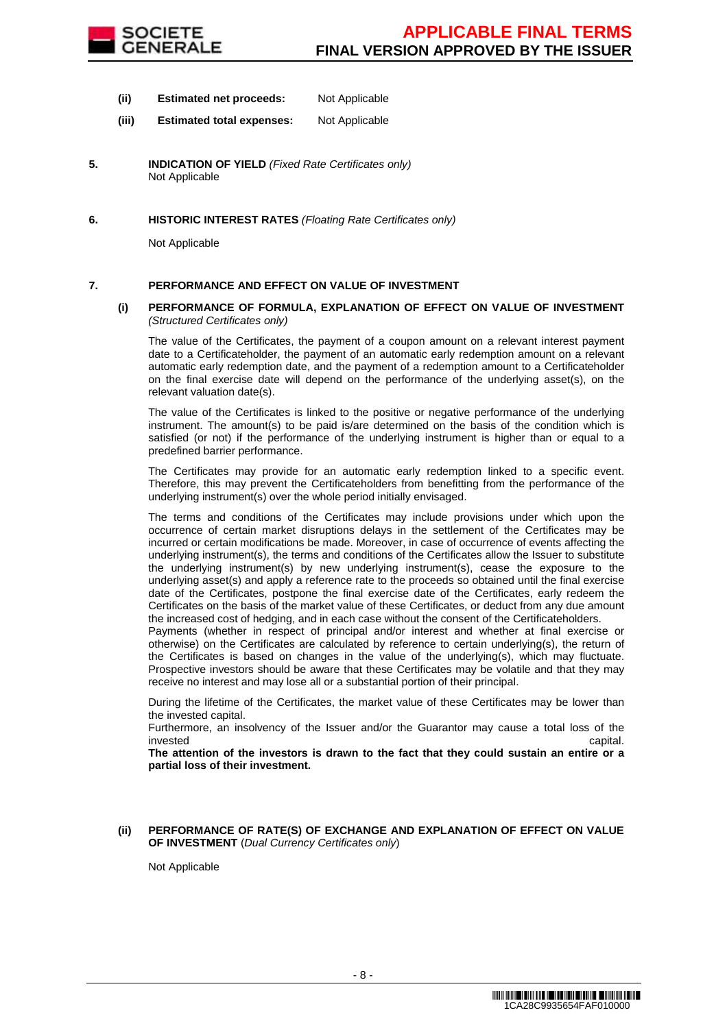

- **(ii) Estimated net proceeds:** Not Applicable
- **(iii) Estimated total expenses:** Not Applicable
- **5. INDICATION OF YIELD** (Fixed Rate Certificates only) Not Applicable
- **6. HISTORIC INTEREST RATES** (Floating Rate Certificates only)

Not Applicable

### **7. PERFORMANCE AND EFFECT ON VALUE OF INVESTMENT**

#### **(i) PERFORMANCE OF FORMULA, EXPLANATION OF EFFECT ON VALUE OF INVESTMENT**  (Structured Certificates only)

 The value of the Certificates, the payment of a coupon amount on a relevant interest payment date to a Certificateholder, the payment of an automatic early redemption amount on a relevant automatic early redemption date, and the payment of a redemption amount to a Certificateholder on the final exercise date will depend on the performance of the underlying asset(s), on the relevant valuation date(s).

 The value of the Certificates is linked to the positive or negative performance of the underlying instrument. The amount(s) to be paid is/are determined on the basis of the condition which is satisfied (or not) if the performance of the underlying instrument is higher than or equal to a predefined barrier performance.

 The Certificates may provide for an automatic early redemption linked to a specific event. Therefore, this may prevent the Certificateholders from benefitting from the performance of the underlying instrument(s) over the whole period initially envisaged.

 The terms and conditions of the Certificates may include provisions under which upon the occurrence of certain market disruptions delays in the settlement of the Certificates may be incurred or certain modifications be made. Moreover, in case of occurrence of events affecting the underlying instrument(s), the terms and conditions of the Certificates allow the Issuer to substitute the underlying instrument(s) by new underlying instrument(s), cease the exposure to the underlying asset(s) and apply a reference rate to the proceeds so obtained until the final exercise date of the Certificates, postpone the final exercise date of the Certificates, early redeem the Certificates on the basis of the market value of these Certificates, or deduct from any due amount the increased cost of hedging, and in each case without the consent of the Certificateholders.

Payments (whether in respect of principal and/or interest and whether at final exercise or otherwise) on the Certificates are calculated by reference to certain underlying(s), the return of the Certificates is based on changes in the value of the underlying(s), which may fluctuate. Prospective investors should be aware that these Certificates may be volatile and that they may receive no interest and may lose all or a substantial portion of their principal.

 During the lifetime of the Certificates, the market value of these Certificates may be lower than the invested capital.

Furthermore, an insolvency of the Issuer and/or the Guarantor may cause a total loss of the invested capital. The capital capital capital capital capital capital capital capital capital.

**The attention of the investors is drawn to the fact that they could sustain an entire or a partial loss of their investment.**

#### **(ii) PERFORMANCE OF RATE(S) OF EXCHANGE AND EXPLANATION OF EFFECT ON VALUE OF INVESTMENT** (Dual Currency Certificates only)

Not Applicable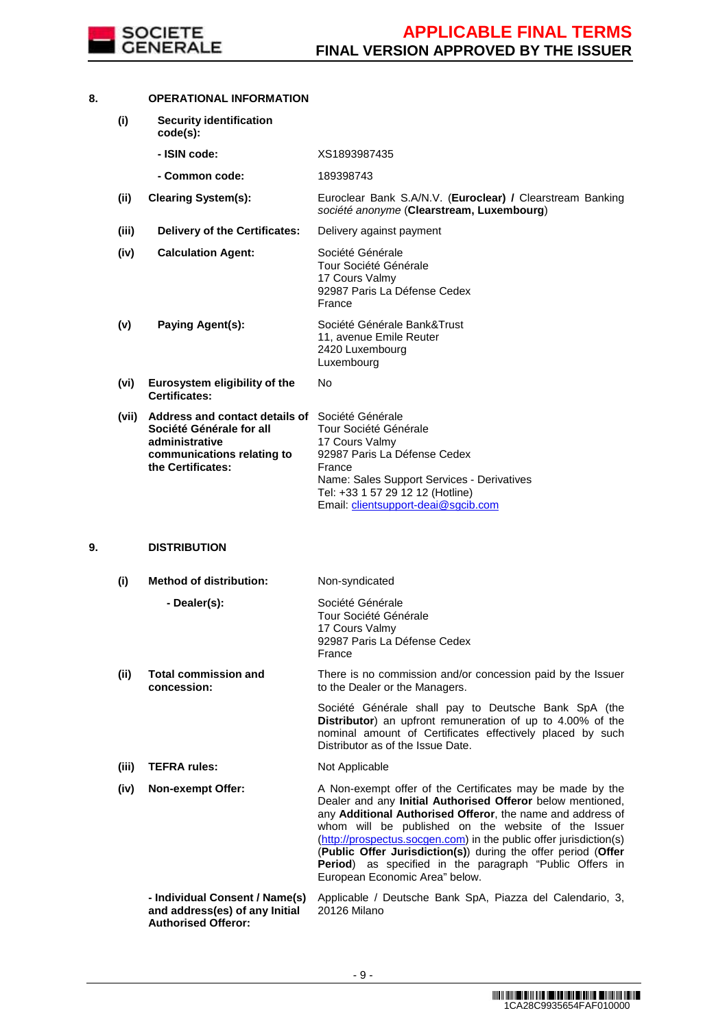

### **8. OPERATIONAL INFORMATION**

|    | (i)   | <b>Security identification</b><br>code(s):                                                                                      |                                                                                                                                                                                                                                                                                                                                                                                                                                                                                  |
|----|-------|---------------------------------------------------------------------------------------------------------------------------------|----------------------------------------------------------------------------------------------------------------------------------------------------------------------------------------------------------------------------------------------------------------------------------------------------------------------------------------------------------------------------------------------------------------------------------------------------------------------------------|
|    |       | - ISIN code:                                                                                                                    | XS1893987435                                                                                                                                                                                                                                                                                                                                                                                                                                                                     |
|    |       | - Common code:                                                                                                                  | 189398743                                                                                                                                                                                                                                                                                                                                                                                                                                                                        |
|    | (ii)  | <b>Clearing System(s):</b>                                                                                                      | Euroclear Bank S.A/N.V. (Euroclear) / Clearstream Banking<br>société anonyme (Clearstream, Luxembourg)                                                                                                                                                                                                                                                                                                                                                                           |
|    | (iii) | <b>Delivery of the Certificates:</b>                                                                                            | Delivery against payment                                                                                                                                                                                                                                                                                                                                                                                                                                                         |
|    | (iv)  | <b>Calculation Agent:</b>                                                                                                       | Société Générale<br>Tour Société Générale<br>17 Cours Valmy<br>92987 Paris La Défense Cedex<br>France                                                                                                                                                                                                                                                                                                                                                                            |
|    | (v)   | Paying Agent(s):                                                                                                                | Société Générale Bank&Trust<br>11, avenue Emile Reuter<br>2420 Luxembourg<br>Luxembourg                                                                                                                                                                                                                                                                                                                                                                                          |
|    | (vi)  | Eurosystem eligibility of the<br>Certificates:                                                                                  | No                                                                                                                                                                                                                                                                                                                                                                                                                                                                               |
|    | (vii) | Address and contact details of<br>Société Générale for all<br>administrative<br>communications relating to<br>the Certificates: | Société Générale<br>Tour Société Générale<br>17 Cours Valmy<br>92987 Paris La Défense Cedex<br>France<br>Name: Sales Support Services - Derivatives<br>Tel: +33 1 57 29 12 12 (Hotline)<br>Email: clientsupport-deai@sgcib.com                                                                                                                                                                                                                                                   |
| 9. |       | <b>DISTRIBUTION</b>                                                                                                             |                                                                                                                                                                                                                                                                                                                                                                                                                                                                                  |
|    | (i)   | <b>Method of distribution:</b>                                                                                                  | Non-syndicated                                                                                                                                                                                                                                                                                                                                                                                                                                                                   |
|    |       | - Dealer(s):                                                                                                                    | Société Générale<br>Tour Société Générale<br>17 Cours Valmy<br>92987 Paris La Défense Cedex<br>France                                                                                                                                                                                                                                                                                                                                                                            |
|    | (ii)  | <b>Total commission and</b><br>concession:                                                                                      | There is no commission and/or concession paid by the Issuer<br>to the Dealer or the Managers.                                                                                                                                                                                                                                                                                                                                                                                    |
|    |       |                                                                                                                                 | Société Générale shall pay to Deutsche Bank SpA (the<br>Distributor) an upfront remuneration of up to 4.00% of the<br>nominal amount of Certificates effectively placed by such<br>Distributor as of the Issue Date.                                                                                                                                                                                                                                                             |
|    | (iii) | <b>TEFRA rules:</b>                                                                                                             | Not Applicable                                                                                                                                                                                                                                                                                                                                                                                                                                                                   |
|    | (iv)  | <b>Non-exempt Offer:</b>                                                                                                        | A Non-exempt offer of the Certificates may be made by the<br>Dealer and any Initial Authorised Offeror below mentioned,<br>any Additional Authorised Offeror, the name and address of<br>whom will be published on the website of the Issuer<br>(http://prospectus.socgen.com) in the public offer jurisdiction(s)<br>(Public Offer Jurisdiction(s)) during the offer period (Offer<br>Period) as specified in the paragraph "Public Offers in<br>European Economic Area" below. |
|    |       | - Individual Consent / Name(s)<br>and address(es) of any Initial<br><b>Authorised Offeror:</b>                                  | Applicable / Deutsche Bank SpA, Piazza del Calendario, 3,<br>20126 Milano                                                                                                                                                                                                                                                                                                                                                                                                        |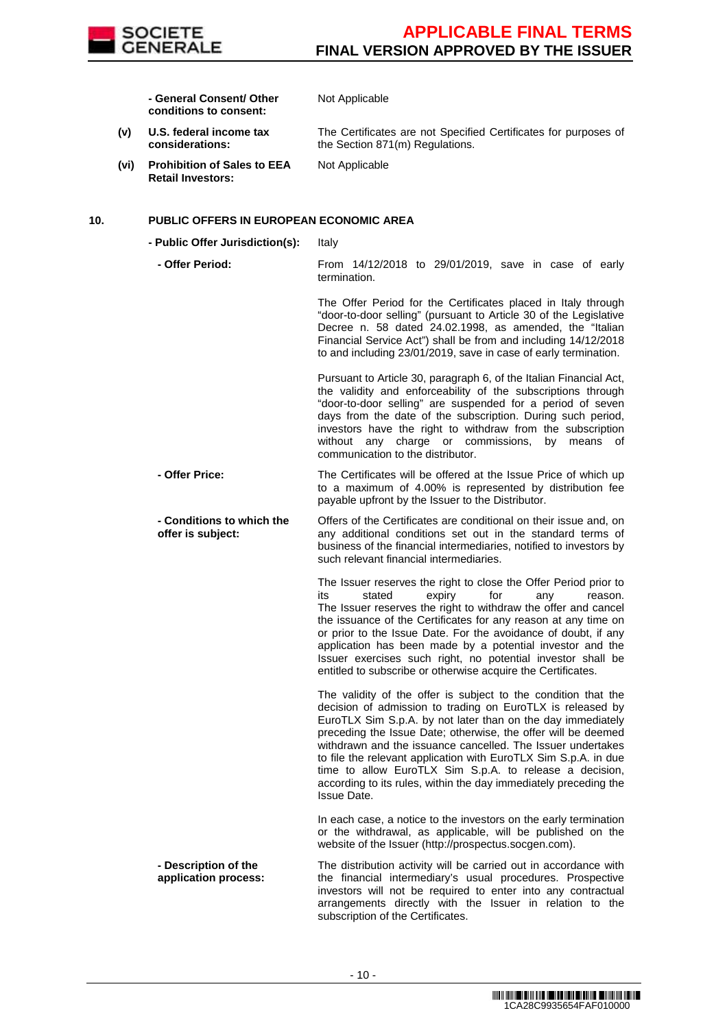

The Certificates are not Specified Certificates for purposes of

 **- General Consent/ Other conditions to consent:**

Not Applicable

- **(v) U.S. federal income tax considerations:**
- **(vi) Prohibition of Sales to EEA Retail Investors:** Not Applicable

### **10. PUBLIC OFFERS IN EUROPEAN ECONOMIC AREA**

**- Public Offer Jurisdiction(s):** Italy

 **- Offer Period:** From 14/12/2018 to 29/01/2019, save in case of early termination.

the Section 871(m) Regulations.

The Offer Period for the Certificates placed in Italy through "door-to-door selling" (pursuant to Article 30 of the Legislative Decree n. 58 dated 24.02.1998, as amended, the "Italian Financial Service Act") shall be from and including 14/12/2018 to and including 23/01/2019, save in case of early termination.

Pursuant to Article 30, paragraph 6, of the Italian Financial Act, the validity and enforceability of the subscriptions through "door-to-door selling" are suspended for a period of seven days from the date of the subscription. During such period, investors have the right to withdraw from the subscription without any charge or commissions, by means of communication to the distributor.

- **Offer Price:** The Certificates will be offered at the Issue Price of which up to a maximum of 4.00% is represented by distribution fee payable upfront by the Issuer to the Distributor.
- **Conditions to which the offer is subject:** Offers of the Certificates are conditional on their issue and, on any additional conditions set out in the standard terms of business of the financial intermediaries, notified to investors by such relevant financial intermediaries.

The Issuer reserves the right to close the Offer Period prior to its stated expiry for any reason. The Issuer reserves the right to withdraw the offer and cancel the issuance of the Certificates for any reason at any time on or prior to the Issue Date. For the avoidance of doubt, if any application has been made by a potential investor and the Issuer exercises such right, no potential investor shall be entitled to subscribe or otherwise acquire the Certificates.

The validity of the offer is subject to the condition that the decision of admission to trading on EuroTLX is released by EuroTLX Sim S.p.A. by not later than on the day immediately preceding the Issue Date; otherwise, the offer will be deemed withdrawn and the issuance cancelled. The Issuer undertakes to file the relevant application with EuroTLX Sim S.p.A. in due time to allow EuroTLX Sim S.p.A. to release a decision, according to its rules, within the day immediately preceding the Issue Date.

In each case, a notice to the investors on the early termination or the withdrawal, as applicable, will be published on the website of the Issuer (http://prospectus.socgen.com).

 **- Description of the application process:** The distribution activity will be carried out in accordance with the financial intermediary's usual procedures. Prospective investors will not be required to enter into any contractual arrangements directly with the Issuer in relation to the subscription of the Certificates.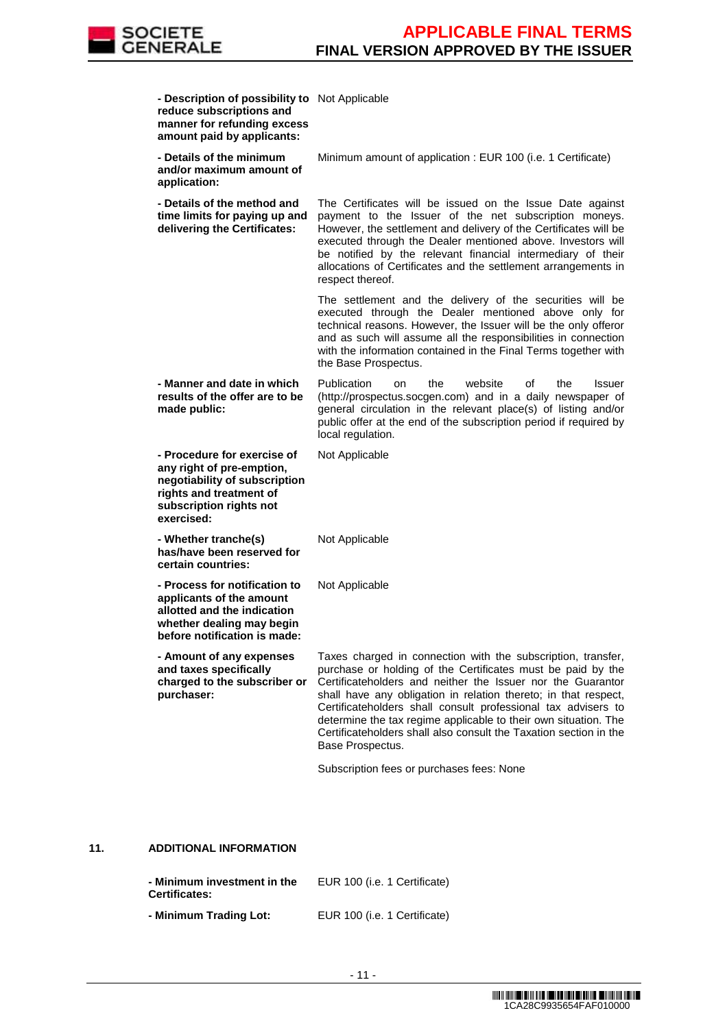

| - Description of possibility to Not Applicable<br>reduce subscriptions and<br>manner for refunding excess<br>amount paid by applicants:                       |                                                                                                                                                                                                                                                                                                                                                                                                                                                                                                                                         |
|---------------------------------------------------------------------------------------------------------------------------------------------------------------|-----------------------------------------------------------------------------------------------------------------------------------------------------------------------------------------------------------------------------------------------------------------------------------------------------------------------------------------------------------------------------------------------------------------------------------------------------------------------------------------------------------------------------------------|
| - Details of the minimum<br>and/or maximum amount of<br>application:                                                                                          | Minimum amount of application : EUR 100 (i.e. 1 Certificate)                                                                                                                                                                                                                                                                                                                                                                                                                                                                            |
| - Details of the method and<br>time limits for paying up and<br>delivering the Certificates:                                                                  | The Certificates will be issued on the Issue Date against<br>payment to the Issuer of the net subscription moneys.<br>However, the settlement and delivery of the Certificates will be<br>executed through the Dealer mentioned above. Investors will<br>be notified by the relevant financial intermediary of their<br>allocations of Certificates and the settlement arrangements in<br>respect thereof.                                                                                                                              |
|                                                                                                                                                               | The settlement and the delivery of the securities will be<br>executed through the Dealer mentioned above only for<br>technical reasons. However, the Issuer will be the only offeror<br>and as such will assume all the responsibilities in connection<br>with the information contained in the Final Terms together with<br>the Base Prospectus.                                                                                                                                                                                       |
| - Manner and date in which<br>results of the offer are to be<br>made public:                                                                                  | <b>Publication</b><br>the<br>website<br>the<br>οf<br><b>Issuer</b><br>on<br>(http://prospectus.socgen.com) and in a daily newspaper of<br>general circulation in the relevant place(s) of listing and/or<br>public offer at the end of the subscription period if required by<br>local regulation.                                                                                                                                                                                                                                      |
| - Procedure for exercise of<br>any right of pre-emption,<br>negotiability of subscription<br>rights and treatment of<br>subscription rights not<br>exercised: | Not Applicable                                                                                                                                                                                                                                                                                                                                                                                                                                                                                                                          |
| - Whether tranche(s)<br>has/have been reserved for<br>certain countries:                                                                                      | Not Applicable                                                                                                                                                                                                                                                                                                                                                                                                                                                                                                                          |
| - Process for notification to<br>applicants of the amount<br>allotted and the indication<br>whether dealing may begin<br>before notification is made:         | Not Applicable                                                                                                                                                                                                                                                                                                                                                                                                                                                                                                                          |
| - Amount of any expenses<br>and taxes specifically<br>charged to the subscriber or<br>purchaser:                                                              | Taxes charged in connection with the subscription, transfer,<br>purchase or holding of the Certificates must be paid by the<br>Certificateholders and neither the Issuer nor the Guarantor<br>shall have any obligation in relation thereto; in that respect,<br>Certificateholders shall consult professional tax advisers to<br>determine the tax regime applicable to their own situation. The<br>Certificateholders shall also consult the Taxation section in the<br>Base Prospectus.<br>Subscription fees or purchases fees: None |
|                                                                                                                                                               |                                                                                                                                                                                                                                                                                                                                                                                                                                                                                                                                         |

### **11. ADDITIONAL INFORMATION**

| - Minimum investment in the<br><b>Certificates:</b> | EUR 100 (i.e. 1 Certificate) |
|-----------------------------------------------------|------------------------------|
| - Minimum Trading Lot:                              | EUR 100 (i.e. 1 Certificate) |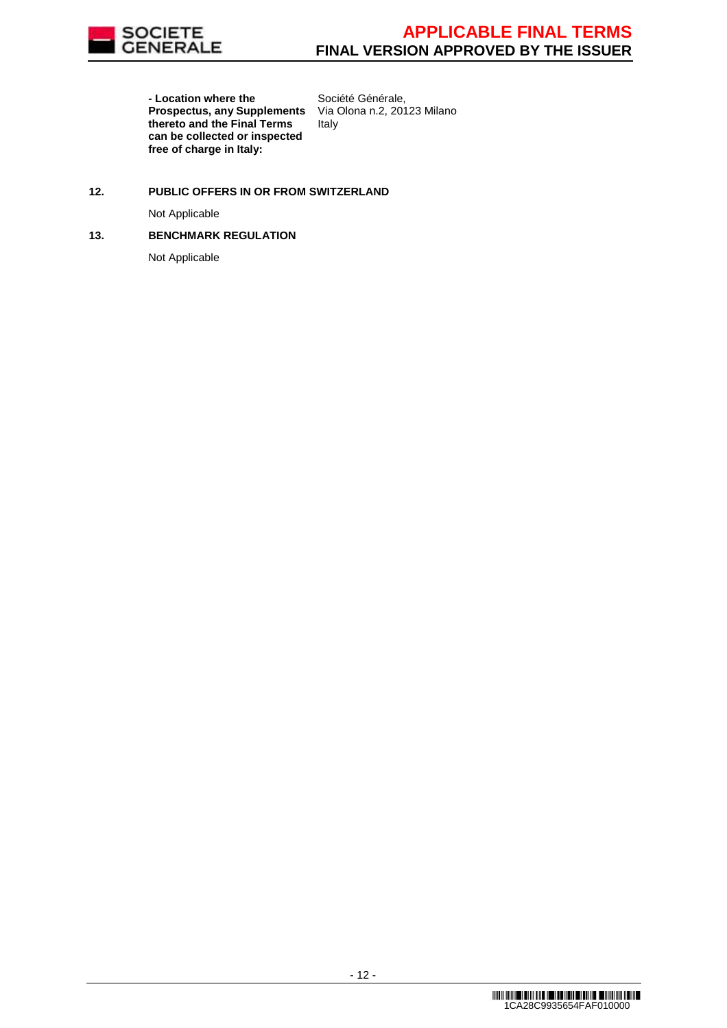

 **- Location where the Prospectus, any Supplements thereto and the Final Terms can be collected or inspected free of charge in Italy:**

Société Générale, Via Olona n.2, 20123 Milano Italy

### **12. PUBLIC OFFERS IN OR FROM SWITZERLAND**

Not Applicable

### **13. BENCHMARK REGULATION**

Not Applicable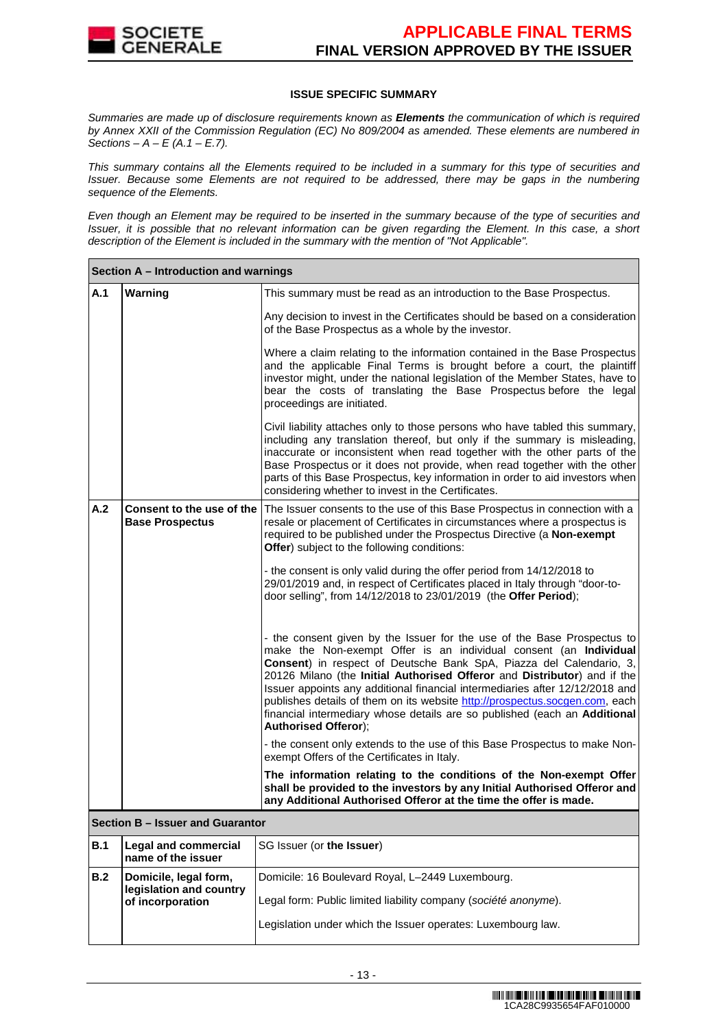

### **ISSUE SPECIFIC SUMMARY**

Summaries are made up of disclosure requirements known as **Elements** the communication of which is required by Annex XXII of the Commission Regulation (EC) No 809/2004 as amended. These elements are numbered in Sections –  $A - E(A.1 - E.7)$ .

This summary contains all the Elements required to be included in a summary for this type of securities and Issuer. Because some Elements are not required to be addressed, there may be gaps in the numbering sequence of the Elements.

Even though an Element may be required to be inserted in the summary because of the type of securities and Issuer, it is possible that no relevant information can be given regarding the Element. In this case, a short description of the Element is included in the summary with the mention of "Not Applicable".

|            | Section A - Introduction and warnings               |                                                                                                                                                                                                                                                                                                                                                                                                                                                                                                                                                                            |
|------------|-----------------------------------------------------|----------------------------------------------------------------------------------------------------------------------------------------------------------------------------------------------------------------------------------------------------------------------------------------------------------------------------------------------------------------------------------------------------------------------------------------------------------------------------------------------------------------------------------------------------------------------------|
| A.1        | Warning                                             | This summary must be read as an introduction to the Base Prospectus.                                                                                                                                                                                                                                                                                                                                                                                                                                                                                                       |
|            |                                                     | Any decision to invest in the Certificates should be based on a consideration<br>of the Base Prospectus as a whole by the investor.                                                                                                                                                                                                                                                                                                                                                                                                                                        |
|            |                                                     | Where a claim relating to the information contained in the Base Prospectus<br>and the applicable Final Terms is brought before a court, the plaintiff<br>investor might, under the national legislation of the Member States, have to<br>bear the costs of translating the Base Prospectus before the legal<br>proceedings are initiated.                                                                                                                                                                                                                                  |
|            |                                                     | Civil liability attaches only to those persons who have tabled this summary,<br>including any translation thereof, but only if the summary is misleading,<br>inaccurate or inconsistent when read together with the other parts of the<br>Base Prospectus or it does not provide, when read together with the other<br>parts of this Base Prospectus, key information in order to aid investors when<br>considering whether to invest in the Certificates.                                                                                                                 |
| A.2        | Consent to the use of the<br><b>Base Prospectus</b> | The Issuer consents to the use of this Base Prospectus in connection with a<br>resale or placement of Certificates in circumstances where a prospectus is<br>required to be published under the Prospectus Directive (a Non-exempt<br>Offer) subject to the following conditions:                                                                                                                                                                                                                                                                                          |
|            |                                                     | - the consent is only valid during the offer period from 14/12/2018 to<br>29/01/2019 and, in respect of Certificates placed in Italy through "door-to-<br>door selling", from 14/12/2018 to 23/01/2019 (the Offer Period);                                                                                                                                                                                                                                                                                                                                                 |
|            |                                                     | - the consent given by the Issuer for the use of the Base Prospectus to<br>make the Non-exempt Offer is an individual consent (an Individual<br>Consent) in respect of Deutsche Bank SpA, Piazza del Calendario, 3,<br>20126 Milano (the Initial Authorised Offeror and Distributor) and if the<br>Issuer appoints any additional financial intermediaries after 12/12/2018 and<br>publishes details of them on its website http://prospectus.socgen.com, each<br>financial intermediary whose details are so published (each an Additional<br><b>Authorised Offeror);</b> |
|            |                                                     | - the consent only extends to the use of this Base Prospectus to make Non-<br>exempt Offers of the Certificates in Italy.                                                                                                                                                                                                                                                                                                                                                                                                                                                  |
|            |                                                     | The information relating to the conditions of the Non-exempt Offer<br>shall be provided to the investors by any Initial Authorised Offeror and<br>any Additional Authorised Offeror at the time the offer is made.                                                                                                                                                                                                                                                                                                                                                         |
|            | Section B - Issuer and Guarantor                    |                                                                                                                                                                                                                                                                                                                                                                                                                                                                                                                                                                            |
| <b>B.1</b> | <b>Legal and commercial</b><br>name of the issuer   | SG Issuer (or the Issuer)                                                                                                                                                                                                                                                                                                                                                                                                                                                                                                                                                  |
| B.2        | Domicile, legal form,<br>legislation and country    | Domicile: 16 Boulevard Royal, L-2449 Luxembourg.                                                                                                                                                                                                                                                                                                                                                                                                                                                                                                                           |
|            | of incorporation                                    | Legal form: Public limited liability company (société anonyme).                                                                                                                                                                                                                                                                                                                                                                                                                                                                                                            |
|            |                                                     | Legislation under which the Issuer operates: Luxembourg law.                                                                                                                                                                                                                                                                                                                                                                                                                                                                                                               |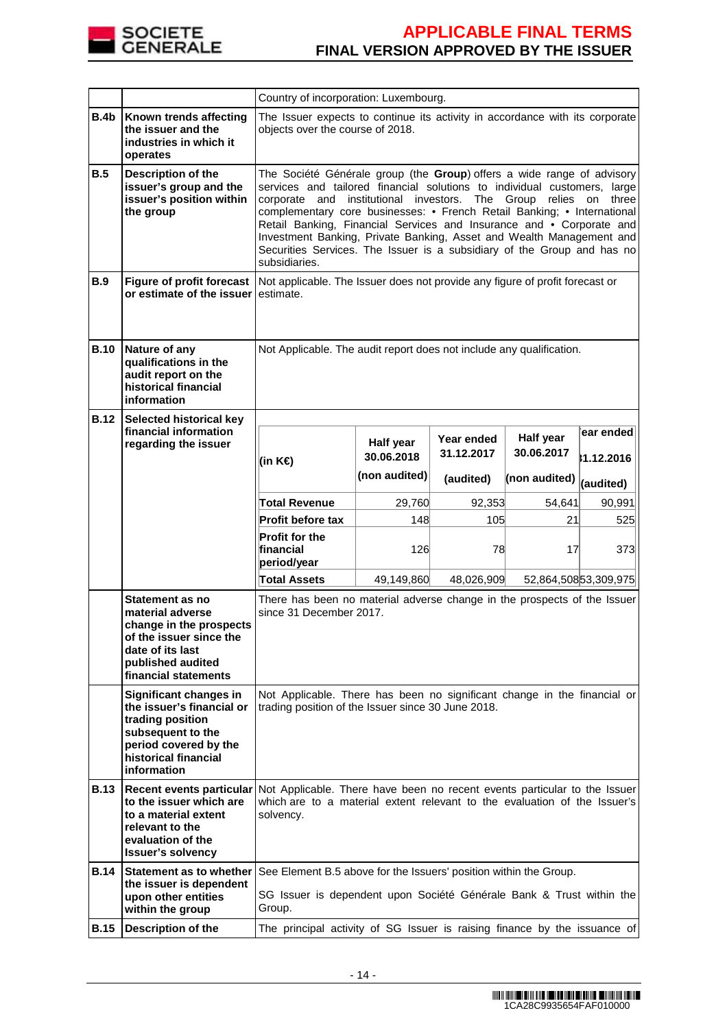

|             |                                                                                                                                                              |                                                                                                                                                                                                                                                                                                                                                                                                                                                                                                                                                  | Country of incorporation: Luxembourg.                                                                            |                          |                         |                        |
|-------------|--------------------------------------------------------------------------------------------------------------------------------------------------------------|--------------------------------------------------------------------------------------------------------------------------------------------------------------------------------------------------------------------------------------------------------------------------------------------------------------------------------------------------------------------------------------------------------------------------------------------------------------------------------------------------------------------------------------------------|------------------------------------------------------------------------------------------------------------------|--------------------------|-------------------------|------------------------|
| B.4b        | Known trends affecting<br>the issuer and the<br>industries in which it<br>operates                                                                           |                                                                                                                                                                                                                                                                                                                                                                                                                                                                                                                                                  | The Issuer expects to continue its activity in accordance with its corporate<br>objects over the course of 2018. |                          |                         |                        |
| B.5         | Description of the<br>issuer's group and the<br>issuer's position within<br>the group                                                                        | The Société Générale group (the Group) offers a wide range of advisory<br>services and tailored financial solutions to individual customers, large<br>corporate and institutional investors. The Group relies on<br>three<br>complementary core businesses: • French Retail Banking; • International<br>Retail Banking, Financial Services and Insurance and • Corporate and<br>Investment Banking, Private Banking, Asset and Wealth Management and<br>Securities Services. The Issuer is a subsidiary of the Group and has no<br>subsidiaries. |                                                                                                                  |                          |                         |                        |
| B.9         | <b>Figure of profit forecast</b><br>or estimate of the issuer                                                                                                | Not applicable. The Issuer does not provide any figure of profit forecast or<br>estimate.                                                                                                                                                                                                                                                                                                                                                                                                                                                        |                                                                                                                  |                          |                         |                        |
| <b>B.10</b> | Nature of any<br>qualifications in the<br>audit report on the<br>historical financial<br>information                                                         | Not Applicable. The audit report does not include any qualification.                                                                                                                                                                                                                                                                                                                                                                                                                                                                             |                                                                                                                  |                          |                         |                        |
| <b>B.12</b> | <b>Selected historical key</b><br>financial information                                                                                                      |                                                                                                                                                                                                                                                                                                                                                                                                                                                                                                                                                  |                                                                                                                  |                          |                         |                        |
|             | regarding the issuer                                                                                                                                         |                                                                                                                                                                                                                                                                                                                                                                                                                                                                                                                                                  | Half year<br>30.06.2018                                                                                          | Year ended<br>31.12.2017 | Half year<br>30.06.2017 | ear ended<br>1.12.2016 |
|             |                                                                                                                                                              | (in K€)                                                                                                                                                                                                                                                                                                                                                                                                                                                                                                                                          | (non audited)                                                                                                    | (audited)                | (non audited)           | (audited)              |
|             |                                                                                                                                                              | <b>Total Revenue</b>                                                                                                                                                                                                                                                                                                                                                                                                                                                                                                                             | 29,760                                                                                                           | 92,353                   | 54,641                  | 90,991                 |
|             |                                                                                                                                                              | Profit before tax                                                                                                                                                                                                                                                                                                                                                                                                                                                                                                                                | 148                                                                                                              | 105                      | 21                      | 525                    |
|             |                                                                                                                                                              | <b>Profit for the</b><br>financial<br>period/year                                                                                                                                                                                                                                                                                                                                                                                                                                                                                                | 126                                                                                                              | 78                       | 17                      | 373                    |
|             |                                                                                                                                                              | <b>Total Assets</b>                                                                                                                                                                                                                                                                                                                                                                                                                                                                                                                              | 49,149,860                                                                                                       | 48,026,909               |                         | 52,864,50853,309,975   |
|             | Statement as no<br>material adverse<br>change in the prospects<br>of the issuer since the<br>date of its last<br>published audited<br>financial statements   | There has been no material adverse change in the prospects of the Issuer<br>since 31 December 2017.                                                                                                                                                                                                                                                                                                                                                                                                                                              |                                                                                                                  |                          |                         |                        |
|             | Significant changes in<br>the issuer's financial or<br>trading position<br>subsequent to the<br>period covered by the<br>historical financial<br>information | Not Applicable. There has been no significant change in the financial or<br>trading position of the Issuer since 30 June 2018.                                                                                                                                                                                                                                                                                                                                                                                                                   |                                                                                                                  |                          |                         |                        |
| <b>B.13</b> | Recent events particular  <br>to the issuer which are<br>to a material extent<br>relevant to the<br>evaluation of the<br><b>Issuer's solvency</b>            | Not Applicable. There have been no recent events particular to the Issuer<br>which are to a material extent relevant to the evaluation of the Issuer's<br>solvency.                                                                                                                                                                                                                                                                                                                                                                              |                                                                                                                  |                          |                         |                        |
| B.14        | <b>Statement as to whether</b>                                                                                                                               | See Element B.5 above for the Issuers' position within the Group.                                                                                                                                                                                                                                                                                                                                                                                                                                                                                |                                                                                                                  |                          |                         |                        |
|             | the issuer is dependent<br>upon other entities<br>within the group                                                                                           | SG Issuer is dependent upon Société Générale Bank & Trust within the<br>Group.                                                                                                                                                                                                                                                                                                                                                                                                                                                                   |                                                                                                                  |                          |                         |                        |
| <b>B.15</b> | Description of the                                                                                                                                           | The principal activity of SG Issuer is raising finance by the issuance of                                                                                                                                                                                                                                                                                                                                                                                                                                                                        |                                                                                                                  |                          |                         |                        |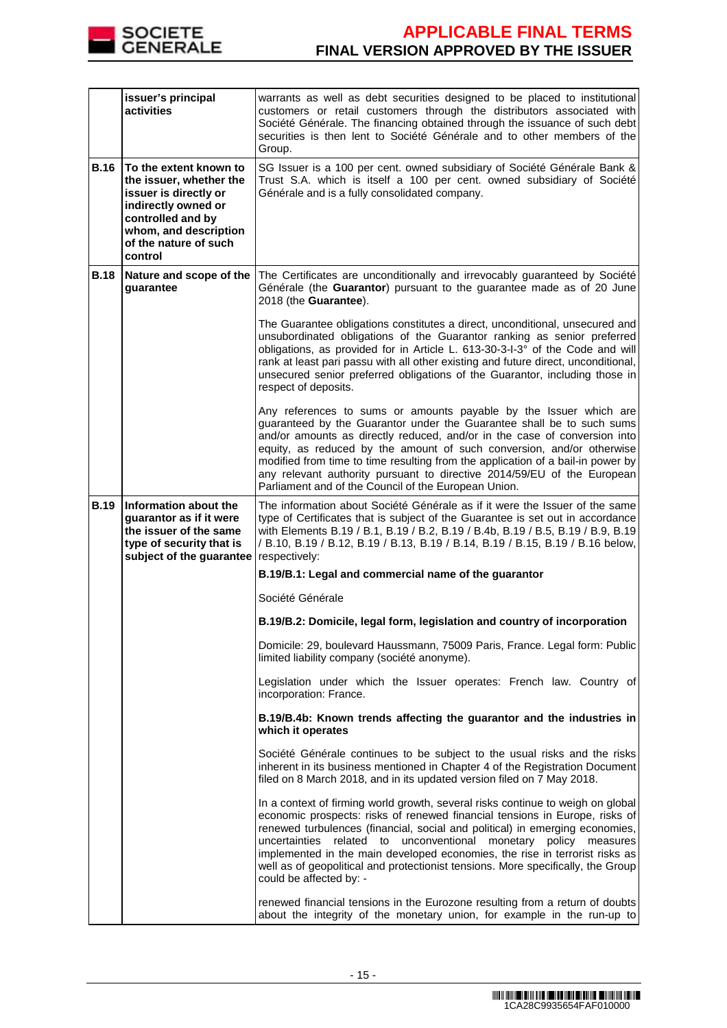

|             | issuer's principal<br>activities                                                                                                                                                    | warrants as well as debt securities designed to be placed to institutional<br>customers or retail customers through the distributors associated with<br>Société Générale. The financing obtained through the issuance of such debt<br>securities is then lent to Société Générale and to other members of the<br>Group.                                                                                                                                                                                                |
|-------------|-------------------------------------------------------------------------------------------------------------------------------------------------------------------------------------|------------------------------------------------------------------------------------------------------------------------------------------------------------------------------------------------------------------------------------------------------------------------------------------------------------------------------------------------------------------------------------------------------------------------------------------------------------------------------------------------------------------------|
| <b>B.16</b> | To the extent known to<br>the issuer, whether the<br>issuer is directly or<br>indirectly owned or<br>controlled and by<br>whom, and description<br>of the nature of such<br>control | SG Issuer is a 100 per cent. owned subsidiary of Société Générale Bank &<br>Trust S.A. which is itself a 100 per cent. owned subsidiary of Société<br>Générale and is a fully consolidated company.                                                                                                                                                                                                                                                                                                                    |
| <b>B.18</b> | Nature and scope of the<br>guarantee                                                                                                                                                | The Certificates are unconditionally and irrevocably guaranteed by Société<br>Générale (the Guarantor) pursuant to the guarantee made as of 20 June<br>2018 (the Guarantee).                                                                                                                                                                                                                                                                                                                                           |
|             |                                                                                                                                                                                     | The Guarantee obligations constitutes a direct, unconditional, unsecured and<br>unsubordinated obligations of the Guarantor ranking as senior preferred<br>obligations, as provided for in Article L. 613-30-3-I-3° of the Code and will<br>rank at least pari passu with all other existing and future direct, unconditional,<br>unsecured senior preferred obligations of the Guarantor, including those in<br>respect of deposits.                                                                                  |
|             |                                                                                                                                                                                     | Any references to sums or amounts payable by the Issuer which are<br>guaranteed by the Guarantor under the Guarantee shall be to such sums<br>and/or amounts as directly reduced, and/or in the case of conversion into<br>equity, as reduced by the amount of such conversion, and/or otherwise<br>modified from time to time resulting from the application of a bail-in power by<br>any relevant authority pursuant to directive 2014/59/EU of the European<br>Parliament and of the Council of the European Union. |
| <b>B.19</b> | Information about the<br>guarantor as if it were<br>the issuer of the same<br>type of security that is<br>subject of the guarantee                                                  | The information about Société Générale as if it were the Issuer of the same<br>type of Certificates that is subject of the Guarantee is set out in accordance<br>with Elements B.19 / B.1, B.19 / B.2, B.19 / B.4b, B.19 / B.5, B.19 / B.9, B.19<br>/ B.10, B.19 / B.12, B.19 / B.13, B.19 / B.14, B.19 / B.15, B.19 / B.16 below,<br>respectively:                                                                                                                                                                    |
|             |                                                                                                                                                                                     | B.19/B.1: Legal and commercial name of the guarantor                                                                                                                                                                                                                                                                                                                                                                                                                                                                   |
|             |                                                                                                                                                                                     | Société Générale                                                                                                                                                                                                                                                                                                                                                                                                                                                                                                       |
|             |                                                                                                                                                                                     | B.19/B.2: Domicile, legal form, legislation and country of incorporation                                                                                                                                                                                                                                                                                                                                                                                                                                               |
|             |                                                                                                                                                                                     | Domicile: 29, boulevard Haussmann, 75009 Paris, France. Legal form: Public<br>limited liability company (société anonyme).                                                                                                                                                                                                                                                                                                                                                                                             |
|             |                                                                                                                                                                                     | Legislation under which the Issuer operates: French law. Country of<br>incorporation: France.                                                                                                                                                                                                                                                                                                                                                                                                                          |
|             |                                                                                                                                                                                     | B.19/B.4b: Known trends affecting the guarantor and the industries in<br>which it operates                                                                                                                                                                                                                                                                                                                                                                                                                             |
|             |                                                                                                                                                                                     | Société Générale continues to be subject to the usual risks and the risks<br>inherent in its business mentioned in Chapter 4 of the Registration Document<br>filed on 8 March 2018, and in its updated version filed on 7 May 2018.                                                                                                                                                                                                                                                                                    |
|             |                                                                                                                                                                                     | In a context of firming world growth, several risks continue to weigh on global<br>economic prospects: risks of renewed financial tensions in Europe, risks of<br>renewed turbulences (financial, social and political) in emerging economies,<br>related to unconventional monetary policy measures<br>uncertainties<br>implemented in the main developed economies, the rise in terrorist risks as<br>well as of geopolitical and protectionist tensions. More specifically, the Group<br>could be affected by: -    |
|             |                                                                                                                                                                                     | renewed financial tensions in the Eurozone resulting from a return of doubts<br>about the integrity of the monetary union, for example in the run-up to                                                                                                                                                                                                                                                                                                                                                                |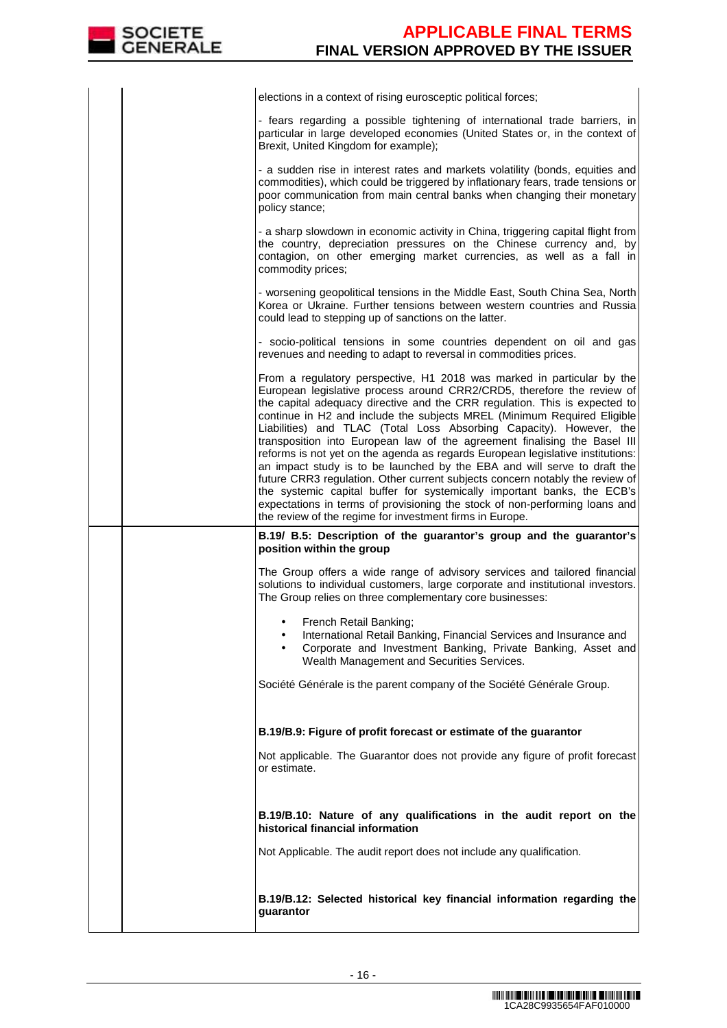

| elections in a context of rising eurosceptic political forces;                                                                                                                                                                                                                                                                                                                                                                                                                                                                                                                                                                                                                                                                                                                                                                                                                                                                    |
|-----------------------------------------------------------------------------------------------------------------------------------------------------------------------------------------------------------------------------------------------------------------------------------------------------------------------------------------------------------------------------------------------------------------------------------------------------------------------------------------------------------------------------------------------------------------------------------------------------------------------------------------------------------------------------------------------------------------------------------------------------------------------------------------------------------------------------------------------------------------------------------------------------------------------------------|
| - fears regarding a possible tightening of international trade barriers, in<br>particular in large developed economies (United States or, in the context of<br>Brexit, United Kingdom for example);                                                                                                                                                                                                                                                                                                                                                                                                                                                                                                                                                                                                                                                                                                                               |
| - a sudden rise in interest rates and markets volatility (bonds, equities and<br>commodities), which could be triggered by inflationary fears, trade tensions or<br>poor communication from main central banks when changing their monetary<br>policy stance;                                                                                                                                                                                                                                                                                                                                                                                                                                                                                                                                                                                                                                                                     |
| - a sharp slowdown in economic activity in China, triggering capital flight from<br>the country, depreciation pressures on the Chinese currency and, by<br>contagion, on other emerging market currencies, as well as a fall in<br>commodity prices;                                                                                                                                                                                                                                                                                                                                                                                                                                                                                                                                                                                                                                                                              |
| - worsening geopolitical tensions in the Middle East, South China Sea, North<br>Korea or Ukraine. Further tensions between western countries and Russia<br>could lead to stepping up of sanctions on the latter.                                                                                                                                                                                                                                                                                                                                                                                                                                                                                                                                                                                                                                                                                                                  |
| - socio-political tensions in some countries dependent on oil and gas<br>revenues and needing to adapt to reversal in commodities prices.                                                                                                                                                                                                                                                                                                                                                                                                                                                                                                                                                                                                                                                                                                                                                                                         |
| From a regulatory perspective, H1 2018 was marked in particular by the<br>European legislative process around CRR2/CRD5, therefore the review of<br>the capital adequacy directive and the CRR regulation. This is expected to<br>continue in H2 and include the subjects MREL (Minimum Required Eligible<br>Liabilities) and TLAC (Total Loss Absorbing Capacity). However, the<br>transposition into European law of the agreement finalising the Basel III<br>reforms is not yet on the agenda as regards European legislative institutions:<br>an impact study is to be launched by the EBA and will serve to draft the<br>future CRR3 regulation. Other current subjects concern notably the review of<br>the systemic capital buffer for systemically important banks, the ECB's<br>expectations in terms of provisioning the stock of non-performing loans and<br>the review of the regime for investment firms in Europe. |
| B.19/ B.5: Description of the guarantor's group and the guarantor's<br>position within the group                                                                                                                                                                                                                                                                                                                                                                                                                                                                                                                                                                                                                                                                                                                                                                                                                                  |
| The Group offers a wide range of advisory services and tailored financial<br>solutions to individual customers, large corporate and institutional investors.<br>The Group relies on three complementary core businesses:                                                                                                                                                                                                                                                                                                                                                                                                                                                                                                                                                                                                                                                                                                          |
| French Retail Banking;<br>$\bullet$<br>International Retail Banking, Financial Services and Insurance and<br>Corporate and Investment Banking, Private Banking, Asset and<br>Wealth Management and Securities Services.                                                                                                                                                                                                                                                                                                                                                                                                                                                                                                                                                                                                                                                                                                           |
| Société Générale is the parent company of the Société Générale Group.                                                                                                                                                                                                                                                                                                                                                                                                                                                                                                                                                                                                                                                                                                                                                                                                                                                             |
| B.19/B.9: Figure of profit forecast or estimate of the guarantor                                                                                                                                                                                                                                                                                                                                                                                                                                                                                                                                                                                                                                                                                                                                                                                                                                                                  |
| Not applicable. The Guarantor does not provide any figure of profit forecast<br>or estimate.                                                                                                                                                                                                                                                                                                                                                                                                                                                                                                                                                                                                                                                                                                                                                                                                                                      |
| B.19/B.10: Nature of any qualifications in the audit report on the<br>historical financial information                                                                                                                                                                                                                                                                                                                                                                                                                                                                                                                                                                                                                                                                                                                                                                                                                            |
| Not Applicable. The audit report does not include any qualification.                                                                                                                                                                                                                                                                                                                                                                                                                                                                                                                                                                                                                                                                                                                                                                                                                                                              |
| B.19/B.12: Selected historical key financial information regarding the<br>guarantor                                                                                                                                                                                                                                                                                                                                                                                                                                                                                                                                                                                                                                                                                                                                                                                                                                               |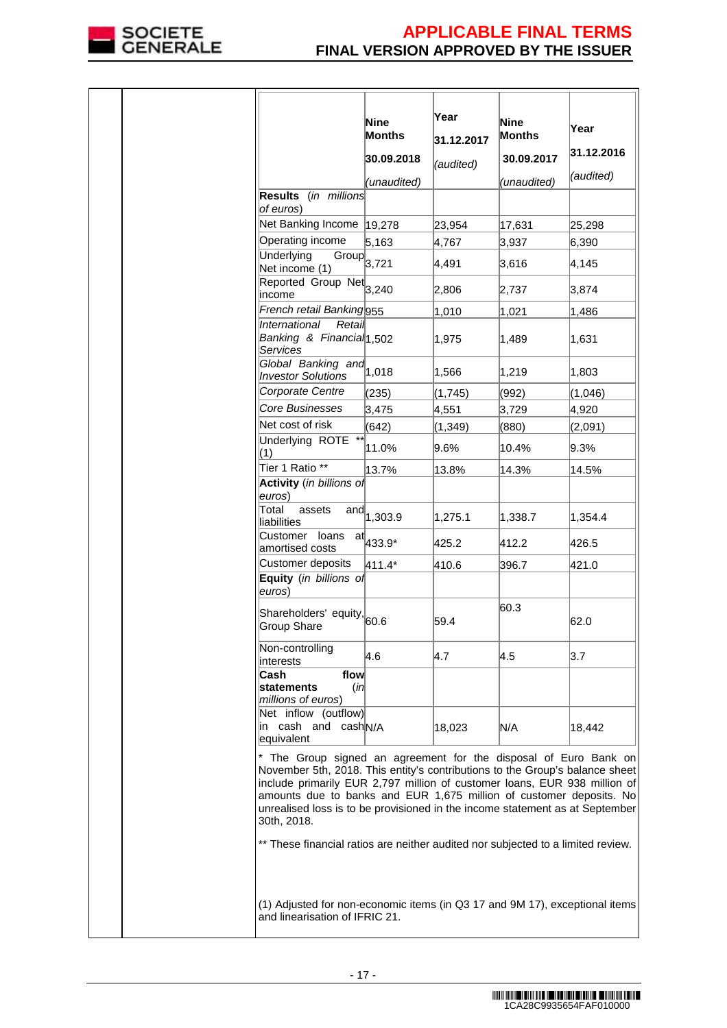

|                                                                                                                                                                                                                                                                                                                                                                                                     | <b>Nine</b><br>Months<br>30.09.2018 | Year<br>31.12.2017<br>(audited) | <b>Nine</b><br><b>Months</b><br>30.09.2017 | Year<br>31.12.2016                                                          |
|-----------------------------------------------------------------------------------------------------------------------------------------------------------------------------------------------------------------------------------------------------------------------------------------------------------------------------------------------------------------------------------------------------|-------------------------------------|---------------------------------|--------------------------------------------|-----------------------------------------------------------------------------|
|                                                                                                                                                                                                                                                                                                                                                                                                     | (unaudited)                         |                                 | (unaudited)                                | (audited)                                                                   |
| Results (in millions<br>of euros)                                                                                                                                                                                                                                                                                                                                                                   |                                     |                                 |                                            |                                                                             |
| Net Banking Income 19,278                                                                                                                                                                                                                                                                                                                                                                           |                                     | 23,954                          | 17,631                                     | 25,298                                                                      |
| Operating income                                                                                                                                                                                                                                                                                                                                                                                    | 5,163                               | 4,767                           | 3,937                                      | 6,390                                                                       |
| Underlying<br>$\overline{\text{Group}}_{3,721}$<br>Net income (1)                                                                                                                                                                                                                                                                                                                                   |                                     | 4,491                           | 3,616                                      | 4,145                                                                       |
| Reported Group Net 3,240<br>income                                                                                                                                                                                                                                                                                                                                                                  |                                     | 2,806                           | 2,737                                      | 3,874                                                                       |
| French retail Banking 955                                                                                                                                                                                                                                                                                                                                                                           |                                     | 1,010                           | 1,021                                      | 1,486                                                                       |
| International<br>Retail<br>Banking & Financial <sub>1,502</sub><br><b>Services</b>                                                                                                                                                                                                                                                                                                                  |                                     | 1,975                           | 1,489                                      | 1,631                                                                       |
| Global Banking and<br>Global Banking and<br>1,018<br><b>Investor Solutions</b>                                                                                                                                                                                                                                                                                                                      |                                     | 1,566                           | 1,219                                      | 1,803                                                                       |
| Corporate Centre                                                                                                                                                                                                                                                                                                                                                                                    | (235)                               | (1,745)                         | (992)                                      | (1,046)                                                                     |
| <b>Core Businesses</b>                                                                                                                                                                                                                                                                                                                                                                              | 3,475                               | 4,551                           | 3,729                                      | 4,920                                                                       |
| Net cost of risk                                                                                                                                                                                                                                                                                                                                                                                    | (642)                               | (1, 349)                        | (880)                                      | (2,091)                                                                     |
| Underlying ROTE **<br>(1)                                                                                                                                                                                                                                                                                                                                                                           | 11.0%                               | $9.6\%$                         | 10.4%                                      | $9.3\%$                                                                     |
| Tier 1 Ratio **                                                                                                                                                                                                                                                                                                                                                                                     | 13.7%                               | 13.8%                           | 14.3%                                      | 14.5%                                                                       |
| Activity (in billions of<br>euros)                                                                                                                                                                                                                                                                                                                                                                  |                                     |                                 |                                            |                                                                             |
| Total<br>assets<br>liabilities                                                                                                                                                                                                                                                                                                                                                                      | $\overline{\text{and}}$ 1,303.9     | 1,275.1                         | 1,338.7                                    | 1,354.4                                                                     |
| Customer loans<br>amortised costs                                                                                                                                                                                                                                                                                                                                                                   | $\mathrm{at}^{\parallel}_{433.9^*}$ | 425.2                           | 412.2                                      | 426.5                                                                       |
| Customer deposits                                                                                                                                                                                                                                                                                                                                                                                   | 411.4*                              | 410.6                           | 396.7                                      | 421.0                                                                       |
| Equity (in billions of<br>euros)                                                                                                                                                                                                                                                                                                                                                                    |                                     |                                 |                                            |                                                                             |
| Shareholders' equity, 60.6<br><b>Group Share</b>                                                                                                                                                                                                                                                                                                                                                    |                                     | 59.4                            | 60.3                                       | 62.0                                                                        |
| Non-controlling<br>interests                                                                                                                                                                                                                                                                                                                                                                        | 4.6                                 | 4.7                             | 4.5                                        | 3.7                                                                         |
| Cash<br>flow<br>statements<br>(in)<br>millions of euros)                                                                                                                                                                                                                                                                                                                                            |                                     |                                 |                                            |                                                                             |
| Net inflow (outflow)<br>in cash and cash N/A<br>equivalent                                                                                                                                                                                                                                                                                                                                          |                                     | 18,023                          | N/A                                        | 18,442                                                                      |
| * The Group signed an agreement for the disposal of Euro Bank on<br>November 5th, 2018. This entity's contributions to the Group's balance sheet<br>include primarily EUR 2,797 million of customer loans, EUR 938 million of<br>amounts due to banks and EUR 1,675 million of customer deposits. No<br>unrealised loss is to be provisioned in the income statement as at September<br>30th, 2018. |                                     |                                 |                                            |                                                                             |
| ** These financial ratios are neither audited nor subjected to a limited review.                                                                                                                                                                                                                                                                                                                    |                                     |                                 |                                            | (1) Adjusted for non-economic items (in Q3 17 and 9M 17), exceptional items |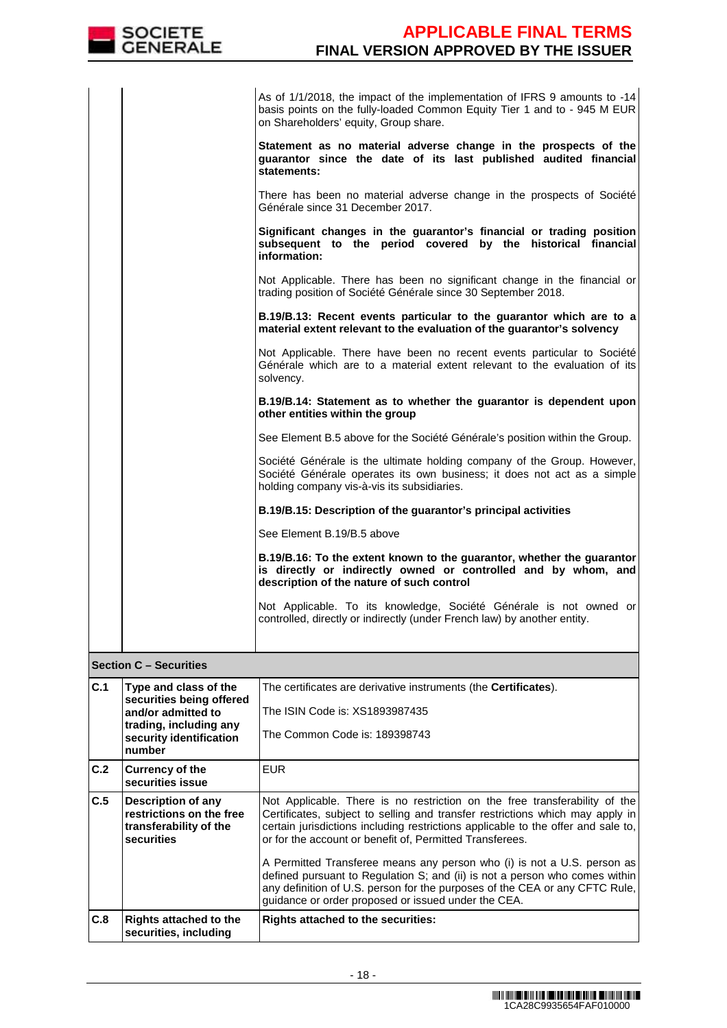|     | SOCIETE<br>GENERALE                                                                    | <b>APPLICABLE FINAL TERMS</b><br><b>FINAL VERSION APPROVED BY THE ISSUER</b>                                                                                                                                                                                                                                 |
|-----|----------------------------------------------------------------------------------------|--------------------------------------------------------------------------------------------------------------------------------------------------------------------------------------------------------------------------------------------------------------------------------------------------------------|
|     |                                                                                        |                                                                                                                                                                                                                                                                                                              |
|     |                                                                                        | As of 1/1/2018, the impact of the implementation of IFRS 9 amounts to -14<br>basis points on the fully-loaded Common Equity Tier 1 and to - 945 M EUR<br>on Shareholders' equity, Group share.                                                                                                               |
|     |                                                                                        | Statement as no material adverse change in the prospects of the<br>guarantor since the date of its last published audited financial<br>statements:                                                                                                                                                           |
|     |                                                                                        | There has been no material adverse change in the prospects of Société<br>Générale since 31 December 2017.                                                                                                                                                                                                    |
|     |                                                                                        | Significant changes in the guarantor's financial or trading position<br>subsequent to the period covered by the historical financial<br>information:                                                                                                                                                         |
|     |                                                                                        | Not Applicable. There has been no significant change in the financial or<br>trading position of Société Générale since 30 September 2018.                                                                                                                                                                    |
|     |                                                                                        | B.19/B.13: Recent events particular to the guarantor which are to a<br>material extent relevant to the evaluation of the guarantor's solvency                                                                                                                                                                |
|     |                                                                                        | Not Applicable. There have been no recent events particular to Société<br>Générale which are to a material extent relevant to the evaluation of its<br>solvency.                                                                                                                                             |
|     |                                                                                        | B.19/B.14: Statement as to whether the guarantor is dependent upon<br>other entities within the group                                                                                                                                                                                                        |
|     |                                                                                        | See Element B.5 above for the Société Générale's position within the Group.                                                                                                                                                                                                                                  |
|     |                                                                                        | Société Générale is the ultimate holding company of the Group. However,<br>Société Générale operates its own business; it does not act as a simple<br>holding company vis-à-vis its subsidiaries.                                                                                                            |
|     |                                                                                        | B.19/B.15: Description of the guarantor's principal activities                                                                                                                                                                                                                                               |
|     |                                                                                        | See Element B.19/B.5 above                                                                                                                                                                                                                                                                                   |
|     |                                                                                        | B.19/B.16: To the extent known to the guarantor, whether the guarantor<br>is directly or indirectly owned or controlled and by whom, and<br>description of the nature of such control                                                                                                                        |
|     |                                                                                        | Not Applicable. To its knowledge, Société Générale is not owned or<br>controlled, directly or indirectly (under French law) by another entity.                                                                                                                                                               |
|     | <b>Section C - Securities</b>                                                          |                                                                                                                                                                                                                                                                                                              |
| C.1 | Type and class of the                                                                  | The certificates are derivative instruments (the <b>Certificates</b> ).                                                                                                                                                                                                                                      |
|     | securities being offered<br>and/or admitted to                                         | The ISIN Code is: XS1893987435                                                                                                                                                                                                                                                                               |
|     | trading, including any<br>security identification<br>number                            | The Common Code is: 189398743                                                                                                                                                                                                                                                                                |
| C.2 | <b>Currency of the</b><br>securities issue                                             | <b>EUR</b>                                                                                                                                                                                                                                                                                                   |
| C.5 | Description of any<br>restrictions on the free<br>transferability of the<br>securities | Not Applicable. There is no restriction on the free transferability of the<br>Certificates, subject to selling and transfer restrictions which may apply in<br>certain jurisdictions including restrictions applicable to the offer and sale to,<br>or for the account or benefit of, Permitted Transferees. |
|     |                                                                                        | A Permitted Transferee means any person who (i) is not a U.S. person as<br>defined pursuant to Regulation S; and (ii) is not a person who comes within<br>any definition of U.S. person for the purposes of the CEA or any CFTC Rule,<br>guidance or order proposed or issued under the CEA.                 |
| C.8 | <b>Rights attached to the</b><br>securities, including                                 | Rights attached to the securities:                                                                                                                                                                                                                                                                           |

٠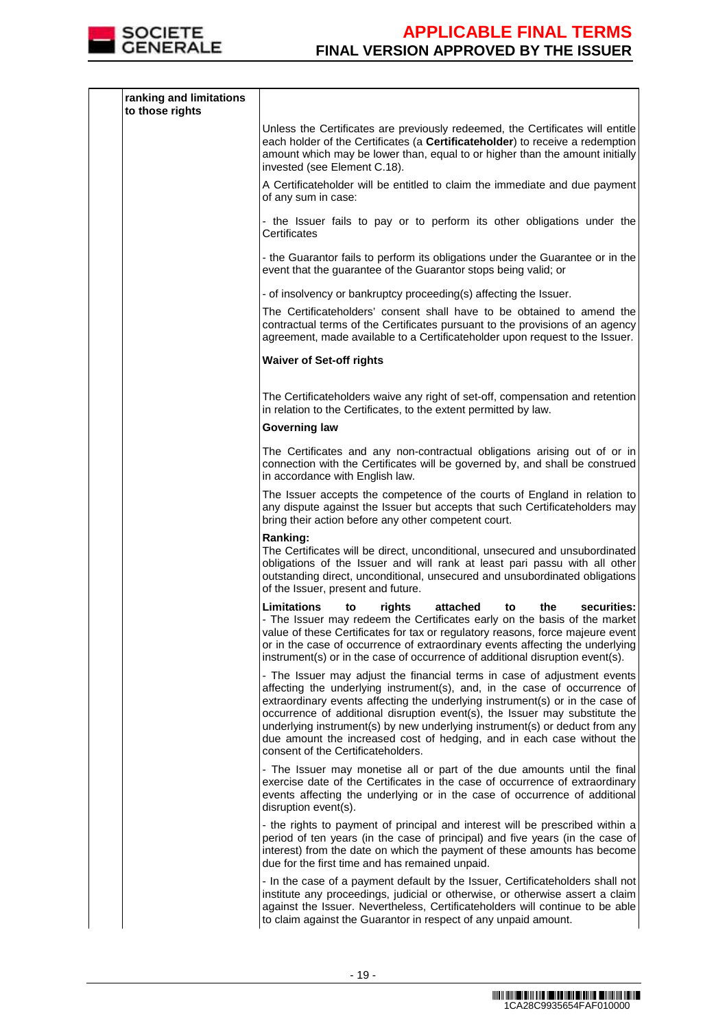

| ranking and limitations<br>to those rights |                                                                                                                                                                                                                                                                                                                                                                                                                                                                                                                      |
|--------------------------------------------|----------------------------------------------------------------------------------------------------------------------------------------------------------------------------------------------------------------------------------------------------------------------------------------------------------------------------------------------------------------------------------------------------------------------------------------------------------------------------------------------------------------------|
|                                            | Unless the Certificates are previously redeemed, the Certificates will entitle<br>each holder of the Certificates (a Certificateholder) to receive a redemption<br>amount which may be lower than, equal to or higher than the amount initially<br>invested (see Element C.18).                                                                                                                                                                                                                                      |
|                                            | A Certificateholder will be entitled to claim the immediate and due payment<br>of any sum in case:                                                                                                                                                                                                                                                                                                                                                                                                                   |
|                                            | - the Issuer fails to pay or to perform its other obligations under the<br>Certificates                                                                                                                                                                                                                                                                                                                                                                                                                              |
|                                            | - the Guarantor fails to perform its obligations under the Guarantee or in the<br>event that the guarantee of the Guarantor stops being valid; or                                                                                                                                                                                                                                                                                                                                                                    |
|                                            | - of insolvency or bankruptcy proceeding(s) affecting the Issuer.                                                                                                                                                                                                                                                                                                                                                                                                                                                    |
|                                            | The Certificateholders' consent shall have to be obtained to amend the<br>contractual terms of the Certificates pursuant to the provisions of an agency<br>agreement, made available to a Certificateholder upon request to the Issuer.                                                                                                                                                                                                                                                                              |
|                                            | <b>Waiver of Set-off rights</b>                                                                                                                                                                                                                                                                                                                                                                                                                                                                                      |
|                                            | The Certificateholders waive any right of set-off, compensation and retention<br>in relation to the Certificates, to the extent permitted by law.                                                                                                                                                                                                                                                                                                                                                                    |
|                                            | <b>Governing law</b>                                                                                                                                                                                                                                                                                                                                                                                                                                                                                                 |
|                                            | The Certificates and any non-contractual obligations arising out of or in<br>connection with the Certificates will be governed by, and shall be construed<br>in accordance with English law.                                                                                                                                                                                                                                                                                                                         |
|                                            | The Issuer accepts the competence of the courts of England in relation to<br>any dispute against the Issuer but accepts that such Certificateholders may<br>bring their action before any other competent court.                                                                                                                                                                                                                                                                                                     |
|                                            | Ranking:<br>The Certificates will be direct, unconditional, unsecured and unsubordinated<br>obligations of the Issuer and will rank at least pari passu with all other<br>outstanding direct, unconditional, unsecured and unsubordinated obligations<br>of the Issuer, present and future.                                                                                                                                                                                                                          |
|                                            | <b>Limitations</b><br>rights<br>attached<br>the<br>securities:<br>to<br>to<br>- The Issuer may redeem the Certificates early on the basis of the market<br>value of these Certificates for tax or regulatory reasons, force majeure event<br>or in the case of occurrence of extraordinary events affecting the underlying<br>instrument(s) or in the case of occurrence of additional disruption event(s).                                                                                                          |
|                                            | - The Issuer may adjust the financial terms in case of adjustment events<br>affecting the underlying instrument(s), and, in the case of occurrence of<br>extraordinary events affecting the underlying instrument(s) or in the case of<br>occurrence of additional disruption event(s), the Issuer may substitute the<br>underlying instrument(s) by new underlying instrument(s) or deduct from any<br>due amount the increased cost of hedging, and in each case without the<br>consent of the Certificateholders. |
|                                            | - The Issuer may monetise all or part of the due amounts until the final<br>exercise date of the Certificates in the case of occurrence of extraordinary<br>events affecting the underlying or in the case of occurrence of additional<br>disruption event(s).                                                                                                                                                                                                                                                       |
|                                            | - the rights to payment of principal and interest will be prescribed within a<br>period of ten years (in the case of principal) and five years (in the case of<br>interest) from the date on which the payment of these amounts has become<br>due for the first time and has remained unpaid.                                                                                                                                                                                                                        |
|                                            | - In the case of a payment default by the Issuer, Certificateholders shall not<br>institute any proceedings, judicial or otherwise, or otherwise assert a claim<br>against the Issuer. Nevertheless, Certificateholders will continue to be able<br>to claim against the Guarantor in respect of any unpaid amount.                                                                                                                                                                                                  |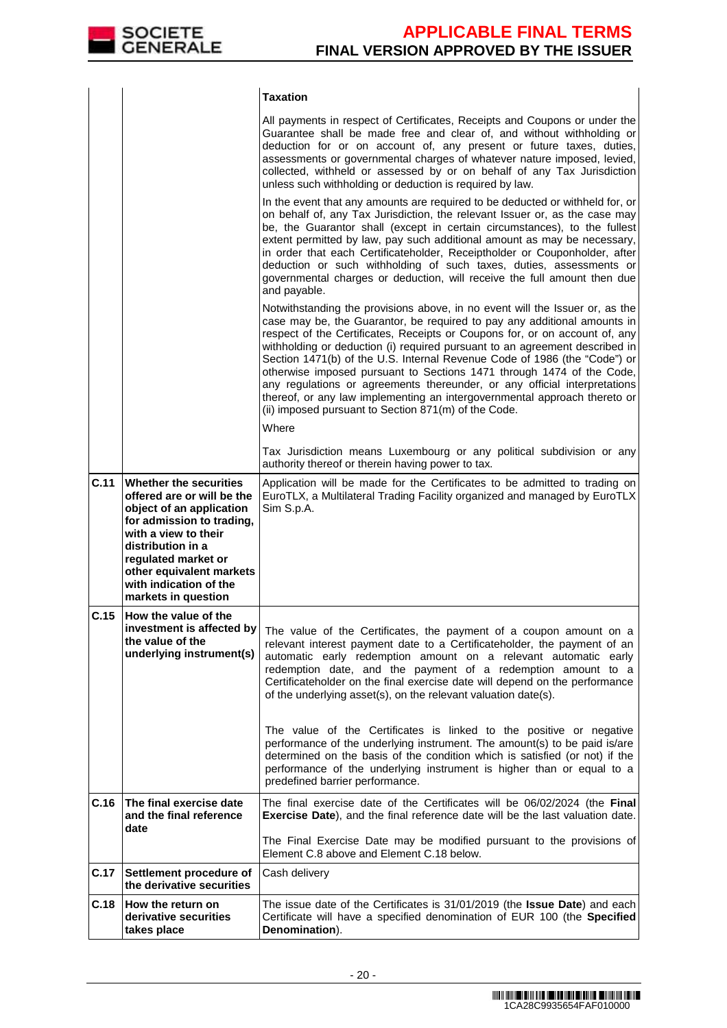

|      |                                                                                                                                                                                                                                      | <b>Taxation</b>                                                                                                                                                                                                                                                                                                                                                                                                                                                                                                                                                                                                                                                                                         |
|------|--------------------------------------------------------------------------------------------------------------------------------------------------------------------------------------------------------------------------------------|---------------------------------------------------------------------------------------------------------------------------------------------------------------------------------------------------------------------------------------------------------------------------------------------------------------------------------------------------------------------------------------------------------------------------------------------------------------------------------------------------------------------------------------------------------------------------------------------------------------------------------------------------------------------------------------------------------|
|      |                                                                                                                                                                                                                                      | All payments in respect of Certificates, Receipts and Coupons or under the<br>Guarantee shall be made free and clear of, and without withholding or<br>deduction for or on account of, any present or future taxes, duties,<br>assessments or governmental charges of whatever nature imposed, levied,<br>collected, withheld or assessed by or on behalf of any Tax Jurisdiction<br>unless such withholding or deduction is required by law.                                                                                                                                                                                                                                                           |
|      |                                                                                                                                                                                                                                      | In the event that any amounts are required to be deducted or withheld for, or<br>on behalf of, any Tax Jurisdiction, the relevant Issuer or, as the case may<br>be, the Guarantor shall (except in certain circumstances), to the fullest<br>extent permitted by law, pay such additional amount as may be necessary,<br>in order that each Certificateholder, Receiptholder or Couponholder, after<br>deduction or such withholding of such taxes, duties, assessments or<br>governmental charges or deduction, will receive the full amount then due<br>and payable.                                                                                                                                  |
|      |                                                                                                                                                                                                                                      | Notwithstanding the provisions above, in no event will the Issuer or, as the<br>case may be, the Guarantor, be required to pay any additional amounts in<br>respect of the Certificates, Receipts or Coupons for, or on account of, any<br>withholding or deduction (i) required pursuant to an agreement described in<br>Section 1471(b) of the U.S. Internal Revenue Code of 1986 (the "Code") or<br>otherwise imposed pursuant to Sections 1471 through 1474 of the Code,<br>any regulations or agreements thereunder, or any official interpretations<br>thereof, or any law implementing an intergovernmental approach thereto or<br>(ii) imposed pursuant to Section 871(m) of the Code.<br>Where |
|      |                                                                                                                                                                                                                                      | Tax Jurisdiction means Luxembourg or any political subdivision or any                                                                                                                                                                                                                                                                                                                                                                                                                                                                                                                                                                                                                                   |
| C.11 | <b>Whether the securities</b>                                                                                                                                                                                                        | authority thereof or therein having power to tax.                                                                                                                                                                                                                                                                                                                                                                                                                                                                                                                                                                                                                                                       |
|      | offered are or will be the<br>object of an application<br>for admission to trading,<br>with a view to their<br>distribution in a<br>regulated market or<br>other equivalent markets<br>with indication of the<br>markets in question | Application will be made for the Certificates to be admitted to trading on<br>EuroTLX, a Multilateral Trading Facility organized and managed by EuroTLX<br>Sim S.p.A.                                                                                                                                                                                                                                                                                                                                                                                                                                                                                                                                   |
| C.15 | How the value of the<br>investment is affected by<br>the value of the<br>underlying instrument(s)                                                                                                                                    | The value of the Certificates, the payment of a coupon amount on a<br>relevant interest payment date to a Certificateholder, the payment of an<br>automatic early redemption amount on a relevant automatic early<br>redemption date, and the payment of a redemption amount to a<br>Certificateholder on the final exercise date will depend on the performance<br>of the underlying asset(s), on the relevant valuation date(s).                                                                                                                                                                                                                                                                      |
|      |                                                                                                                                                                                                                                      | The value of the Certificates is linked to the positive or negative<br>performance of the underlying instrument. The amount(s) to be paid is/are<br>determined on the basis of the condition which is satisfied (or not) if the<br>performance of the underlying instrument is higher than or equal to a<br>predefined barrier performance.                                                                                                                                                                                                                                                                                                                                                             |
| C.16 | The final exercise date<br>and the final reference<br>date                                                                                                                                                                           | The final exercise date of the Certificates will be 06/02/2024 (the Final<br>Exercise Date), and the final reference date will be the last valuation date.                                                                                                                                                                                                                                                                                                                                                                                                                                                                                                                                              |
|      |                                                                                                                                                                                                                                      | The Final Exercise Date may be modified pursuant to the provisions of<br>Element C.8 above and Element C.18 below.                                                                                                                                                                                                                                                                                                                                                                                                                                                                                                                                                                                      |
| C.17 | Settlement procedure of<br>the derivative securities                                                                                                                                                                                 | Cash delivery                                                                                                                                                                                                                                                                                                                                                                                                                                                                                                                                                                                                                                                                                           |
| C.18 | How the return on<br>derivative securities<br>takes place                                                                                                                                                                            | The issue date of the Certificates is 31/01/2019 (the Issue Date) and each<br>Certificate will have a specified denomination of EUR 100 (the Specified<br>Denomination).                                                                                                                                                                                                                                                                                                                                                                                                                                                                                                                                |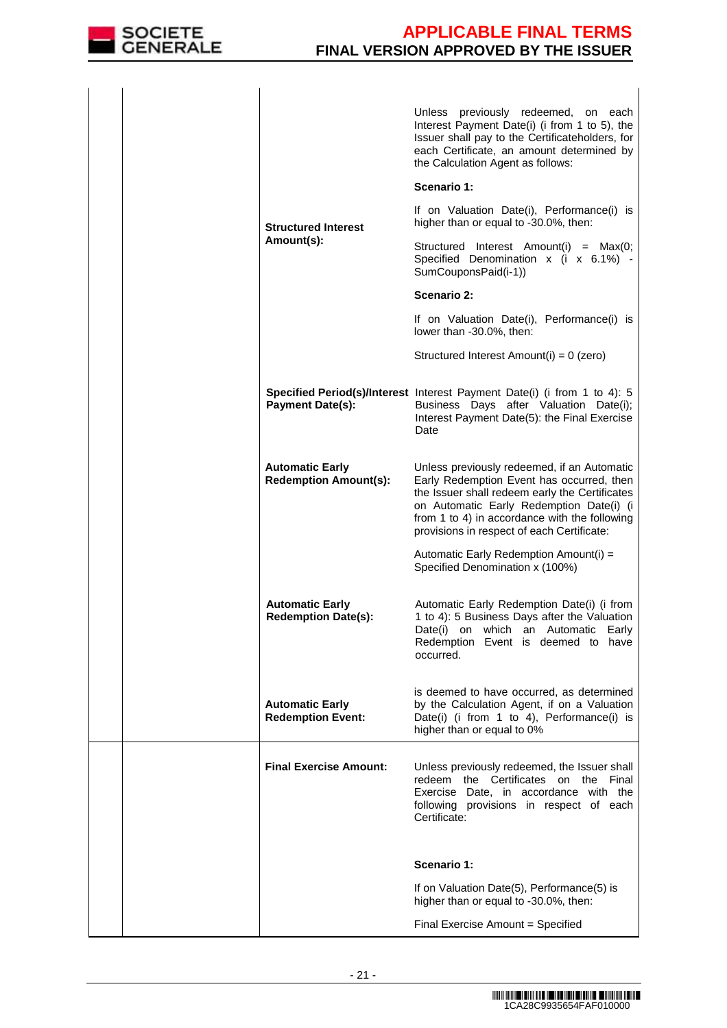

|  |                                                        | Unless previously redeemed, on each<br>Interest Payment Date(i) (i from 1 to 5), the<br>Issuer shall pay to the Certificateholders, for<br>each Certificate, an amount determined by<br>the Calculation Agent as follows:                                                             |
|--|--------------------------------------------------------|---------------------------------------------------------------------------------------------------------------------------------------------------------------------------------------------------------------------------------------------------------------------------------------|
|  |                                                        | Scenario 1:                                                                                                                                                                                                                                                                           |
|  | <b>Structured Interest</b>                             | If on Valuation Date(i), Performance(i) is<br>higher than or equal to -30.0%, then:                                                                                                                                                                                                   |
|  | Amount(s):                                             | Structured Interest Amount(i) = Max(0;<br>Specified Denomination x (i x 6.1%) -<br>SumCouponsPaid(i-1))                                                                                                                                                                               |
|  |                                                        | Scenario 2:                                                                                                                                                                                                                                                                           |
|  |                                                        | If on Valuation Date(i), Performance(i) is<br>lower than -30.0%, then:                                                                                                                                                                                                                |
|  |                                                        | Structured Interest Amount(i) = $0$ (zero)                                                                                                                                                                                                                                            |
|  | <b>Payment Date(s):</b>                                | Specified Period(s)/Interest Interest Payment Date(i) (i from 1 to 4): 5<br>Business Days after Valuation Date(i);<br>Interest Payment Date(5): the Final Exercise<br>Date                                                                                                            |
|  | <b>Automatic Early</b><br><b>Redemption Amount(s):</b> | Unless previously redeemed, if an Automatic<br>Early Redemption Event has occurred, then<br>the Issuer shall redeem early the Certificates<br>on Automatic Early Redemption Date(i) (i<br>from 1 to 4) in accordance with the following<br>provisions in respect of each Certificate: |
|  |                                                        | Automatic Early Redemption Amount(i) =<br>Specified Denomination x (100%)                                                                                                                                                                                                             |
|  | <b>Automatic Early</b><br><b>Redemption Date(s):</b>   | Automatic Early Redemption Date(i) (i from<br>1 to 4): 5 Business Days after the Valuation<br>Date(i) on which an Automatic Early<br>Redemption Event is deemed to have<br>occurred.                                                                                                  |
|  | <b>Automatic Early</b><br><b>Redemption Event:</b>     | is deemed to have occurred, as determined<br>by the Calculation Agent, if on a Valuation<br>Date(i) (i from 1 to 4), Performance(i) is<br>higher than or equal to 0%                                                                                                                  |
|  | <b>Final Exercise Amount:</b>                          | Unless previously redeemed, the Issuer shall<br>redeem<br>the Certificates on the<br>Final<br>Exercise Date, in accordance with the<br>following provisions in respect of each<br>Certificate:                                                                                        |
|  |                                                        | Scenario 1:                                                                                                                                                                                                                                                                           |
|  |                                                        | If on Valuation Date(5), Performance(5) is<br>higher than or equal to -30.0%, then:                                                                                                                                                                                                   |
|  |                                                        | Final Exercise Amount = Specified                                                                                                                                                                                                                                                     |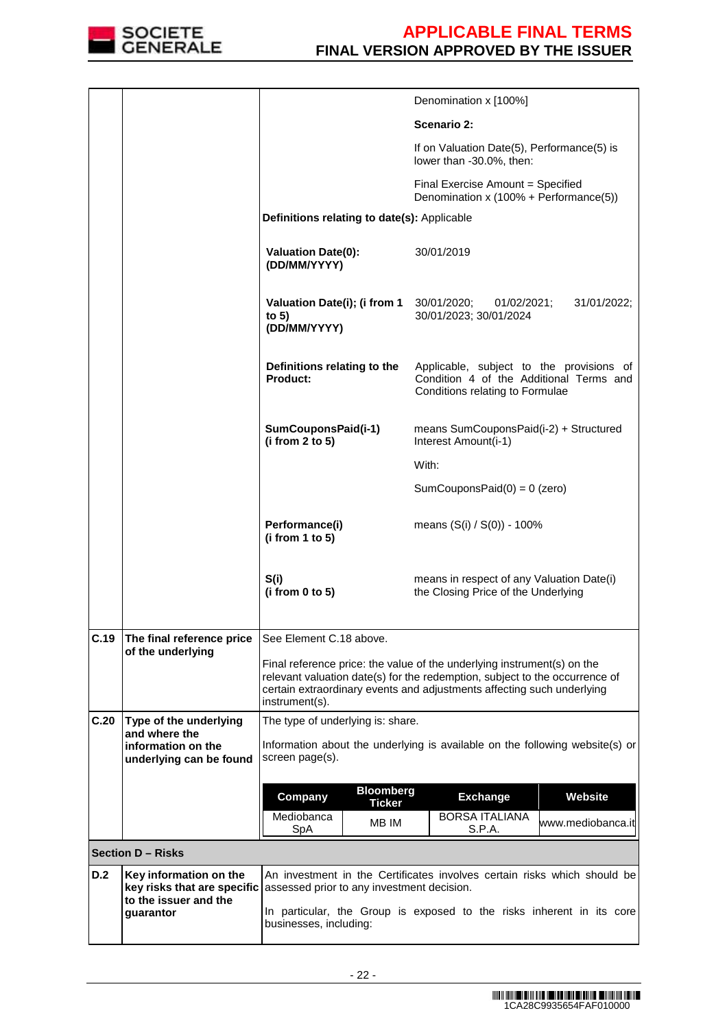

|      |                                                                                             |                                                                                                                                                                                                                                                    |       | Denomination x [100%]                                                                                                  |                   |
|------|---------------------------------------------------------------------------------------------|----------------------------------------------------------------------------------------------------------------------------------------------------------------------------------------------------------------------------------------------------|-------|------------------------------------------------------------------------------------------------------------------------|-------------------|
|      |                                                                                             |                                                                                                                                                                                                                                                    |       | Scenario 2:                                                                                                            |                   |
|      |                                                                                             |                                                                                                                                                                                                                                                    |       | If on Valuation Date(5), Performance(5) is<br>lower than -30.0%, then:                                                 |                   |
|      |                                                                                             |                                                                                                                                                                                                                                                    |       | Final Exercise Amount = Specified<br>Denomination x (100% + Performance(5))                                            |                   |
|      |                                                                                             | Definitions relating to date(s): Applicable                                                                                                                                                                                                        |       |                                                                                                                        |                   |
|      |                                                                                             | <b>Valuation Date(0):</b><br>(DD/MM/YYYY)                                                                                                                                                                                                          |       | 30/01/2019                                                                                                             |                   |
|      |                                                                                             | Valuation Date(i); (i from 1<br>to $5)$<br>(DD/MM/YYYY)                                                                                                                                                                                            |       | 30/01/2020;<br>01/02/2021;<br>30/01/2023; 30/01/2024                                                                   | 31/01/2022;       |
|      |                                                                                             | Definitions relating to the<br>Product:                                                                                                                                                                                                            |       | Applicable, subject to the provisions of<br>Condition 4 of the Additional Terms and<br>Conditions relating to Formulae |                   |
|      |                                                                                             | SumCouponsPaid(i-1)<br>(i from 2 to 5)                                                                                                                                                                                                             |       | means SumCouponsPaid(i-2) + Structured<br>Interest Amount(i-1)                                                         |                   |
|      |                                                                                             |                                                                                                                                                                                                                                                    | With: |                                                                                                                        |                   |
|      |                                                                                             |                                                                                                                                                                                                                                                    |       | SumCouponsPaid $(0) = 0$ (zero)                                                                                        |                   |
|      |                                                                                             | Performance(i)<br>(i from 1 to 5)                                                                                                                                                                                                                  |       | means (S(i) / S(0)) - 100%                                                                                             |                   |
|      |                                                                                             | S(i)<br>(i from 0 to 5)                                                                                                                                                                                                                            |       | means in respect of any Valuation Date(i)<br>the Closing Price of the Underlying                                       |                   |
| C.19 | The final reference price                                                                   | See Element C.18 above.                                                                                                                                                                                                                            |       |                                                                                                                        |                   |
|      | of the underlying                                                                           | Final reference price: the value of the underlying instrument(s) on the<br>relevant valuation date(s) for the redemption, subject to the occurrence of<br>certain extraordinary events and adjustments affecting such underlying<br>instrument(s). |       |                                                                                                                        |                   |
| C.20 | Type of the underlying<br>and where the                                                     | The type of underlying is: share.                                                                                                                                                                                                                  |       |                                                                                                                        |                   |
|      | information on the<br>underlying can be found                                               | Information about the underlying is available on the following website(s) or<br>screen page(s).                                                                                                                                                    |       |                                                                                                                        |                   |
|      |                                                                                             | <b>Bloomberg</b><br>Company                                                                                                                                                                                                                        |       | <b>Exchange</b>                                                                                                        | <b>Website</b>    |
|      |                                                                                             | <b>Ticker</b><br>Mediobanca<br><b>MB IM</b>                                                                                                                                                                                                        |       | <b>BORSA ITALIANA</b>                                                                                                  | www.mediobanca.it |
|      |                                                                                             | SpA                                                                                                                                                                                                                                                |       | S.P.A.                                                                                                                 |                   |
| D.2  | <b>Section D - Risks</b>                                                                    |                                                                                                                                                                                                                                                    |       |                                                                                                                        |                   |
|      | Key information on the<br>key risks that are specific<br>to the issuer and the<br>guarantor | An investment in the Certificates involves certain risks which should be<br>assessed prior to any investment decision.<br>In particular, the Group is exposed to the risks inherent in its core<br>businesses, including:                          |       |                                                                                                                        |                   |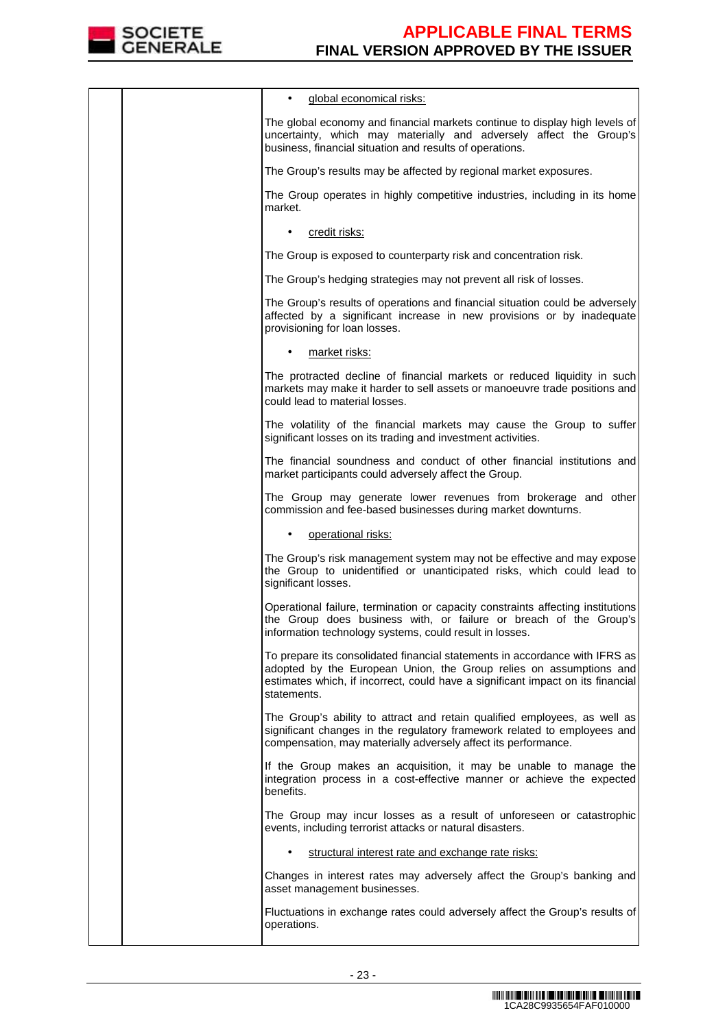

| global economical risks:                                                                                                                                                                                                                            |
|-----------------------------------------------------------------------------------------------------------------------------------------------------------------------------------------------------------------------------------------------------|
| The global economy and financial markets continue to display high levels of<br>uncertainty, which may materially and adversely affect the Group's<br>business, financial situation and results of operations.                                       |
| The Group's results may be affected by regional market exposures.                                                                                                                                                                                   |
| The Group operates in highly competitive industries, including in its home<br>market.                                                                                                                                                               |
| credit risks:                                                                                                                                                                                                                                       |
| The Group is exposed to counterparty risk and concentration risk.                                                                                                                                                                                   |
| The Group's hedging strategies may not prevent all risk of losses.                                                                                                                                                                                  |
| The Group's results of operations and financial situation could be adversely<br>affected by a significant increase in new provisions or by inadequate<br>provisioning for loan losses.                                                              |
| market risks:                                                                                                                                                                                                                                       |
| The protracted decline of financial markets or reduced liquidity in such<br>markets may make it harder to sell assets or manoeuvre trade positions and<br>could lead to material losses.                                                            |
| The volatility of the financial markets may cause the Group to suffer<br>significant losses on its trading and investment activities.                                                                                                               |
| The financial soundness and conduct of other financial institutions and<br>market participants could adversely affect the Group.                                                                                                                    |
| The Group may generate lower revenues from brokerage and other<br>commission and fee-based businesses during market downturns.                                                                                                                      |
| operational risks:                                                                                                                                                                                                                                  |
| The Group's risk management system may not be effective and may expose<br>the Group to unidentified or unanticipated risks, which could lead to<br>significant losses.                                                                              |
| Operational failure, termination or capacity constraints affecting institutions<br>the Group does business with, or failure or breach of the Group's<br>information technology systems, could result in losses.                                     |
| To prepare its consolidated financial statements in accordance with IFRS as<br>adopted by the European Union, the Group relies on assumptions and<br>estimates which, if incorrect, could have a significant impact on its financial<br>statements. |
| The Group's ability to attract and retain qualified employees, as well as<br>significant changes in the regulatory framework related to employees and<br>compensation, may materially adversely affect its performance.                             |
| If the Group makes an acquisition, it may be unable to manage the<br>integration process in a cost-effective manner or achieve the expected<br>benefits.                                                                                            |
| The Group may incur losses as a result of unforeseen or catastrophic<br>events, including terrorist attacks or natural disasters.                                                                                                                   |
| structural interest rate and exchange rate risks:                                                                                                                                                                                                   |
| Changes in interest rates may adversely affect the Group's banking and<br>asset management businesses.                                                                                                                                              |
| Fluctuations in exchange rates could adversely affect the Group's results of<br>operations.                                                                                                                                                         |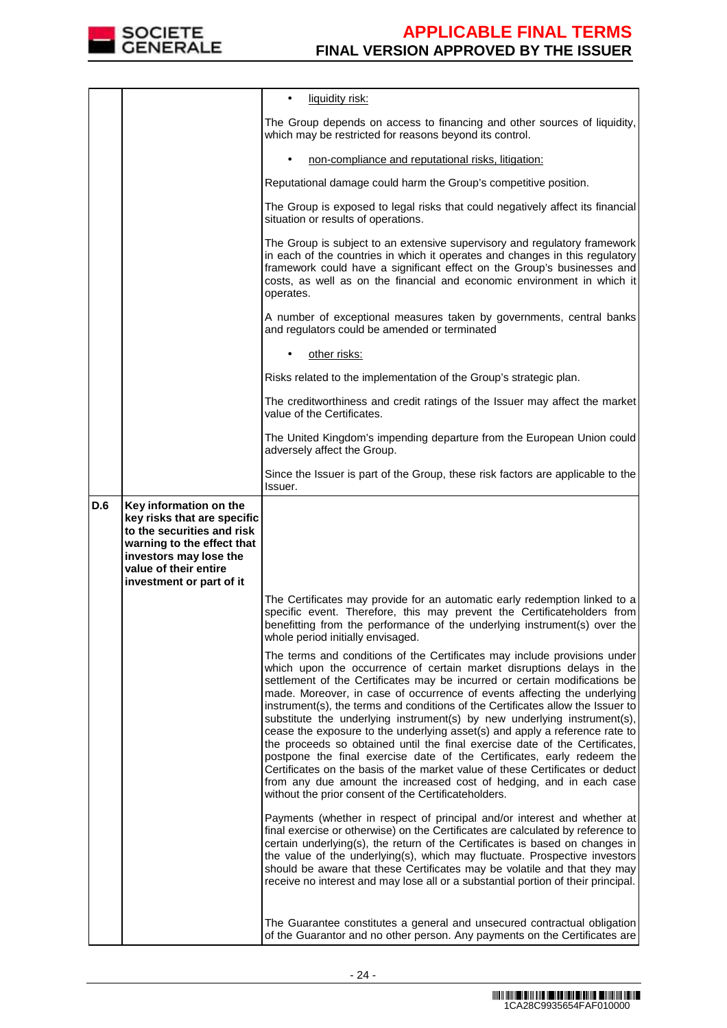

|     |                                                                                                                                                                                                  | liquidity risk:                                                                                                                                                                                                                                                                                                                                                                                                                                                                                                                                                                                                                                                                                                                                                                                                                                                                                                                     |
|-----|--------------------------------------------------------------------------------------------------------------------------------------------------------------------------------------------------|-------------------------------------------------------------------------------------------------------------------------------------------------------------------------------------------------------------------------------------------------------------------------------------------------------------------------------------------------------------------------------------------------------------------------------------------------------------------------------------------------------------------------------------------------------------------------------------------------------------------------------------------------------------------------------------------------------------------------------------------------------------------------------------------------------------------------------------------------------------------------------------------------------------------------------------|
|     |                                                                                                                                                                                                  | The Group depends on access to financing and other sources of liquidity,<br>which may be restricted for reasons beyond its control.                                                                                                                                                                                                                                                                                                                                                                                                                                                                                                                                                                                                                                                                                                                                                                                                 |
|     |                                                                                                                                                                                                  | non-compliance and reputational risks, litigation:                                                                                                                                                                                                                                                                                                                                                                                                                                                                                                                                                                                                                                                                                                                                                                                                                                                                                  |
|     |                                                                                                                                                                                                  | Reputational damage could harm the Group's competitive position.                                                                                                                                                                                                                                                                                                                                                                                                                                                                                                                                                                                                                                                                                                                                                                                                                                                                    |
|     |                                                                                                                                                                                                  | The Group is exposed to legal risks that could negatively affect its financial<br>situation or results of operations.                                                                                                                                                                                                                                                                                                                                                                                                                                                                                                                                                                                                                                                                                                                                                                                                               |
|     |                                                                                                                                                                                                  | The Group is subject to an extensive supervisory and regulatory framework<br>in each of the countries in which it operates and changes in this regulatory<br>framework could have a significant effect on the Group's businesses and<br>costs, as well as on the financial and economic environment in which it<br>operates.                                                                                                                                                                                                                                                                                                                                                                                                                                                                                                                                                                                                        |
|     |                                                                                                                                                                                                  | A number of exceptional measures taken by governments, central banks<br>and regulators could be amended or terminated                                                                                                                                                                                                                                                                                                                                                                                                                                                                                                                                                                                                                                                                                                                                                                                                               |
|     |                                                                                                                                                                                                  | other risks:                                                                                                                                                                                                                                                                                                                                                                                                                                                                                                                                                                                                                                                                                                                                                                                                                                                                                                                        |
|     |                                                                                                                                                                                                  | Risks related to the implementation of the Group's strategic plan.                                                                                                                                                                                                                                                                                                                                                                                                                                                                                                                                                                                                                                                                                                                                                                                                                                                                  |
|     |                                                                                                                                                                                                  | The creditworthiness and credit ratings of the Issuer may affect the market<br>value of the Certificates.                                                                                                                                                                                                                                                                                                                                                                                                                                                                                                                                                                                                                                                                                                                                                                                                                           |
|     |                                                                                                                                                                                                  | The United Kingdom's impending departure from the European Union could<br>adversely affect the Group.                                                                                                                                                                                                                                                                                                                                                                                                                                                                                                                                                                                                                                                                                                                                                                                                                               |
|     |                                                                                                                                                                                                  | Since the Issuer is part of the Group, these risk factors are applicable to the<br>Issuer.                                                                                                                                                                                                                                                                                                                                                                                                                                                                                                                                                                                                                                                                                                                                                                                                                                          |
| D.6 | Key information on the<br>key risks that are specific<br>to the securities and risk<br>warning to the effect that<br>investors may lose the<br>value of their entire<br>investment or part of it |                                                                                                                                                                                                                                                                                                                                                                                                                                                                                                                                                                                                                                                                                                                                                                                                                                                                                                                                     |
|     |                                                                                                                                                                                                  | The Certificates may provide for an automatic early redemption linked to a<br>specific event. Therefore, this may prevent the Certificateholders from<br>benefitting from the performance of the underlying instrument(s) over the<br>whole period initially envisaged.                                                                                                                                                                                                                                                                                                                                                                                                                                                                                                                                                                                                                                                             |
|     |                                                                                                                                                                                                  | The terms and conditions of the Certificates may include provisions under<br>which upon the occurrence of certain market disruptions delays in the<br>settlement of the Certificates may be incurred or certain modifications be<br>made. Moreover, in case of occurrence of events affecting the underlying<br>instrument(s), the terms and conditions of the Certificates allow the Issuer to<br>substitute the underlying instrument(s) by new underlying instrument(s),<br>cease the exposure to the underlying asset(s) and apply a reference rate to<br>the proceeds so obtained until the final exercise date of the Certificates,<br>postpone the final exercise date of the Certificates, early redeem the<br>Certificates on the basis of the market value of these Certificates or deduct<br>from any due amount the increased cost of hedging, and in each case<br>without the prior consent of the Certificateholders. |
|     |                                                                                                                                                                                                  | Payments (whether in respect of principal and/or interest and whether at<br>final exercise or otherwise) on the Certificates are calculated by reference to<br>certain underlying(s), the return of the Certificates is based on changes in<br>the value of the underlying(s), which may fluctuate. Prospective investors<br>should be aware that these Certificates may be volatile and that they may<br>receive no interest and may lose all or a substantial portion of their principal.                                                                                                                                                                                                                                                                                                                                                                                                                                         |
|     |                                                                                                                                                                                                  | The Guarantee constitutes a general and unsecured contractual obligation<br>of the Guarantor and no other person. Any payments on the Certificates are                                                                                                                                                                                                                                                                                                                                                                                                                                                                                                                                                                                                                                                                                                                                                                              |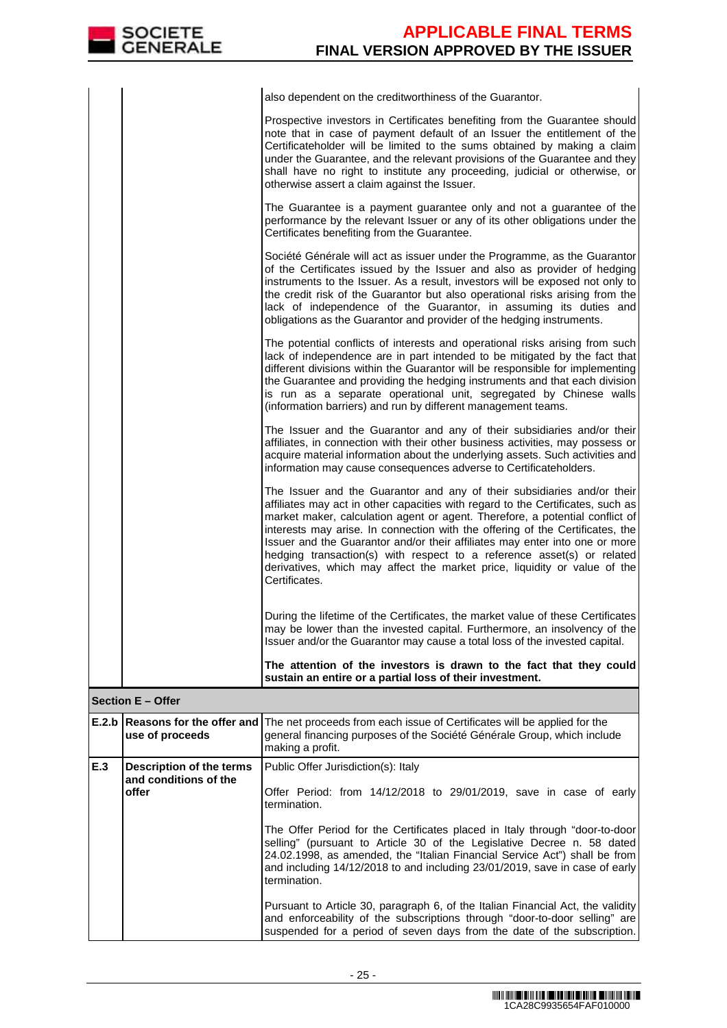| also dependent on the creditworthiness of the Guarantor.                                                                                                                                                                                                                                                                                                                                                                                                                                                                                                                           |
|------------------------------------------------------------------------------------------------------------------------------------------------------------------------------------------------------------------------------------------------------------------------------------------------------------------------------------------------------------------------------------------------------------------------------------------------------------------------------------------------------------------------------------------------------------------------------------|
| Prospective investors in Certificates benefiting from the Guarantee should<br>note that in case of payment default of an Issuer the entitlement of the<br>Certificateholder will be limited to the sums obtained by making a claim<br>under the Guarantee, and the relevant provisions of the Guarantee and they<br>shall have no right to institute any proceeding, judicial or otherwise, or<br>otherwise assert a claim against the Issuer.                                                                                                                                     |
| The Guarantee is a payment guarantee only and not a guarantee of the<br>performance by the relevant Issuer or any of its other obligations under the<br>Certificates benefiting from the Guarantee.                                                                                                                                                                                                                                                                                                                                                                                |
| Société Générale will act as issuer under the Programme, as the Guarantor<br>of the Certificates issued by the Issuer and also as provider of hedging<br>instruments to the Issuer. As a result, investors will be exposed not only to<br>the credit risk of the Guarantor but also operational risks arising from the<br>lack of independence of the Guarantor, in assuming its duties and<br>obligations as the Guarantor and provider of the hedging instruments.                                                                                                               |
| The potential conflicts of interests and operational risks arising from such<br>lack of independence are in part intended to be mitigated by the fact that<br>different divisions within the Guarantor will be responsible for implementing<br>the Guarantee and providing the hedging instruments and that each division<br>is run as a separate operational unit, segregated by Chinese walls<br>(information barriers) and run by different management teams.                                                                                                                   |
| The Issuer and the Guarantor and any of their subsidiaries and/or their<br>affiliates, in connection with their other business activities, may possess or<br>acquire material information about the underlying assets. Such activities and<br>information may cause consequences adverse to Certificateholders.                                                                                                                                                                                                                                                                    |
| The Issuer and the Guarantor and any of their subsidiaries and/or their<br>affiliates may act in other capacities with regard to the Certificates, such as<br>market maker, calculation agent or agent. Therefore, a potential conflict of<br>interests may arise. In connection with the offering of the Certificates, the<br>Issuer and the Guarantor and/or their affiliates may enter into one or more<br>hedging transaction(s) with respect to a reference asset(s) or related<br>derivatives, which may affect the market price, liquidity or value of the<br>Certificates. |
| During the lifetime of the Certificates, the market value of these Certificates<br>may be lower than the invested capital. Furthermore, an insolvency of the<br>Issuer and/or the Guarantor may cause a total loss of the invested capital.                                                                                                                                                                                                                                                                                                                                        |
| The attention of the investors is drawn to the fact that they could<br>sustain an entire or a partial loss of their investment.                                                                                                                                                                                                                                                                                                                                                                                                                                                    |

### **Section E – Offer**

|     | use of proceeds                                            | <b>E.2.b</b> Reasons for the offer and The net proceeds from each issue of Certificates will be applied for the<br>general financing purposes of the Société Générale Group, which include<br>making a profit.                                                                                                                                                                                                                                                                                                                                                                                                                                                                                               |
|-----|------------------------------------------------------------|--------------------------------------------------------------------------------------------------------------------------------------------------------------------------------------------------------------------------------------------------------------------------------------------------------------------------------------------------------------------------------------------------------------------------------------------------------------------------------------------------------------------------------------------------------------------------------------------------------------------------------------------------------------------------------------------------------------|
| E.3 | Description of the terms<br>and conditions of the<br>offer | Public Offer Jurisdiction(s): Italy<br>Offer Period: from 14/12/2018 to 29/01/2019, save in case of early<br>termination.<br>The Offer Period for the Certificates placed in Italy through "door-to-door<br>selling" (pursuant to Article 30 of the Legislative Decree n. 58 dated)<br>24.02.1998, as amended, the "Italian Financial Service Act") shall be from<br>and including 14/12/2018 to and including 23/01/2019, save in case of early<br>termination.<br>Pursuant to Article 30, paragraph 6, of the Italian Financial Act, the validity<br>and enforceability of the subscriptions through "door-to-door selling" are<br>suspended for a period of seven days from the date of the subscription. |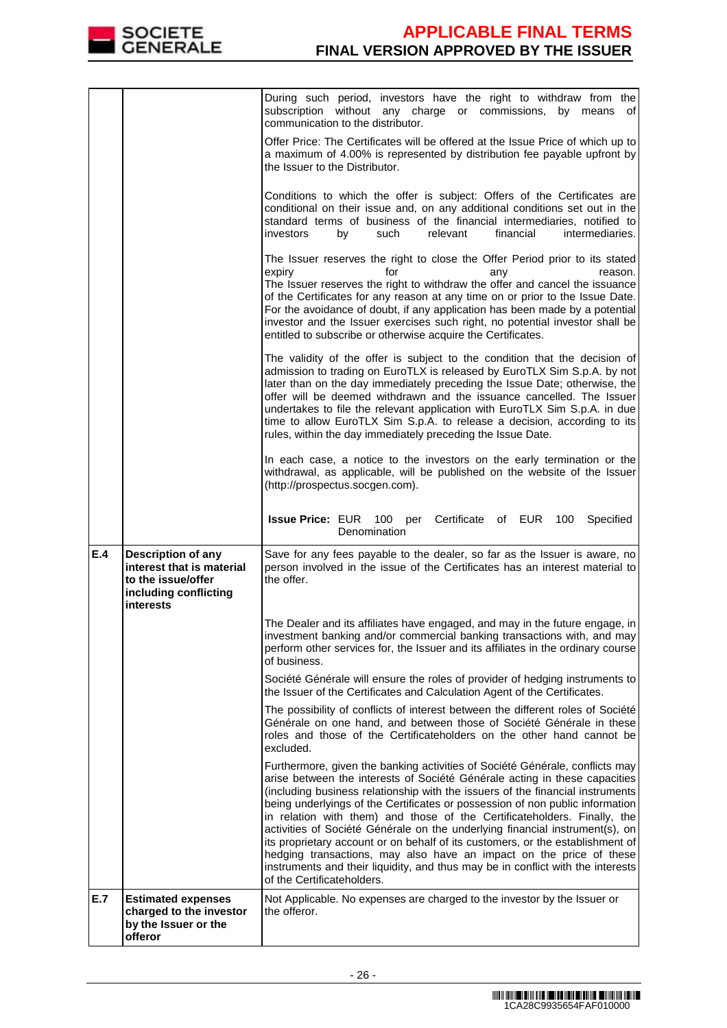

|     |                                                                                                                    | During such period, investors have the right to withdraw from the<br>subscription without any charge or commissions, by means<br>of<br>communication to the distributor.                                                                                                                                                                                                                                                                                                                                                                                                                                                                                                                                                                                            |
|-----|--------------------------------------------------------------------------------------------------------------------|---------------------------------------------------------------------------------------------------------------------------------------------------------------------------------------------------------------------------------------------------------------------------------------------------------------------------------------------------------------------------------------------------------------------------------------------------------------------------------------------------------------------------------------------------------------------------------------------------------------------------------------------------------------------------------------------------------------------------------------------------------------------|
|     |                                                                                                                    | Offer Price: The Certificates will be offered at the Issue Price of which up to<br>a maximum of 4.00% is represented by distribution fee payable upfront by<br>the Issuer to the Distributor.                                                                                                                                                                                                                                                                                                                                                                                                                                                                                                                                                                       |
|     |                                                                                                                    | Conditions to which the offer is subject: Offers of the Certificates are<br>conditional on their issue and, on any additional conditions set out in the<br>standard terms of business of the financial intermediaries, notified to<br>relevant<br>financial<br>intermediaries.<br>investors<br>such<br>by                                                                                                                                                                                                                                                                                                                                                                                                                                                           |
|     |                                                                                                                    | The Issuer reserves the right to close the Offer Period prior to its stated<br>for<br>expiry<br>any<br>reason.<br>The Issuer reserves the right to withdraw the offer and cancel the issuance<br>of the Certificates for any reason at any time on or prior to the Issue Date.<br>For the avoidance of doubt, if any application has been made by a potential<br>investor and the Issuer exercises such right, no potential investor shall be<br>entitled to subscribe or otherwise acquire the Certificates.                                                                                                                                                                                                                                                       |
|     |                                                                                                                    | The validity of the offer is subject to the condition that the decision of<br>admission to trading on EuroTLX is released by EuroTLX Sim S.p.A. by not<br>later than on the day immediately preceding the Issue Date; otherwise, the<br>offer will be deemed withdrawn and the issuance cancelled. The Issuer<br>undertakes to file the relevant application with EuroTLX Sim S.p.A. in due<br>time to allow EuroTLX Sim S.p.A. to release a decision, according to its<br>rules, within the day immediately preceding the Issue Date.                                                                                                                                                                                                                              |
|     |                                                                                                                    | In each case, a notice to the investors on the early termination or the<br>withdrawal, as applicable, will be published on the website of the Issuer<br>(http://prospectus.socgen.com).                                                                                                                                                                                                                                                                                                                                                                                                                                                                                                                                                                             |
|     |                                                                                                                    | Certificate of EUR<br><b>Issue Price: EUR</b><br>100<br>100<br>Specified<br>per<br>Denomination                                                                                                                                                                                                                                                                                                                                                                                                                                                                                                                                                                                                                                                                     |
| E.4 | <b>Description of any</b><br>interest that is material<br>to the issue/offer<br>including conflicting<br>interests | Save for any fees payable to the dealer, so far as the Issuer is aware, no<br>person involved in the issue of the Certificates has an interest material to<br>the offer.                                                                                                                                                                                                                                                                                                                                                                                                                                                                                                                                                                                            |
|     |                                                                                                                    | The Dealer and its affiliates have engaged, and may in the future engage, in<br>investment banking and/or commercial banking transactions with, and may<br>perform other services for, the Issuer and its affiliates in the ordinary course<br>of business.                                                                                                                                                                                                                                                                                                                                                                                                                                                                                                         |
|     |                                                                                                                    | Société Générale will ensure the roles of provider of hedging instruments to<br>the Issuer of the Certificates and Calculation Agent of the Certificates.                                                                                                                                                                                                                                                                                                                                                                                                                                                                                                                                                                                                           |
|     |                                                                                                                    | The possibility of conflicts of interest between the different roles of Société<br>Générale on one hand, and between those of Société Générale in these<br>roles and those of the Certificateholders on the other hand cannot be<br>excluded.                                                                                                                                                                                                                                                                                                                                                                                                                                                                                                                       |
|     |                                                                                                                    | Furthermore, given the banking activities of Société Générale, conflicts may<br>arise between the interests of Société Générale acting in these capacities<br>(including business relationship with the issuers of the financial instruments<br>being underlyings of the Certificates or possession of non public information<br>in relation with them) and those of the Certificateholders. Finally, the<br>activities of Société Générale on the underlying financial instrument(s), on<br>its proprietary account or on behalf of its customers, or the establishment of<br>hedging transactions, may also have an impact on the price of these<br>instruments and their liquidity, and thus may be in conflict with the interests<br>of the Certificateholders. |
| E.7 | <b>Estimated expenses</b><br>charged to the investor<br>by the Issuer or the<br>offeror                            | Not Applicable. No expenses are charged to the investor by the Issuer or<br>the offeror.                                                                                                                                                                                                                                                                                                                                                                                                                                                                                                                                                                                                                                                                            |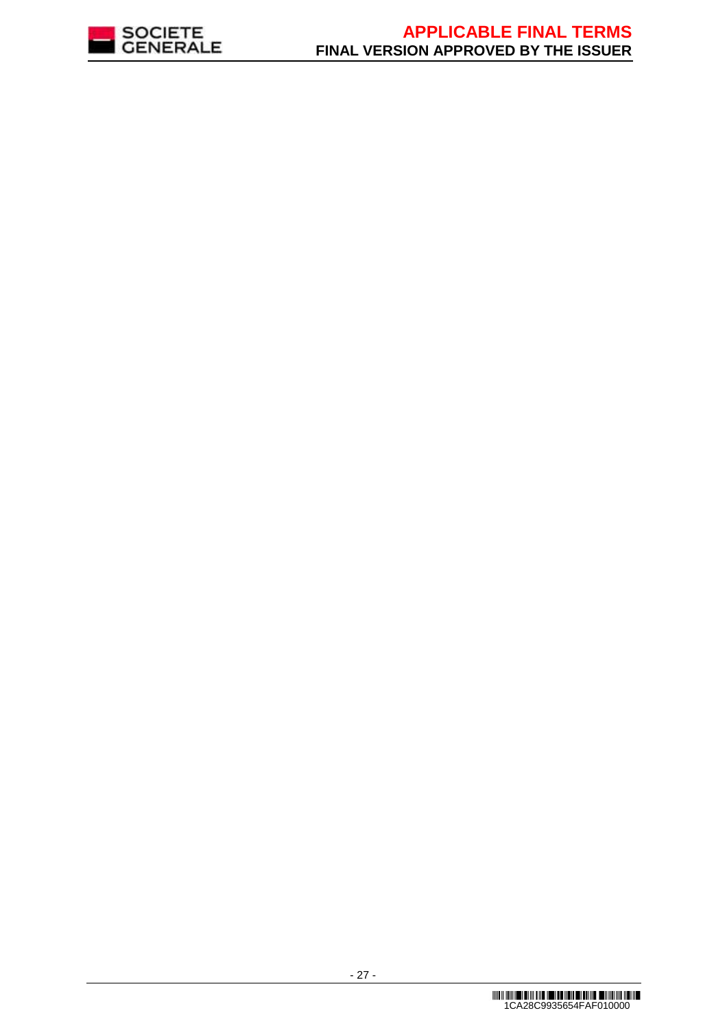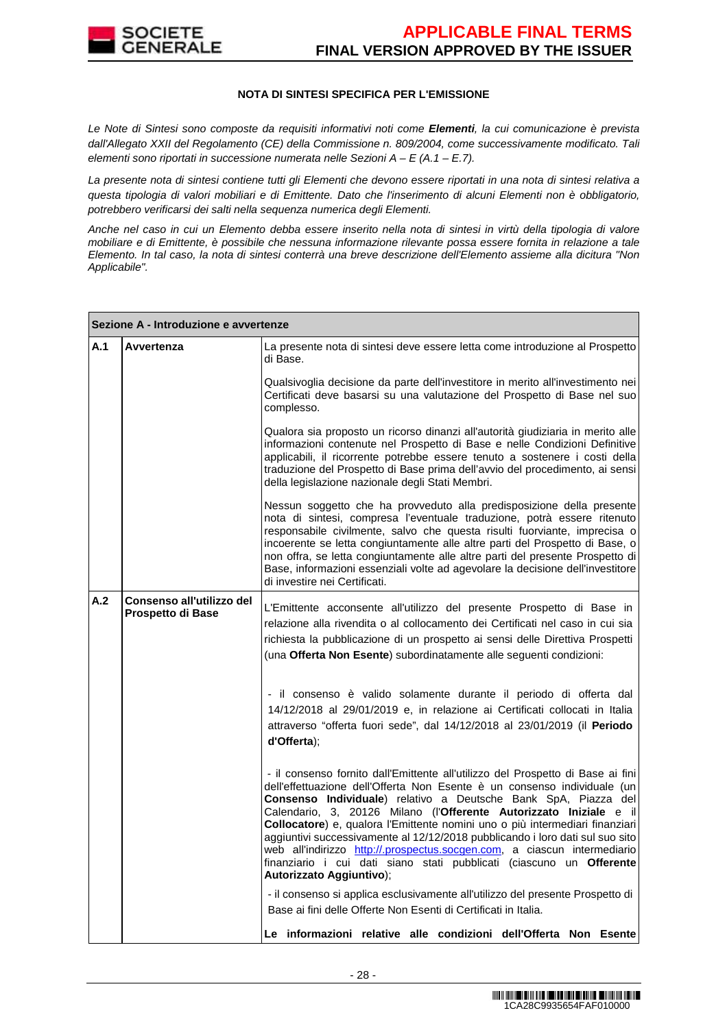

#### **NOTA DI SINTESI SPECIFICA PER L'EMISSIONE**

Le Note di Sintesi sono composte da requisiti informativi noti come **Elementi**, la cui comunicazione è prevista dall'Allegato XXII del Regolamento (CE) della Commissione n. 809/2004, come successivamente modificato. Tali elementi sono riportati in successione numerata nelle Sezioni  $A - E(A.1 - E.7)$ .

La presente nota di sintesi contiene tutti gli Elementi che devono essere riportati in una nota di sintesi relativa a questa tipologia di valori mobiliari e di Emittente. Dato che l'inserimento di alcuni Elementi non è obbligatorio, potrebbero verificarsi dei salti nella sequenza numerica degli Elementi.

Anche nel caso in cui un Elemento debba essere inserito nella nota di sintesi in virtù della tipologia di valore mobiliare e di Emittente, è possibile che nessuna informazione rilevante possa essere fornita in relazione a tale Elemento. In tal caso, la nota di sintesi conterrà una breve descrizione dell'Elemento assieme alla dicitura "Non Applicabile".

|     | Sezione A - Introduzione e avvertenze          |                                                                                                                                                                                                                                                                                                                                                                                                                                                                                                                                                                                                                                                      |  |  |  |  |
|-----|------------------------------------------------|------------------------------------------------------------------------------------------------------------------------------------------------------------------------------------------------------------------------------------------------------------------------------------------------------------------------------------------------------------------------------------------------------------------------------------------------------------------------------------------------------------------------------------------------------------------------------------------------------------------------------------------------------|--|--|--|--|
| A.1 | Avvertenza                                     | La presente nota di sintesi deve essere letta come introduzione al Prospetto<br>di Base.                                                                                                                                                                                                                                                                                                                                                                                                                                                                                                                                                             |  |  |  |  |
|     |                                                | Qualsivoglia decisione da parte dell'investitore in merito all'investimento nei<br>Certificati deve basarsi su una valutazione del Prospetto di Base nel suo<br>complesso.                                                                                                                                                                                                                                                                                                                                                                                                                                                                           |  |  |  |  |
|     |                                                | Qualora sia proposto un ricorso dinanzi all'autorità giudiziaria in merito alle<br>informazioni contenute nel Prospetto di Base e nelle Condizioni Definitive<br>applicabili, il ricorrente potrebbe essere tenuto a sostenere i costi della<br>traduzione del Prospetto di Base prima dell'avvio del procedimento, ai sensi<br>della legislazione nazionale degli Stati Membri.                                                                                                                                                                                                                                                                     |  |  |  |  |
|     |                                                | Nessun soggetto che ha provveduto alla predisposizione della presente<br>nota di sintesi, compresa l'eventuale traduzione, potrà essere ritenuto<br>responsabile civilmente, salvo che questa risulti fuorviante, imprecisa o<br>incoerente se letta congiuntamente alle altre parti del Prospetto di Base, o<br>non offra, se letta congiuntamente alle altre parti del presente Prospetto di<br>Base, informazioni essenziali volte ad agevolare la decisione dell'investitore<br>di investire nei Certificati.                                                                                                                                    |  |  |  |  |
| A.2 | Consenso all'utilizzo del<br>Prospetto di Base | L'Emittente acconsente all'utilizzo del presente Prospetto di Base in<br>relazione alla rivendita o al collocamento dei Certificati nel caso in cui sia<br>richiesta la pubblicazione di un prospetto ai sensi delle Direttiva Prospetti<br>(una Offerta Non Esente) subordinatamente alle seguenti condizioni:                                                                                                                                                                                                                                                                                                                                      |  |  |  |  |
|     |                                                | - il consenso è valido solamente durante il periodo di offerta dal<br>14/12/2018 al 29/01/2019 e, in relazione ai Certificati collocati in Italia<br>attraverso "offerta fuori sede", dal 14/12/2018 al 23/01/2019 (il Periodo<br>d'Offerta);                                                                                                                                                                                                                                                                                                                                                                                                        |  |  |  |  |
|     |                                                | - il consenso fornito dall'Emittente all'utilizzo del Prospetto di Base ai fini<br>dell'effettuazione dell'Offerta Non Esente è un consenso individuale (un<br>Consenso Individuale) relativo a Deutsche Bank SpA, Piazza del<br>Calendario, 3, 20126 Milano (l'Offerente Autorizzato Iniziale e il<br>Collocatore) e, qualora l'Emittente nomini uno o più intermediari finanziari<br>aggiuntivi successivamente al 12/12/2018 pubblicando i loro dati sul suo sito<br>web all'indirizzo http://.prospectus.socgen.com, a ciascun intermediario<br>finanziario i cui dati siano stati pubblicati (ciascuno un Offerente<br>Autorizzato Aggiuntivo); |  |  |  |  |
|     |                                                | - il consenso si applica esclusivamente all'utilizzo del presente Prospetto di<br>Base ai fini delle Offerte Non Esenti di Certificati in Italia.                                                                                                                                                                                                                                                                                                                                                                                                                                                                                                    |  |  |  |  |
|     |                                                | Le informazioni relative alle condizioni dell'Offerta Non Esente                                                                                                                                                                                                                                                                                                                                                                                                                                                                                                                                                                                     |  |  |  |  |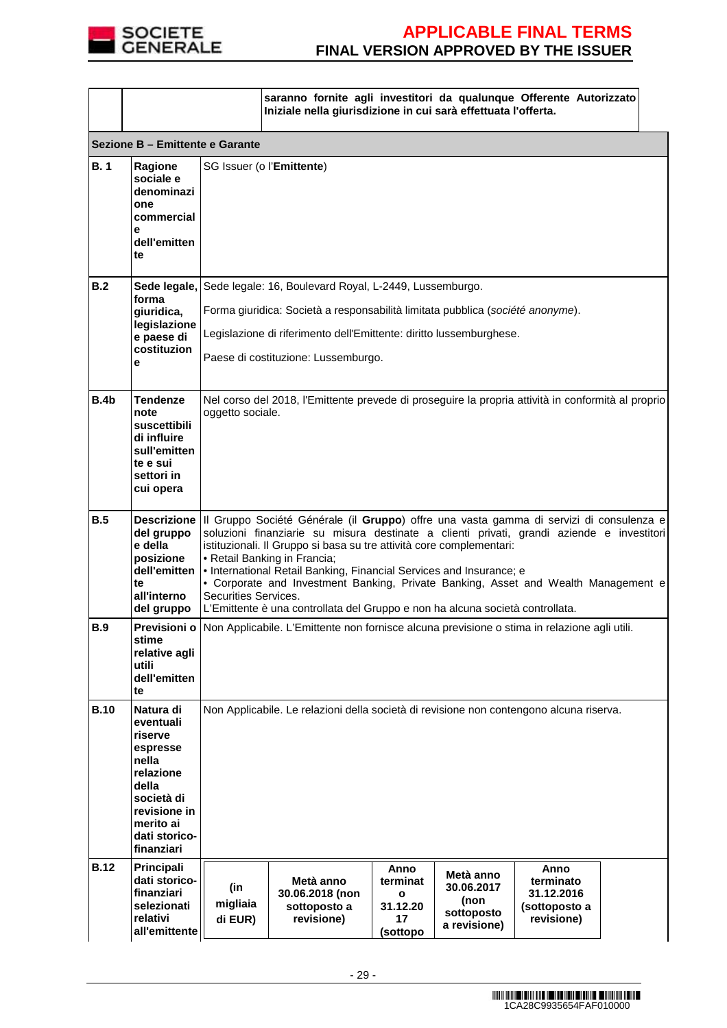

|                                 |                                                                                                                                                        |                                                                                                                                                                                                                                                                                                                                                                                                                                                                                                                                                                                 | saranno fornite agli investitori da qualunque Offerente Autorizzato<br>Iniziale nella giurisdizione in cui sarà effettuata l'offerta.                                                                                                                               |                                                     |                                                               |                                                                |  |
|---------------------------------|--------------------------------------------------------------------------------------------------------------------------------------------------------|---------------------------------------------------------------------------------------------------------------------------------------------------------------------------------------------------------------------------------------------------------------------------------------------------------------------------------------------------------------------------------------------------------------------------------------------------------------------------------------------------------------------------------------------------------------------------------|---------------------------------------------------------------------------------------------------------------------------------------------------------------------------------------------------------------------------------------------------------------------|-----------------------------------------------------|---------------------------------------------------------------|----------------------------------------------------------------|--|
| Sezione B - Emittente e Garante |                                                                                                                                                        |                                                                                                                                                                                                                                                                                                                                                                                                                                                                                                                                                                                 |                                                                                                                                                                                                                                                                     |                                                     |                                                               |                                                                |  |
| <b>B.1</b>                      | Ragione<br>sociale e<br>denominazi<br>one<br>commercial<br>е<br>dell'emitten<br>te                                                                     | SG Issuer (o l'Emittente)                                                                                                                                                                                                                                                                                                                                                                                                                                                                                                                                                       |                                                                                                                                                                                                                                                                     |                                                     |                                                               |                                                                |  |
| B.2                             | forma<br>giuridica,<br>legislazione<br>e paese di<br>costituzion<br>e                                                                                  |                                                                                                                                                                                                                                                                                                                                                                                                                                                                                                                                                                                 | Sede legale, Sede legale: 16, Boulevard Royal, L-2449, Lussemburgo.<br>Forma giuridica: Società a responsabilità limitata pubblica (société anonyme).<br>Legislazione di riferimento dell'Emittente: diritto lussemburghese.<br>Paese di costituzione: Lussemburgo. |                                                     |                                                               |                                                                |  |
| B.4 <sub>b</sub>                | <b>Tendenze</b><br>note<br>suscettibili<br>di influire<br>sull'emitten<br>te e sui<br>settori in<br>cui opera                                          | Nel corso del 2018, l'Emittente prevede di proseguire la propria attività in conformità al proprio<br>oggetto sociale.                                                                                                                                                                                                                                                                                                                                                                                                                                                          |                                                                                                                                                                                                                                                                     |                                                     |                                                               |                                                                |  |
| B.5                             | del gruppo<br>e della<br>posizione<br>dell'emitten<br>te<br>all'interno<br>del gruppo                                                                  | Descrizione III Gruppo Société Générale (il Gruppo) offre una vasta gamma di servizi di consulenza e<br>soluzioni finanziarie su misura destinate a clienti privati, grandi aziende e investitori<br>istituzionali. Il Gruppo si basa su tre attività core complementari:<br>• Retail Banking in Francia;<br>• International Retail Banking, Financial Services and Insurance; e<br>• Corporate and Investment Banking, Private Banking, Asset and Wealth Management e<br>Securities Services.<br>L'Emittente è una controllata del Gruppo e non ha alcuna società controllata. |                                                                                                                                                                                                                                                                     |                                                     |                                                               |                                                                |  |
| <b>B.9</b>                      | stime<br>relative agli<br>utili<br>dell'emitten<br>te                                                                                                  | Previsioni o Non Applicabile. L'Emittente non fornisce alcuna previsione o stima in relazione agli utili.                                                                                                                                                                                                                                                                                                                                                                                                                                                                       |                                                                                                                                                                                                                                                                     |                                                     |                                                               |                                                                |  |
| <b>B.10</b>                     | Natura di<br>eventuali<br>riserve<br>espresse<br>nella<br>relazione<br>della<br>società di<br>revisione in<br>merito ai<br>dati storico-<br>finanziari | Non Applicabile. Le relazioni della società di revisione non contengono alcuna riserva.                                                                                                                                                                                                                                                                                                                                                                                                                                                                                         |                                                                                                                                                                                                                                                                     |                                                     |                                                               |                                                                |  |
| <b>B.12</b>                     | Principali<br>dati storico-<br>finanziari<br>selezionati<br>relativi<br>all'emittente                                                                  | (in<br>migliaia<br>di EUR)                                                                                                                                                                                                                                                                                                                                                                                                                                                                                                                                                      | Metà anno<br>30.06.2018 (non<br>sottoposto a<br>revisione)                                                                                                                                                                                                          | Anno<br>terminat<br>O<br>31.12.20<br>17<br>(sottopo | Metà anno<br>30.06.2017<br>(non<br>sottoposto<br>a revisione) | Anno<br>terminato<br>31.12.2016<br>(sottoposto a<br>revisione) |  |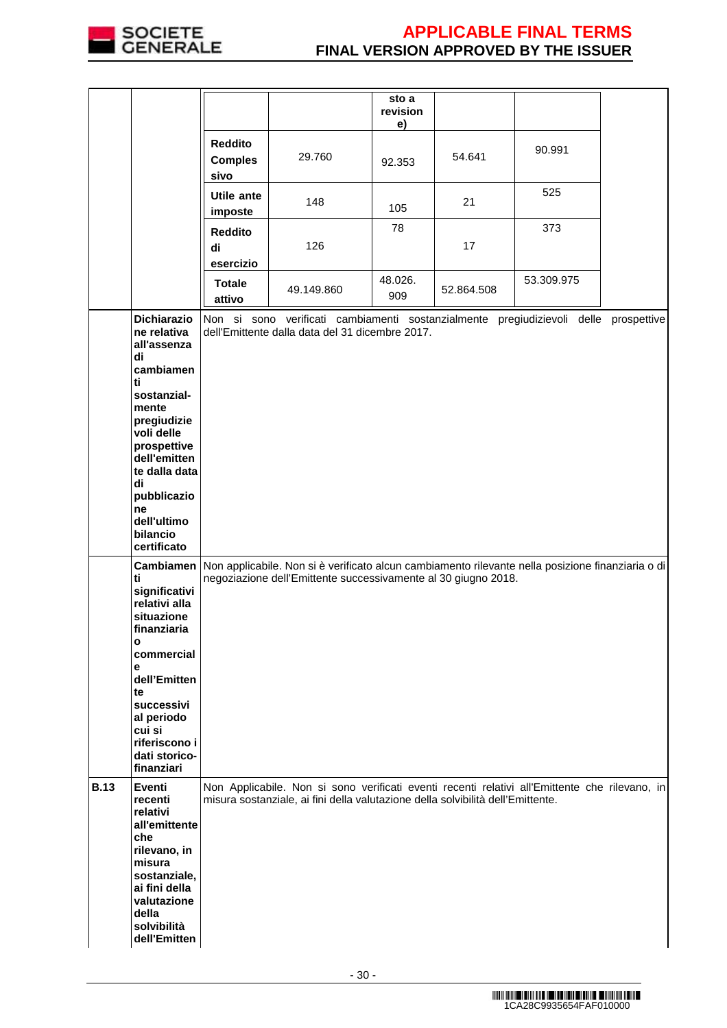

|             |                                                                                                                                                                                                                                                     |                                          |                                                                                                                                                                                   | sto a<br>revision<br>e) |            |            |             |
|-------------|-----------------------------------------------------------------------------------------------------------------------------------------------------------------------------------------------------------------------------------------------------|------------------------------------------|-----------------------------------------------------------------------------------------------------------------------------------------------------------------------------------|-------------------------|------------|------------|-------------|
|             |                                                                                                                                                                                                                                                     | <b>Reddito</b><br><b>Comples</b><br>sivo | 29.760                                                                                                                                                                            | 92.353                  | 54.641     | 90.991     |             |
|             |                                                                                                                                                                                                                                                     | Utile ante<br>imposte                    | 148                                                                                                                                                                               | 105                     | 21         | 525        |             |
|             |                                                                                                                                                                                                                                                     | <b>Reddito</b><br>di<br>esercizio        | 126                                                                                                                                                                               | 78                      | 17         | 373        |             |
|             |                                                                                                                                                                                                                                                     | <b>Totale</b><br>attivo                  | 49.149.860                                                                                                                                                                        | 48.026.<br>909          | 52.864.508 | 53.309.975 |             |
|             | <b>Dichiarazio</b><br>ne relativa<br>all'assenza<br>di<br>cambiamen<br>ti<br>sostanzial-<br>mente<br>pregiudizie<br>voli delle<br>prospettive<br>dell'emitten<br>te dalla data<br>di<br>pubblicazio<br>ne<br>dell'ultimo<br>bilancio<br>certificato |                                          | Non si sono verificati cambiamenti sostanzialmente pregiudizievoli delle<br>dell'Emittente dalla data del 31 dicembre 2017.                                                       |                         |            |            | prospettive |
|             | Cambiamen<br>ti<br>significativi<br>relativi alla<br>situazione<br>finanziaria<br>o<br>commercial<br>е<br>dell'Emitten<br>te<br>successivi<br>al periodo<br>cui si<br>riferiscono i<br>dati storico-<br>finanziari                                  |                                          | Non applicabile. Non si è verificato alcun cambiamento rilevante nella posizione finanziaria o di<br>negoziazione dell'Emittente successivamente al 30 giugno 2018.               |                         |            |            |             |
| <b>B.13</b> | Eventi<br>recenti<br>relativi<br>all'emittente<br>che<br>rilevano, in<br>misura<br>sostanziale,<br>ai fini della<br>valutazione<br>della<br>solvibilità<br>dell'Emitten                                                                             |                                          | Non Applicabile. Non si sono verificati eventi recenti relativi all'Emittente che rilevano, in<br>misura sostanziale, ai fini della valutazione della solvibilità dell'Emittente. |                         |            |            |             |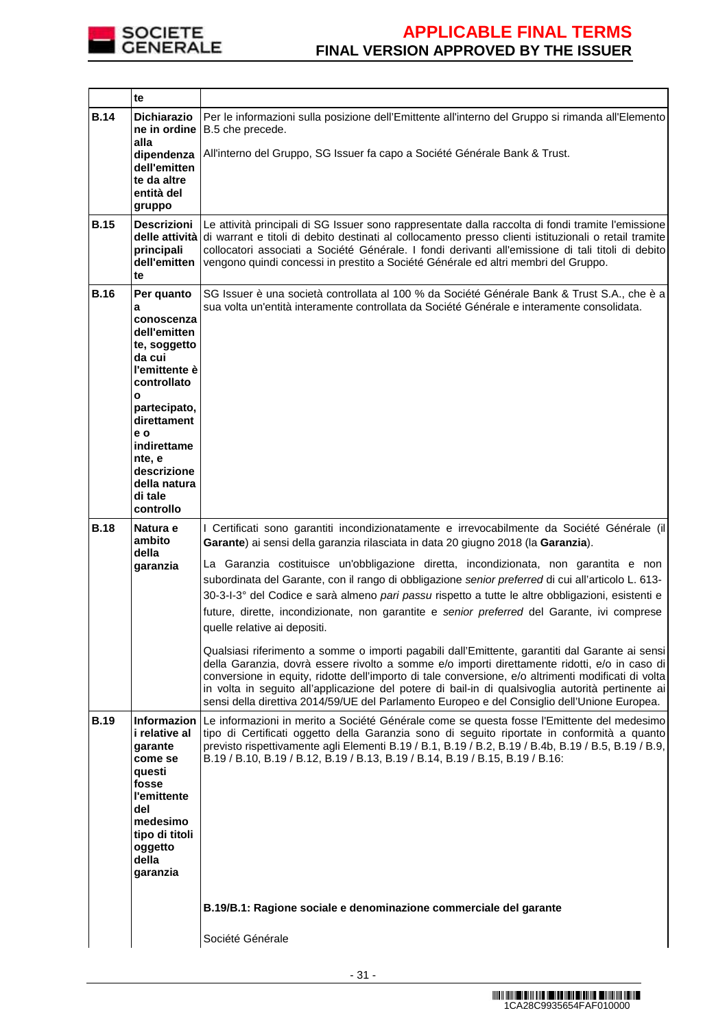

|             | te                                                                                                                                                               |                                                                                                                                                                                                                                                                                                                                                                                                                                                                                                                                                                                                                                                                                                                                                                                                                                                                                                                                                |
|-------------|------------------------------------------------------------------------------------------------------------------------------------------------------------------|------------------------------------------------------------------------------------------------------------------------------------------------------------------------------------------------------------------------------------------------------------------------------------------------------------------------------------------------------------------------------------------------------------------------------------------------------------------------------------------------------------------------------------------------------------------------------------------------------------------------------------------------------------------------------------------------------------------------------------------------------------------------------------------------------------------------------------------------------------------------------------------------------------------------------------------------|
| <b>B.14</b> | <b>Dichiarazio</b><br>ne in ordine<br>alla                                                                                                                       | Per le informazioni sulla posizione dell'Emittente all'interno del Gruppo si rimanda all'Elemento<br>B.5 che precede.                                                                                                                                                                                                                                                                                                                                                                                                                                                                                                                                                                                                                                                                                                                                                                                                                          |
|             | dipendenza<br>dell'emitten<br>te da altre<br>entità del<br>gruppo                                                                                                | All'interno del Gruppo, SG Issuer fa capo a Société Générale Bank & Trust.                                                                                                                                                                                                                                                                                                                                                                                                                                                                                                                                                                                                                                                                                                                                                                                                                                                                     |
| <b>B.15</b> | <b>Descrizioni</b><br>principali<br>dell'emitten<br>te                                                                                                           | Le attività principali di SG Issuer sono rappresentate dalla raccolta di fondi tramite l'emissione<br>delle attività di warrant e titoli di debito destinati al collocamento presso clienti istituzionali o retail tramite<br>collocatori associati a Société Générale. I fondi derivanti all'emissione di tali titoli di debito<br>vengono quindi concessi in prestito a Société Générale ed altri membri del Gruppo.                                                                                                                                                                                                                                                                                                                                                                                                                                                                                                                         |
| <b>B.16</b> | Per quanto<br>a<br>conoscenza<br>dell'emitten<br>te, soggetto<br>da cui<br>l'emittente è<br>controllato<br>$\mathbf{o}$                                          | SG Issuer è una società controllata al 100 % da Société Générale Bank & Trust S.A., che è a<br>sua volta un'entità interamente controllata da Société Générale e interamente consolidata.                                                                                                                                                                                                                                                                                                                                                                                                                                                                                                                                                                                                                                                                                                                                                      |
|             | partecipato,<br>direttament<br>e o<br>indirettame<br>nte, e<br>descrizione<br>della natura<br>di tale<br>controllo                                               |                                                                                                                                                                                                                                                                                                                                                                                                                                                                                                                                                                                                                                                                                                                                                                                                                                                                                                                                                |
| <b>B.18</b> |                                                                                                                                                                  |                                                                                                                                                                                                                                                                                                                                                                                                                                                                                                                                                                                                                                                                                                                                                                                                                                                                                                                                                |
|             | Natura e<br>ambito                                                                                                                                               | I Certificati sono garantiti incondizionatamente e irrevocabilmente da Société Générale (il<br>Garante) ai sensi della garanzia rilasciata in data 20 giugno 2018 (la Garanzia).                                                                                                                                                                                                                                                                                                                                                                                                                                                                                                                                                                                                                                                                                                                                                               |
|             | della<br>garanzia                                                                                                                                                | La Garanzia costituisce un'obbligazione diretta, incondizionata, non garantita e non<br>subordinata del Garante, con il rango di obbligazione senior preferred di cui all'articolo L. 613-<br>30-3-l-3° del Codice e sarà almeno pari passu rispetto a tutte le altre obbligazioni, esistenti e<br>future, dirette, incondizionate, non garantite e senior preferred del Garante, ivi comprese<br>quelle relative ai depositi.<br>Qualsiasi riferimento a somme o importi pagabili dall'Emittente, garantiti dal Garante ai sensi<br>della Garanzia, dovrà essere rivolto a somme e/o importi direttamente ridotti, e/o in caso di<br>conversione in equity, ridotte dell'importo di tale conversione, e/o altrimenti modificati di volta<br>in volta in seguito all'applicazione del potere di bail-in di qualsivoglia autorità pertinente ai<br>sensi della direttiva 2014/59/UE del Parlamento Europeo e del Consiglio dell'Unione Europea. |
| <b>B.19</b> | <b>Informazion</b><br>i relative al<br>garante<br>come se<br>questi<br>fosse<br>l'emittente<br>del<br>medesimo<br>tipo di titoli<br>oggetto<br>della<br>garanzia | Le informazioni in merito a Société Générale come se questa fosse l'Emittente del medesimo<br>tipo di Certificati oggetto della Garanzia sono di seguito riportate in conformità a quanto<br>previsto rispettivamente agli Elementi B.19 / B.1, B.19 / B.2, B.19 / B.4b, B.19 / B.5, B.19 / B.9,<br>B.19 / B.10, B.19 / B.12, B.19 / B.13, B.19 / B.14, B.19 / B.15, B.19 / B.16:                                                                                                                                                                                                                                                                                                                                                                                                                                                                                                                                                              |
|             |                                                                                                                                                                  | B.19/B.1: Ragione sociale e denominazione commerciale del garante                                                                                                                                                                                                                                                                                                                                                                                                                                                                                                                                                                                                                                                                                                                                                                                                                                                                              |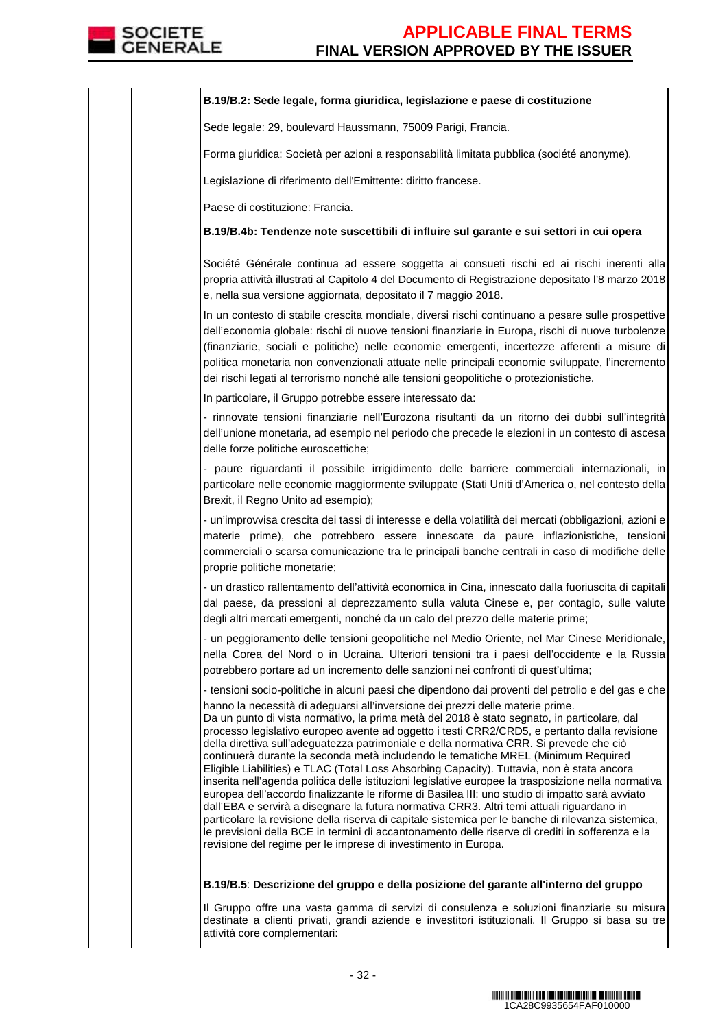### **B.19/B.2: Sede legale, forma giuridica, legislazione e paese di costituzione**

Sede legale: 29, boulevard Haussmann, 75009 Parigi, Francia.

Forma giuridica: Società per azioni a responsabilità limitata pubblica (société anonyme).

Legislazione di riferimento dell'Emittente: diritto francese.

Paese di costituzione: Francia.

#### **B.19/B.4b: Tendenze note suscettibili di influire sul garante e sui settori in cui opera**

Société Générale continua ad essere soggetta ai consueti rischi ed ai rischi inerenti alla propria attività illustrati al Capitolo 4 del Documento di Registrazione depositato l'8 marzo 2018 e, nella sua versione aggiornata, depositato il 7 maggio 2018.

In un contesto di stabile crescita mondiale, diversi rischi continuano a pesare sulle prospettive dell'economia globale: rischi di nuove tensioni finanziarie in Europa, rischi di nuove turbolenze (finanziarie, sociali e politiche) nelle economie emergenti, incertezze afferenti a misure di politica monetaria non convenzionali attuate nelle principali economie sviluppate, l'incremento dei rischi legati al terrorismo nonché alle tensioni geopolitiche o protezionistiche.

In particolare, il Gruppo potrebbe essere interessato da:

- rinnovate tensioni finanziarie nell'Eurozona risultanti da un ritorno dei dubbi sull'integrità dell'unione monetaria, ad esempio nel periodo che precede le elezioni in un contesto di ascesa delle forze politiche euroscettiche;

- paure riguardanti il possibile irrigidimento delle barriere commerciali internazionali, in particolare nelle economie maggiormente sviluppate (Stati Uniti d'America o, nel contesto della Brexit, il Regno Unito ad esempio);

- un'improvvisa crescita dei tassi di interesse e della volatilità dei mercati (obbligazioni, azioni e materie prime), che potrebbero essere innescate da paure inflazionistiche, tensioni commerciali o scarsa comunicazione tra le principali banche centrali in caso di modifiche delle proprie politiche monetarie;

- un drastico rallentamento dell'attività economica in Cina, innescato dalla fuoriuscita di capitali dal paese, da pressioni al deprezzamento sulla valuta Cinese e, per contagio, sulle valute degli altri mercati emergenti, nonché da un calo del prezzo delle materie prime;

- un peggioramento delle tensioni geopolitiche nel Medio Oriente, nel Mar Cinese Meridionale, nella Corea del Nord o in Ucraina. Ulteriori tensioni tra i paesi dell'occidente e la Russia potrebbero portare ad un incremento delle sanzioni nei confronti di quest'ultima;

- tensioni socio-politiche in alcuni paesi che dipendono dai proventi del petrolio e del gas e che hanno la necessità di adeguarsi all'inversione dei prezzi delle materie prime.

Da un punto di vista normativo, la prima metà del 2018 è stato segnato, in particolare, dal processo legislativo europeo avente ad oggetto i testi CRR2/CRD5, e pertanto dalla revisione della direttiva sull'adeguatezza patrimoniale e della normativa CRR. Si prevede che ciò continuerà durante la seconda metà includendo le tematiche MREL (Minimum Required Eligible Liabilities) e TLAC (Total Loss Absorbing Capacity). Tuttavia, non è stata ancora inserita nell'agenda politica delle istituzioni legislative europee la trasposizione nella normativa europea dell'accordo finalizzante le riforme di Basilea III: uno studio di impatto sarà avviato dall'EBA e servirà a disegnare la futura normativa CRR3. Altri temi attuali riguardano in particolare la revisione della riserva di capitale sistemica per le banche di rilevanza sistemica, le previsioni della BCE in termini di accantonamento delle riserve di crediti in sofferenza e la revisione del regime per le imprese di investimento in Europa.

#### **B.19/B.5**: **Descrizione del gruppo e della posizione del garante all'interno del gruppo**

Il Gruppo offre una vasta gamma di servizi di consulenza e soluzioni finanziarie su misura destinate a clienti privati, grandi aziende e investitori istituzionali. Il Gruppo si basa su tre attività core complementari: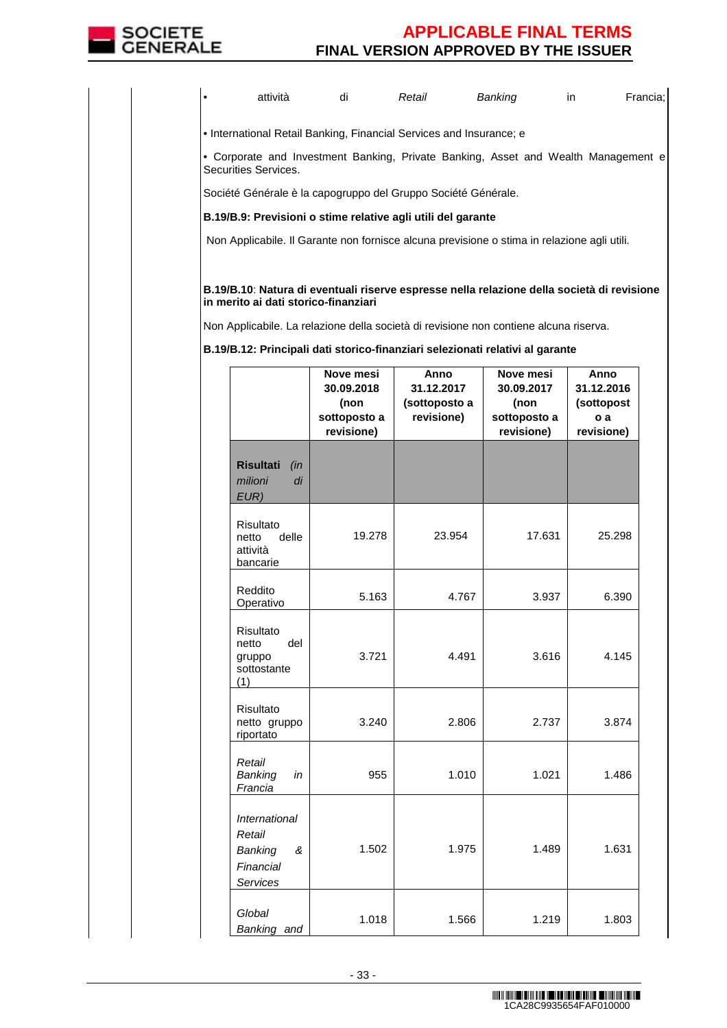

| $\bullet$ | attività                                                                       | di                                                            | Retail                                                                                                                                                                              | Banking                                                       | Francia;<br>in.                                       |
|-----------|--------------------------------------------------------------------------------|---------------------------------------------------------------|-------------------------------------------------------------------------------------------------------------------------------------------------------------------------------------|---------------------------------------------------------------|-------------------------------------------------------|
|           |                                                                                |                                                               | • International Retail Banking, Financial Services and Insurance; e                                                                                                                 |                                                               |                                                       |
|           | Securities Services.                                                           |                                                               | • Corporate and Investment Banking, Private Banking, Asset and Wealth Management e                                                                                                  |                                                               |                                                       |
|           |                                                                                |                                                               | Société Générale è la capogruppo del Gruppo Société Générale.                                                                                                                       |                                                               |                                                       |
|           |                                                                                |                                                               | B.19/B.9: Previsioni o stime relative agli utili del garante                                                                                                                        |                                                               |                                                       |
|           |                                                                                |                                                               | Non Applicabile. Il Garante non fornisce alcuna previsione o stima in relazione agli utili.                                                                                         |                                                               |                                                       |
|           | in merito ai dati storico-finanziari                                           |                                                               | B.19/B.10: Natura di eventuali riserve espresse nella relazione della società di revisione<br>Non Applicabile. La relazione della società di revisione non contiene alcuna riserva. |                                                               |                                                       |
|           |                                                                                |                                                               | B.19/B.12: Principali dati storico-finanziari selezionati relativi al garante                                                                                                       |                                                               |                                                       |
|           |                                                                                | Nove mesi<br>30.09.2018<br>(non<br>sottoposto a<br>revisione) | Anno<br>31.12.2017<br>(sottoposto a<br>revisione)                                                                                                                                   | Nove mesi<br>30.09.2017<br>(non<br>sottoposto a<br>revisione) | Anno<br>31.12.2016<br>(sottopost<br>o a<br>revisione) |
|           | <b>Risultati</b><br>(in<br>milioni<br>di<br>EUR)                               |                                                               |                                                                                                                                                                                     |                                                               |                                                       |
|           | Risultato<br>delle<br>netto<br>attività<br>bancarie                            | 19.278                                                        | 23.954                                                                                                                                                                              | 17.631                                                        | 25.298                                                |
|           | Reddito<br>Operativo                                                           | 5.163                                                         | 4.767                                                                                                                                                                               | 3.937                                                         | 6.390                                                 |
|           | Risultato<br>del<br>netto<br>gruppo<br>sottostante<br>(1)                      | 3.721                                                         | 4.491                                                                                                                                                                               | 3.616                                                         | 4.145                                                 |
|           | Risultato<br>netto gruppo<br>riportato                                         | 3.240                                                         | 2.806                                                                                                                                                                               | 2.737                                                         | 3.874                                                 |
|           | Retail<br>Banking<br>in<br>Francia                                             | 955                                                           | 1.010                                                                                                                                                                               | 1.021                                                         | 1.486                                                 |
|           | <i><b>International</b></i><br>Retail<br>&<br>Banking<br>Financial<br>Services | 1.502                                                         | 1.975                                                                                                                                                                               | 1.489                                                         | 1.631                                                 |
|           | Global<br>Banking and                                                          | 1.018                                                         | 1.566                                                                                                                                                                               | 1.219                                                         | 1.803                                                 |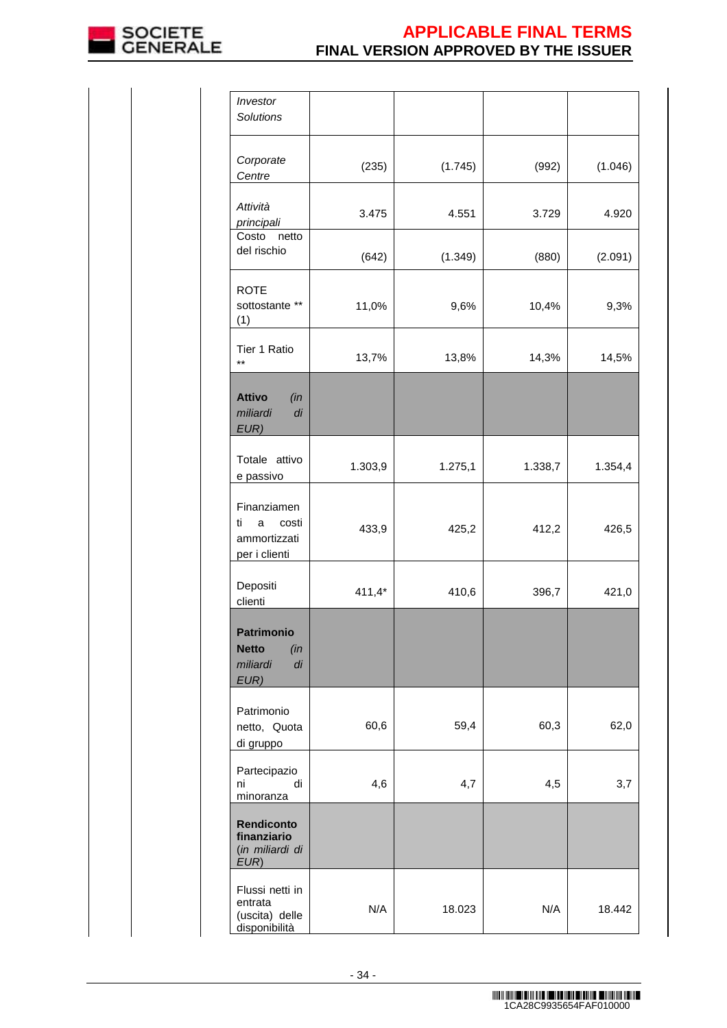

| Investor<br><b>Solutions</b>                                                |         |         |         |         |
|-----------------------------------------------------------------------------|---------|---------|---------|---------|
| Corporate<br>Centre                                                         | (235)   | (1.745) | (992)   | (1.046) |
| Attività<br>principali                                                      | 3.475   | 4.551   | 3.729   | 4.920   |
| Costo<br>netto<br>del rischio                                               | (642)   | (1.349) | (880)   | (2.091) |
| <b>ROTE</b><br>sottostante **<br>(1)                                        | 11,0%   | 9,6%    | 10,4%   | 9,3%    |
| Tier 1 Ratio<br>$***$                                                       | 13,7%   | 13,8%   | 14,3%   | 14,5%   |
| <b>Attivo</b><br>(in<br>miliardi<br>di<br>EUR)                              |         |         |         |         |
| Totale attivo<br>e passivo                                                  | 1.303,9 | 1.275,1 | 1.338,7 | 1.354,4 |
| Finanziamen<br>costi<br>ti<br>$\mathbf{a}$<br>ammortizzati<br>per i clienti | 433,9   | 425,2   | 412,2   | 426,5   |
| Depositi<br>clienti                                                         | 411,4*  | 410,6   | 396,7   | 421,0   |
| Patrimonio<br><b>Netto</b><br>(in<br>miliardi<br>di<br>EUR)                 |         |         |         |         |
| Patrimonio<br>netto, Quota<br>di gruppo                                     | 60,6    | 59,4    | 60,3    | 62,0    |
| Partecipazio<br>di<br>ni<br>minoranza                                       | 4,6     | 4,7     | 4,5     | 3,7     |
| <b>Rendiconto</b><br>finanziario<br>(in miliardi di<br>EUR)                 |         |         |         |         |
| Flussi netti in<br>entrata<br>(uscita) delle<br>disponibilità               | N/A     | 18.023  | N/A     | 18.442  |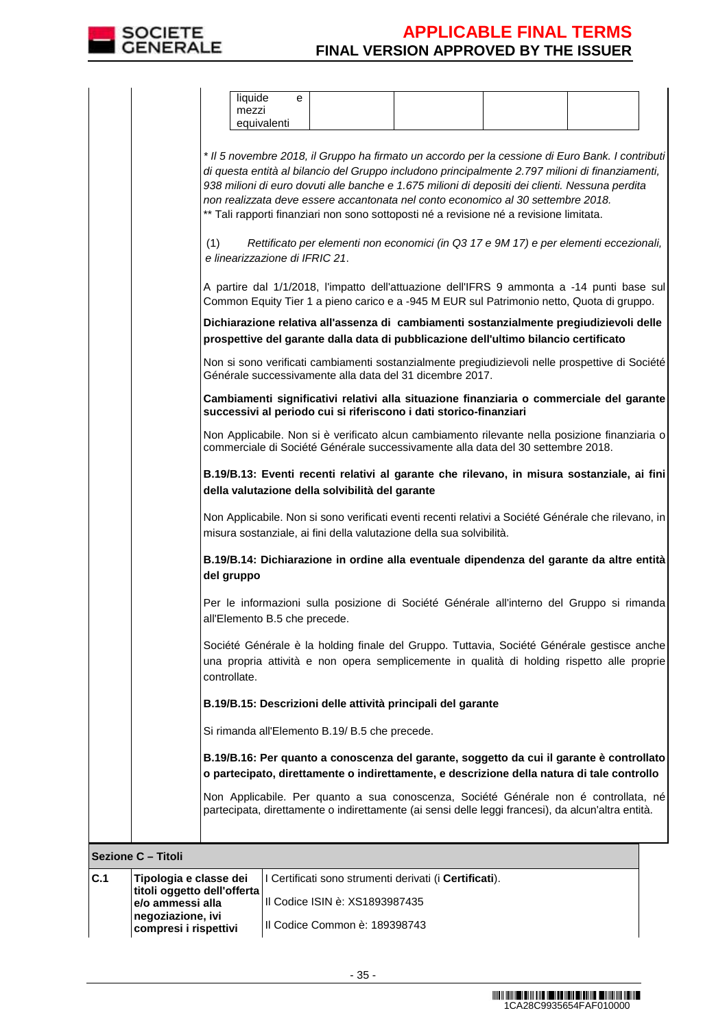

**negoziazione, ivi compresi i rispettivi** 

|                                                                                                                                                                                                                                                                                                                                                                                                                                                                                                                                                                                                                          |                                                                                                                                                                                         | liquide<br>e<br>mezzi<br>equivalenti                                                                                                                                                                     |  |  |  |  |  |
|--------------------------------------------------------------------------------------------------------------------------------------------------------------------------------------------------------------------------------------------------------------------------------------------------------------------------------------------------------------------------------------------------------------------------------------------------------------------------------------------------------------------------------------------------------------------------------------------------------------------------|-----------------------------------------------------------------------------------------------------------------------------------------------------------------------------------------|----------------------------------------------------------------------------------------------------------------------------------------------------------------------------------------------------------|--|--|--|--|--|
| * Il 5 novembre 2018, il Gruppo ha firmato un accordo per la cessione di Euro Bank. I contributi<br>di questa entità al bilancio del Gruppo includono principalmente 2.797 milioni di finanziamenti,<br>938 milioni di euro dovuti alle banche e 1.675 milioni di depositi dei clienti. Nessuna perdita<br>non realizzata deve essere accantonata nel conto economico al 30 settembre 2018.<br>** Tali rapporti finanziari non sono sottoposti né a revisione né a revisione limitata.<br>Rettificato per elementi non economici (in Q3 17 e 9M 17) e per elementi eccezionali,<br>(1)<br>e linearizzazione di IFRIC 21. |                                                                                                                                                                                         |                                                                                                                                                                                                          |  |  |  |  |  |
|                                                                                                                                                                                                                                                                                                                                                                                                                                                                                                                                                                                                                          | A partire dal 1/1/2018, l'impatto dell'attuazione dell'IFRS 9 ammonta a -14 punti base sul<br>Common Equity Tier 1 a pieno carico e a -945 M EUR sul Patrimonio netto, Quota di gruppo. |                                                                                                                                                                                                          |  |  |  |  |  |
|                                                                                                                                                                                                                                                                                                                                                                                                                                                                                                                                                                                                                          |                                                                                                                                                                                         | Dichiarazione relativa all'assenza di cambiamenti sostanzialmente pregiudizievoli delle<br>prospettive del garante dalla data di pubblicazione dell'ultimo bilancio certificato                          |  |  |  |  |  |
|                                                                                                                                                                                                                                                                                                                                                                                                                                                                                                                                                                                                                          |                                                                                                                                                                                         | Non si sono verificati cambiamenti sostanzialmente pregiudizievoli nelle prospettive di Société<br>Générale successivamente alla data del 31 dicembre 2017.                                              |  |  |  |  |  |
|                                                                                                                                                                                                                                                                                                                                                                                                                                                                                                                                                                                                                          |                                                                                                                                                                                         | Cambiamenti significativi relativi alla situazione finanziaria o commerciale del garante<br>successivi al periodo cui si riferiscono i dati storico-finanziari                                           |  |  |  |  |  |
| Non Applicabile. Non si è verificato alcun cambiamento rilevante nella posizione finanziaria o<br>commerciale di Société Générale successivamente alla data del 30 settembre 2018.                                                                                                                                                                                                                                                                                                                                                                                                                                       |                                                                                                                                                                                         |                                                                                                                                                                                                          |  |  |  |  |  |
|                                                                                                                                                                                                                                                                                                                                                                                                                                                                                                                                                                                                                          | B.19/B.13: Eventi recenti relativi al garante che rilevano, in misura sostanziale, ai fini<br>della valutazione della solvibilità del garante                                           |                                                                                                                                                                                                          |  |  |  |  |  |
|                                                                                                                                                                                                                                                                                                                                                                                                                                                                                                                                                                                                                          | Non Applicabile. Non si sono verificati eventi recenti relativi a Société Générale che rilevano, in<br>misura sostanziale, ai fini della valutazione della sua solvibilità.             |                                                                                                                                                                                                          |  |  |  |  |  |
|                                                                                                                                                                                                                                                                                                                                                                                                                                                                                                                                                                                                                          |                                                                                                                                                                                         | B.19/B.14: Dichiarazione in ordine alla eventuale dipendenza del garante da altre entità<br>del gruppo                                                                                                   |  |  |  |  |  |
|                                                                                                                                                                                                                                                                                                                                                                                                                                                                                                                                                                                                                          |                                                                                                                                                                                         | Per le informazioni sulla posizione di Société Générale all'interno del Gruppo si rimanda<br>all'Elemento B.5 che precede.                                                                               |  |  |  |  |  |
|                                                                                                                                                                                                                                                                                                                                                                                                                                                                                                                                                                                                                          |                                                                                                                                                                                         | Société Générale è la holding finale del Gruppo. Tuttavia, Société Générale gestisce anche<br>una propria attività e non opera semplicemente in qualità di holding rispetto alle proprie<br>controllate. |  |  |  |  |  |
|                                                                                                                                                                                                                                                                                                                                                                                                                                                                                                                                                                                                                          |                                                                                                                                                                                         | B.19/B.15: Descrizioni delle attività principali del garante                                                                                                                                             |  |  |  |  |  |
|                                                                                                                                                                                                                                                                                                                                                                                                                                                                                                                                                                                                                          |                                                                                                                                                                                         | Si rimanda all'Elemento B.19/ B.5 che precede.                                                                                                                                                           |  |  |  |  |  |
|                                                                                                                                                                                                                                                                                                                                                                                                                                                                                                                                                                                                                          |                                                                                                                                                                                         | B.19/B.16: Per quanto a conoscenza del garante, soggetto da cui il garante è controllato<br>o partecipato, direttamente o indirettamente, e descrizione della natura di tale controllo                   |  |  |  |  |  |
|                                                                                                                                                                                                                                                                                                                                                                                                                                                                                                                                                                                                                          |                                                                                                                                                                                         | Non Applicabile. Per quanto a sua conoscenza, Société Générale non é controllata, né<br>partecipata, direttamente o indirettamente (ai sensi delle leggi francesi), da alcun'altra entità.               |  |  |  |  |  |
|                                                                                                                                                                                                                                                                                                                                                                                                                                                                                                                                                                                                                          | Sezione C - Titoli                                                                                                                                                                      |                                                                                                                                                                                                          |  |  |  |  |  |
| C.1                                                                                                                                                                                                                                                                                                                                                                                                                                                                                                                                                                                                                      | Tipologia e classe dei                                                                                                                                                                  | I Certificati sono strumenti derivati (i Certificati).                                                                                                                                                   |  |  |  |  |  |
|                                                                                                                                                                                                                                                                                                                                                                                                                                                                                                                                                                                                                          | titoli oggetto dell'offerta<br>Il Codice ISIN è: XS1893987435<br>e/o ammessi alla                                                                                                       |                                                                                                                                                                                                          |  |  |  |  |  |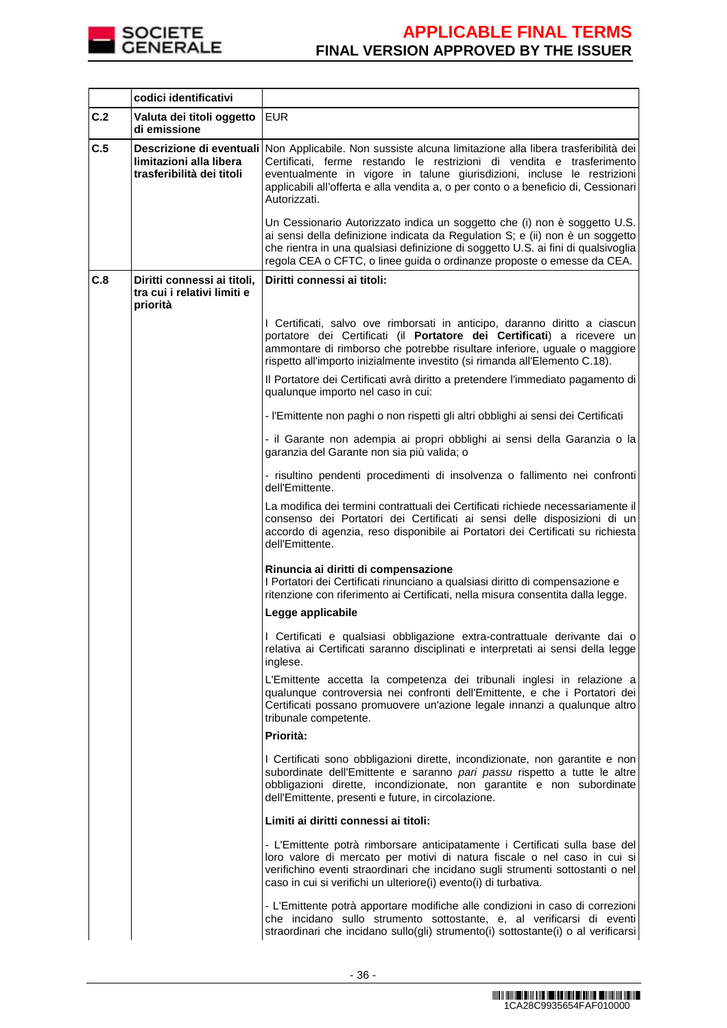

|     | codici identificativi                                                            |                                                                                                                                                                                                                                                                                                                                           |  |  |
|-----|----------------------------------------------------------------------------------|-------------------------------------------------------------------------------------------------------------------------------------------------------------------------------------------------------------------------------------------------------------------------------------------------------------------------------------------|--|--|
| C.2 | Valuta dei titoli oggetto<br>di emissione                                        | <b>EUR</b>                                                                                                                                                                                                                                                                                                                                |  |  |
| C.5 | Descrizione di eventuali<br>limitazioni alla libera<br>trasferibilità dei titoli | Non Applicabile. Non sussiste alcuna limitazione alla libera trasferibilità dei<br>Certificati, ferme restando le restrizioni di vendita e trasferimento<br>eventualmente in vigore in talune giurisdizioni, incluse le restrizioni<br>applicabili all'offerta e alla vendita a, o per conto o a beneficio di, Cessionari<br>Autorizzati. |  |  |
|     |                                                                                  | Un Cessionario Autorizzato indica un soggetto che (i) non è soggetto U.S.<br>ai sensi della definizione indicata da Regulation S; e (ii) non è un soggetto<br>che rientra in una qualsiasi definizione di soggetto U.S. ai fini di qualsivoglia<br>regola CEA o CFTC, o linee guida o ordinanze proposte o emesse da CEA.                 |  |  |
| C.8 | Diritti connessi ai titoli,<br>tra cui i relativi limiti e<br>priorità           | Diritti connessi ai titoli:                                                                                                                                                                                                                                                                                                               |  |  |
|     |                                                                                  | I Certificati, salvo ove rimborsati in anticipo, daranno diritto a ciascun<br>portatore dei Certificati (il Portatore dei Certificati) a ricevere un<br>ammontare di rimborso che potrebbe risultare inferiore, uguale o maggiore<br>rispetto all'importo inizialmente investito (si rimanda all'Elemento C.18).                          |  |  |
|     |                                                                                  | Il Portatore dei Certificati avrà diritto a pretendere l'immediato pagamento di<br>qualunque importo nel caso in cui:                                                                                                                                                                                                                     |  |  |
|     |                                                                                  | - l'Emittente non paghi o non rispetti gli altri obblighi ai sensi dei Certificati                                                                                                                                                                                                                                                        |  |  |
|     |                                                                                  | - il Garante non adempia ai propri obblighi ai sensi della Garanzia o la<br>garanzia del Garante non sia più valida; o                                                                                                                                                                                                                    |  |  |
|     |                                                                                  | - risultino pendenti procedimenti di insolvenza o fallimento nei confronti<br>dell'Emittente.                                                                                                                                                                                                                                             |  |  |
|     |                                                                                  | La modifica dei termini contrattuali dei Certificati richiede necessariamente il<br>consenso dei Portatori dei Certificati ai sensi delle disposizioni di un<br>accordo di agenzia, reso disponibile ai Portatori dei Certificati su richiesta<br>dell'Emittente.                                                                         |  |  |
|     |                                                                                  | Rinuncia ai diritti di compensazione<br>I Portatori dei Certificati rinunciano a qualsiasi diritto di compensazione e<br>ritenzione con riferimento ai Certificati, nella misura consentita dalla legge.                                                                                                                                  |  |  |
|     |                                                                                  | Legge applicabile                                                                                                                                                                                                                                                                                                                         |  |  |
|     |                                                                                  | I Certificati e qualsiasi obbligazione extra-contrattuale derivante dai o<br>relativa ai Certificati saranno disciplinati e interpretati ai sensi della legge<br>inglese.                                                                                                                                                                 |  |  |
|     |                                                                                  | L'Emittente accetta la competenza dei tribunali inglesi in relazione a<br>qualunque controversia nei confronti dell'Emittente, e che i Portatori dei<br>Certificati possano promuovere un'azione legale innanzi a qualunque altro<br>tribunale competente.                                                                                |  |  |
|     |                                                                                  | Priorità:                                                                                                                                                                                                                                                                                                                                 |  |  |
|     |                                                                                  | I Certificati sono obbligazioni dirette, incondizionate, non garantite e non<br>subordinate dell'Emittente e saranno pari passu rispetto a tutte le altre<br>obbligazioni dirette, incondizionate, non garantite e non subordinate<br>dell'Emittente, presenti e future, in circolazione.                                                 |  |  |
|     |                                                                                  | Limiti ai diritti connessi ai titoli:                                                                                                                                                                                                                                                                                                     |  |  |
|     |                                                                                  | - L'Emittente potrà rimborsare anticipatamente i Certificati sulla base del<br>loro valore di mercato per motivi di natura fiscale o nel caso in cui si<br>verifichino eventi straordinari che incidano sugli strumenti sottostanti o nel<br>caso in cui si verifichi un ulteriore(i) evento(i) di turbativa.                             |  |  |
|     |                                                                                  | - L'Emittente potrà apportare modifiche alle condizioni in caso di correzioni<br>che incidano sullo strumento sottostante, e, al verificarsi di eventi<br>straordinari che incidano sullo(gli) strumento(i) sottostante(i) o al verificarsi                                                                                               |  |  |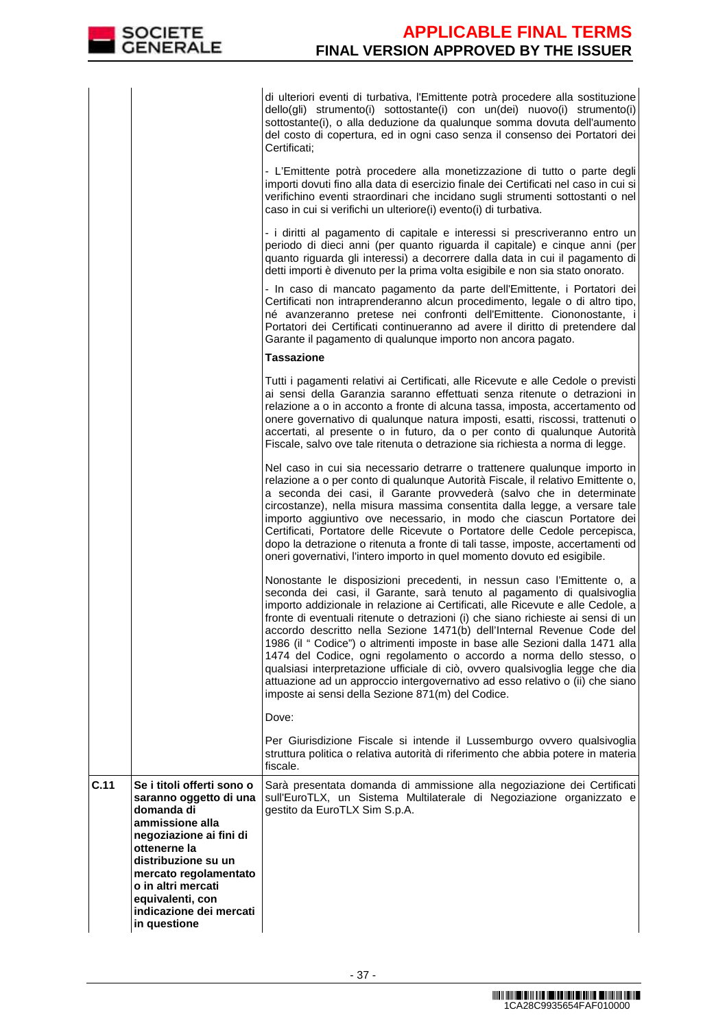di ulteriori eventi di turbativa, l'Emittente potrà procedere alla sostituzione dello(gli) strumento(i) sottostante(i) con un(dei) nuovo(i) strumento(i) sottostante(i), o alla deduzione da qualunque somma dovuta dell'aumento del costo di copertura, ed in ogni caso senza il consenso dei Portatori dei Certificati;

- L'Emittente potrà procedere alla monetizzazione di tutto o parte degli importi dovuti fino alla data di esercizio finale dei Certificati nel caso in cui si verifichino eventi straordinari che incidano sugli strumenti sottostanti o nel caso in cui si verifichi un ulteriore(i) evento(i) di turbativa.

- i diritti al pagamento di capitale e interessi si prescriveranno entro un periodo di dieci anni (per quanto riguarda il capitale) e cinque anni (per quanto riguarda gli interessi) a decorrere dalla data in cui il pagamento di detti importi è divenuto per la prima volta esigibile e non sia stato onorato.

 - In caso di mancato pagamento da parte dell'Emittente, i Portatori dei Certificati non intraprenderanno alcun procedimento, legale o di altro tipo, né avanzeranno pretese nei confronti dell'Emittente. Ciononostante, i Portatori dei Certificati continueranno ad avere il diritto di pretendere dal Garante il pagamento di qualunque importo non ancora pagato.

### **Tassazione**

Tutti i pagamenti relativi ai Certificati, alle Ricevute e alle Cedole o previsti ai sensi della Garanzia saranno effettuati senza ritenute o detrazioni in relazione a o in acconto a fronte di alcuna tassa, imposta, accertamento od onere governativo di qualunque natura imposti, esatti, riscossi, trattenuti o accertati, al presente o in futuro, da o per conto di qualunque Autorità Fiscale, salvo ove tale ritenuta o detrazione sia richiesta a norma di legge.

Nel caso in cui sia necessario detrarre o trattenere qualunque importo in relazione a o per conto di qualunque Autorità Fiscale, il relativo Emittente o, a seconda dei casi, il Garante provvederà (salvo che in determinate circostanze), nella misura massima consentita dalla legge, a versare tale importo aggiuntivo ove necessario, in modo che ciascun Portatore dei Certificati, Portatore delle Ricevute o Portatore delle Cedole percepisca, dopo la detrazione o ritenuta a fronte di tali tasse, imposte, accertamenti od oneri governativi, l'intero importo in quel momento dovuto ed esigibile.

Nonostante le disposizioni precedenti, in nessun caso l'Emittente o, a seconda dei casi, il Garante, sarà tenuto al pagamento di qualsivoglia importo addizionale in relazione ai Certificati, alle Ricevute e alle Cedole, a fronte di eventuali ritenute o detrazioni (i) che siano richieste ai sensi di un accordo descritto nella Sezione 1471(b) dell'Internal Revenue Code del 1986 (il " Codice") o altrimenti imposte in base alle Sezioni dalla 1471 alla 1474 del Codice, ogni regolamento o accordo a norma dello stesso, o qualsiasi interpretazione ufficiale di ciò, ovvero qualsivoglia legge che dia attuazione ad un approccio intergovernativo ad esso relativo o (ii) che siano imposte ai sensi della Sezione 871(m) del Codice.

#### Dove:

Per Giurisdizione Fiscale si intende il Lussemburgo ovvero qualsivoglia struttura politica o relativa autorità di riferimento che abbia potere in materia fiscale.

| C.11 | l Se i titoli offerti sono o<br>saranno oggetto di una<br>domanda di<br>ammissione alla<br>negoziazione ai fini di<br>ottenerne la<br>distribuzione su un<br>mercato regolamentato<br>o in altri mercati<br>equivalenti, con<br>indicazione dei mercati<br>in questione | Sarà presentata domanda di ammissione alla negoziazione dei Certificati<br>sull'EuroTLX, un Sistema Multilaterale di Negoziazione organizzato el<br>gestito da EuroTLX Sim S.p.A. |
|------|-------------------------------------------------------------------------------------------------------------------------------------------------------------------------------------------------------------------------------------------------------------------------|-----------------------------------------------------------------------------------------------------------------------------------------------------------------------------------|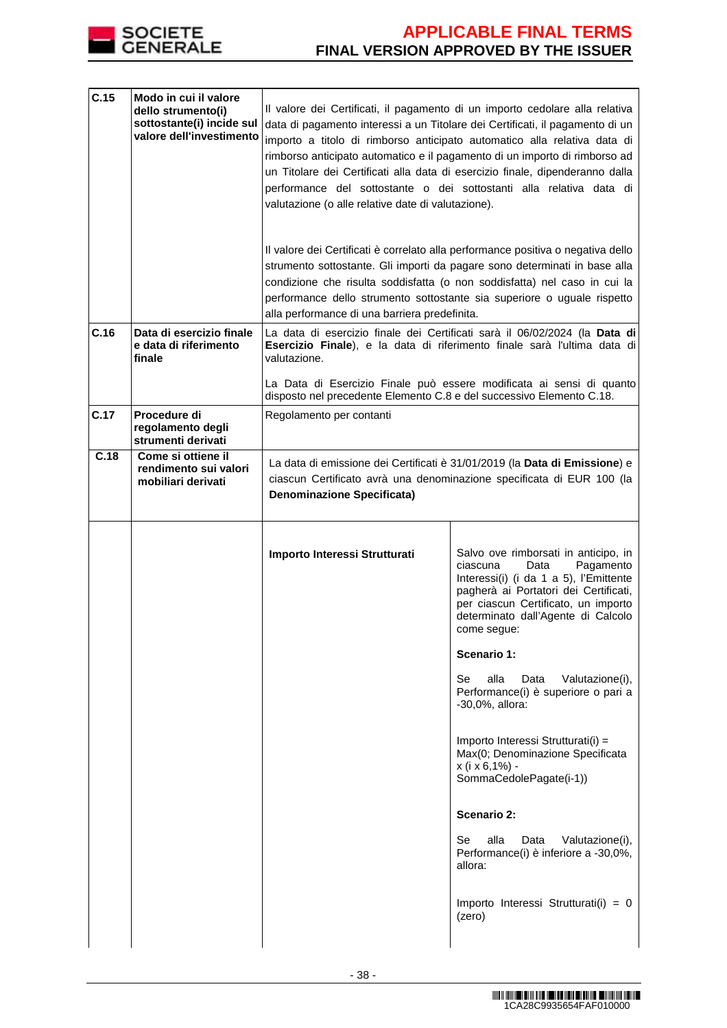

| C.15 | Modo in cui il valore<br>dello strumento(i)<br>sottostante(i) incide sul<br>valore dell'investimento | Il valore dei Certificati, il pagamento di un importo cedolare alla relativa<br>data di pagamento interessi a un Titolare dei Certificati, il pagamento di un<br>importo a titolo di rimborso anticipato automatico alla relativa data di<br>rimborso anticipato automatico e il pagamento di un importo di rimborso ad<br>un Titolare dei Certificati alla data di esercizio finale, dipenderanno dalla<br>performance del sottostante o dei sottostanti alla relativa data di<br>valutazione (o alle relative date di valutazione).<br>Il valore dei Certificati è correlato alla performance positiva o negativa dello<br>strumento sottostante. Gli importi da pagare sono determinati in base alla<br>condizione che risulta soddisfatta (o non soddisfatta) nel caso in cui la<br>performance dello strumento sottostante sia superiore o uguale rispetto |                                                                                                                                                                                                                                                                                                                                                                                                                                                                                                                                                                                                                                                                   |  |
|------|------------------------------------------------------------------------------------------------------|-----------------------------------------------------------------------------------------------------------------------------------------------------------------------------------------------------------------------------------------------------------------------------------------------------------------------------------------------------------------------------------------------------------------------------------------------------------------------------------------------------------------------------------------------------------------------------------------------------------------------------------------------------------------------------------------------------------------------------------------------------------------------------------------------------------------------------------------------------------------|-------------------------------------------------------------------------------------------------------------------------------------------------------------------------------------------------------------------------------------------------------------------------------------------------------------------------------------------------------------------------------------------------------------------------------------------------------------------------------------------------------------------------------------------------------------------------------------------------------------------------------------------------------------------|--|
|      |                                                                                                      | alla performance di una barriera predefinita.                                                                                                                                                                                                                                                                                                                                                                                                                                                                                                                                                                                                                                                                                                                                                                                                                   |                                                                                                                                                                                                                                                                                                                                                                                                                                                                                                                                                                                                                                                                   |  |
| C.16 | Data di esercizio finale<br>e data di riferimento<br>finale                                          | La data di esercizio finale dei Certificati sarà il 06/02/2024 (la Data di<br>Esercizio Finale), e la data di riferimento finale sarà l'ultima data di<br>valutazione.<br>La Data di Esercizio Finale può essere modificata ai sensi di quanto                                                                                                                                                                                                                                                                                                                                                                                                                                                                                                                                                                                                                  |                                                                                                                                                                                                                                                                                                                                                                                                                                                                                                                                                                                                                                                                   |  |
|      |                                                                                                      | disposto nel precedente Elemento C.8 e del successivo Elemento C.18.                                                                                                                                                                                                                                                                                                                                                                                                                                                                                                                                                                                                                                                                                                                                                                                            |                                                                                                                                                                                                                                                                                                                                                                                                                                                                                                                                                                                                                                                                   |  |
| C.17 | Procedure di<br>regolamento degli<br>strumenti derivati                                              | Regolamento per contanti                                                                                                                                                                                                                                                                                                                                                                                                                                                                                                                                                                                                                                                                                                                                                                                                                                        |                                                                                                                                                                                                                                                                                                                                                                                                                                                                                                                                                                                                                                                                   |  |
| C.18 | Come si ottiene il<br>rendimento sui valori<br>mobiliari derivati                                    | La data di emissione dei Certificati è 31/01/2019 (la Data di Emissione) e<br>ciascun Certificato avrà una denominazione specificata di EUR 100 (la<br><b>Denominazione Specificata)</b>                                                                                                                                                                                                                                                                                                                                                                                                                                                                                                                                                                                                                                                                        |                                                                                                                                                                                                                                                                                                                                                                                                                                                                                                                                                                                                                                                                   |  |
|      |                                                                                                      | Importo Interessi Strutturati                                                                                                                                                                                                                                                                                                                                                                                                                                                                                                                                                                                                                                                                                                                                                                                                                                   | Salvo ove rimborsati in anticipo, in<br>Pagamento<br>ciascuna<br>Data<br>Interessi(i) (i da 1 a 5), l'Emittente<br>pagherà ai Portatori dei Certificati,<br>per ciascun Certificato, un importo<br>determinato dall'Agente di Calcolo<br>come segue:<br>Scenario 1:<br>alla<br>Se<br>Data<br>Valutazione(i),<br>Performance(i) è superiore o pari a<br>-30,0%, allora:<br>Importo Interessi Strutturati(i) =<br>Max(0; Denominazione Specificata<br>x (i x 6,1%) -<br>SommaCedolePagate(i-1))<br><b>Scenario 2:</b><br>Se<br>alla<br>Data<br>Valutazione(i),<br>Performance(i) è inferiore a -30,0%,<br>allora:<br>Importo Interessi Strutturati(i) = 0<br>(zero) |  |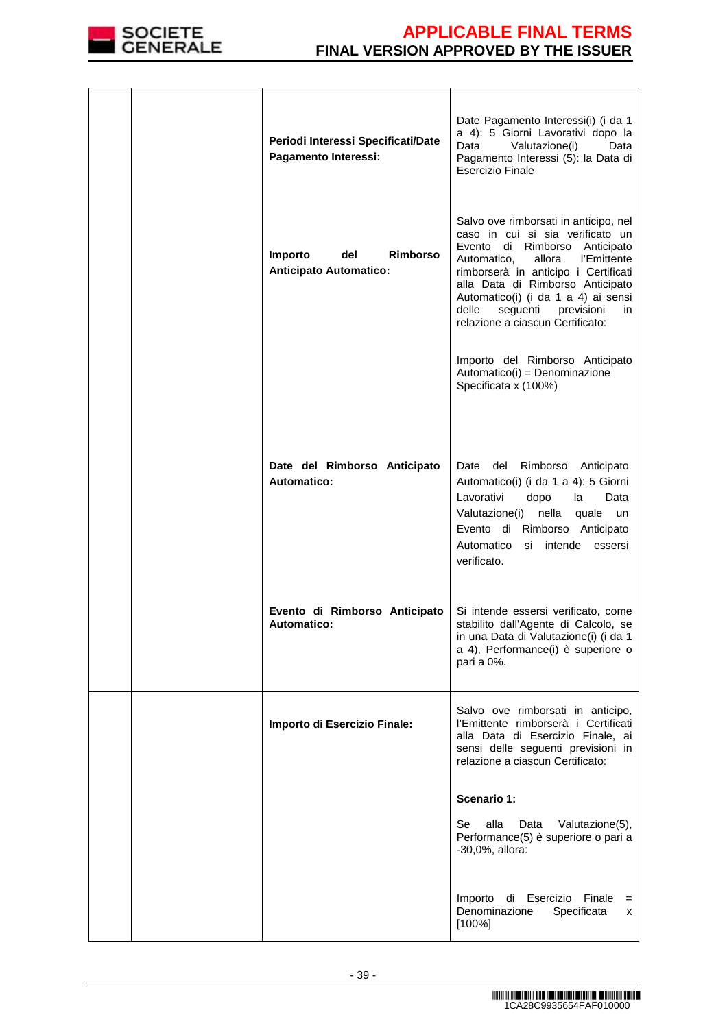

|  | Periodi Interessi Specificati/Date<br>Pagamento Interessi:         | Date Pagamento Interessi(i) (i da 1<br>a 4): 5 Giorni Lavorativi dopo la<br>Data<br>Valutazione(i)<br>Data<br>Pagamento Interessi (5): la Data di<br><b>Esercizio Finale</b>                                                                                                                                                                    |
|--|--------------------------------------------------------------------|-------------------------------------------------------------------------------------------------------------------------------------------------------------------------------------------------------------------------------------------------------------------------------------------------------------------------------------------------|
|  | del<br><b>Rimborso</b><br>Importo<br><b>Anticipato Automatico:</b> | Salvo ove rimborsati in anticipo, nel<br>caso in cui si sia verificato un<br>Evento di Rimborso Anticipato<br>allora<br>l'Emittente<br>Automatico.<br>rimborserà in anticipo i Certificati<br>alla Data di Rimborso Anticipato<br>Automatico(i) (i da 1 a 4) ai sensi<br>seguenti previsioni<br>delle<br>in<br>relazione a ciascun Certificato: |
|  |                                                                    | Importo del Rimborso Anticipato<br>Automatico(i) = Denominazione<br>Specificata x (100%)                                                                                                                                                                                                                                                        |
|  | Date del Rimborso Anticipato<br>Automatico:                        | del<br>Rimborso Anticipato<br>Date<br>Automatico(i) (i da 1 a 4): 5 Giorni<br>Lavorativi<br>dopo<br>Data<br>la<br>nella<br>Valutazione(i)<br>quale<br>un<br>Evento di Rimborso Anticipato<br>Automatico si intende essersi<br>verificato.                                                                                                       |
|  | Evento di Rimborso Anticipato<br><b>Automatico:</b>                | Si intende essersi verificato, come<br>stabilito dall'Agente di Calcolo, se<br>in una Data di Valutazione(i) (i da 1<br>a 4), Performance(i) è superiore o<br>pari a 0%.                                                                                                                                                                        |
|  | Importo di Esercizio Finale:                                       | Salvo ove rimborsati in anticipo,<br>l'Emittente rimborserà i Certificati<br>alla Data di Esercizio Finale, ai<br>sensi delle seguenti previsioni in<br>relazione a ciascun Certificato:                                                                                                                                                        |
|  |                                                                    | Scenario 1:                                                                                                                                                                                                                                                                                                                                     |
|  |                                                                    | Se<br>alla<br>Data<br>Valutazione(5),<br>Performance(5) è superiore o pari a<br>-30,0%, allora:                                                                                                                                                                                                                                                 |
|  |                                                                    | di<br>Esercizio Finale<br>Importo<br>$=$<br>Denominazione<br>Specificata<br>x<br>$[100\%]$                                                                                                                                                                                                                                                      |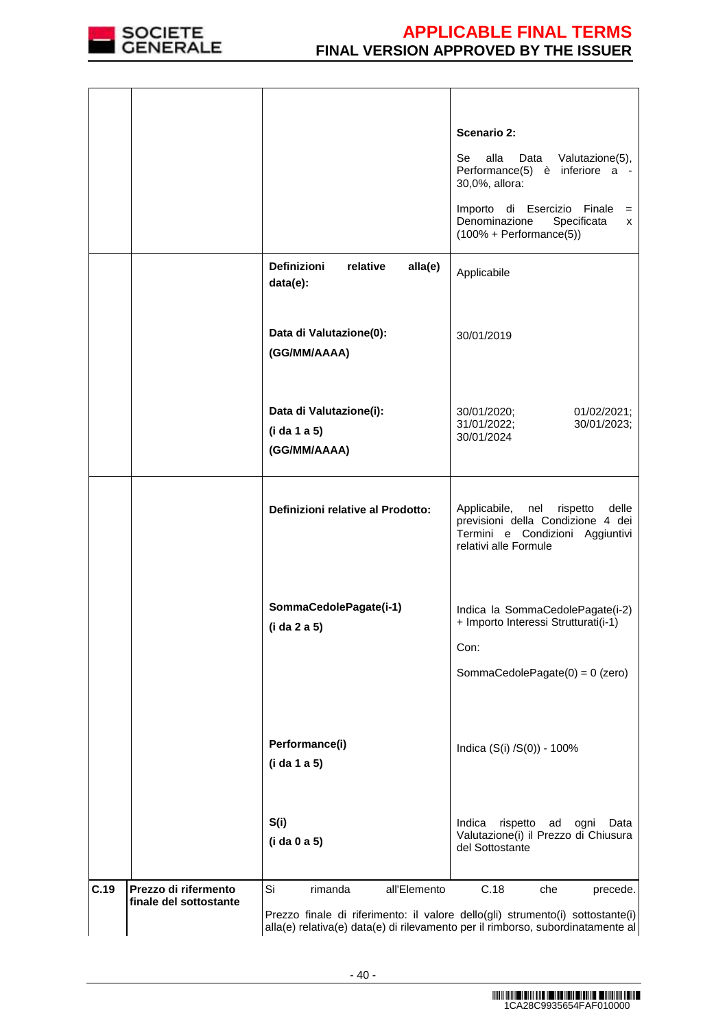

|      |                        |                                                         | <b>Scenario 2:</b>                                                                                                                                                |
|------|------------------------|---------------------------------------------------------|-------------------------------------------------------------------------------------------------------------------------------------------------------------------|
|      |                        |                                                         | alla<br>Se<br>Data<br>Valutazione(5),<br>Performance(5) è inferiore a -<br>30,0%, allora:                                                                         |
|      |                        |                                                         | Importo di Esercizio Finale<br>$=$<br>Denominazione<br>Specificata<br>x<br>$(100% + Performance(5))$                                                              |
|      |                        | <b>Definizioni</b><br>relative<br>alla(e)<br>data(e):   | Applicabile                                                                                                                                                       |
|      |                        | Data di Valutazione(0):<br>(GG/MM/AAAA)                 | 30/01/2019                                                                                                                                                        |
|      |                        | Data di Valutazione(i):<br>(i da 1 a 5)<br>(GG/MM/AAAA) | 30/01/2020;<br>01/02/2021;<br>31/01/2022;<br>30/01/2023;<br>30/01/2024                                                                                            |
|      |                        | Definizioni relative al Prodotto:                       | Applicabile,<br>nel<br>rispetto<br>delle<br>previsioni della Condizione 4 dei<br>Termini e Condizioni Aggiuntivi<br>relativi alle Formule                         |
|      |                        | SommaCedolePagate(i-1)<br>(i da 2 a 5)                  | Indica la SommaCedolePagate(i-2)<br>+ Importo Interessi Strutturati(i-1)<br>Con:<br>SommaCedolePagate $(0) = 0$ (zero)                                            |
|      |                        | Performance(i)<br>(i da 1 a 5)                          | Indica (S(i) /S(0)) - 100%                                                                                                                                        |
|      |                        | S(i)<br>(i da 0 a 5)                                    | Indica<br>rispetto<br>ad<br>ogni<br>Data<br>Valutazione(i) il Prezzo di Chiusura<br>del Sottostante                                                               |
| C.19 | Prezzo di rifermento   | Si<br>rimanda<br>all'Elemento                           | C.18<br>che<br>precede.                                                                                                                                           |
|      | finale del sottostante |                                                         | Prezzo finale di riferimento: il valore dello(gli) strumento(i) sottostante(i)<br>alla(e) relativa(e) data(e) di rilevamento per il rimborso, subordinatamente al |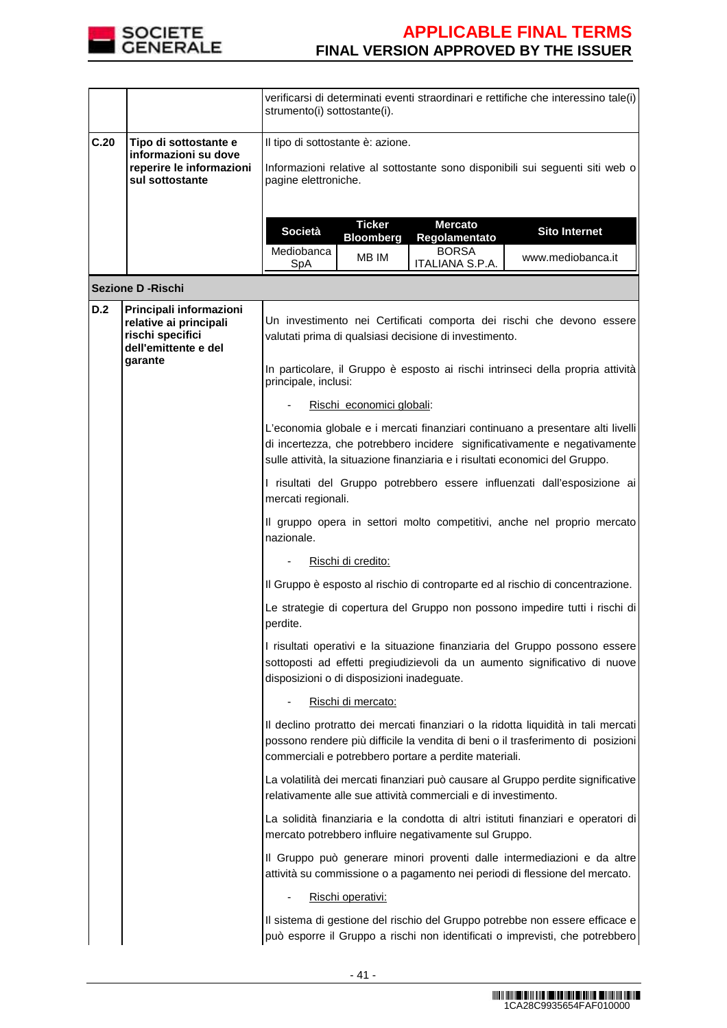

|      |                                                                                                          | verificarsi di determinati eventi straordinari e rettifiche che interessino tale(i)<br>strumento(i) sottostante(i).                                                                                                                          |  |
|------|----------------------------------------------------------------------------------------------------------|----------------------------------------------------------------------------------------------------------------------------------------------------------------------------------------------------------------------------------------------|--|
| C.20 | Tipo di sottostante e<br>informazioni su dove<br>reperire le informazioni<br>sul sottostante             | Il tipo di sottostante è: azione.<br>Informazioni relative al sottostante sono disponibili sui seguenti siti web o<br>pagine elettroniche.                                                                                                   |  |
|      |                                                                                                          | <b>Ticker</b><br><b>Mercato</b><br><b>Società</b><br><b>Sito Internet</b><br><b>Bloomberg</b><br>Regolamentato<br><b>BORSA</b><br>Mediobanca<br><b>MB IM</b><br>www.mediobanca.it<br>ITALIANA S.P.A.<br>SpA                                  |  |
|      | <b>Sezione D - Rischi</b>                                                                                |                                                                                                                                                                                                                                              |  |
| D.2  | Principali informazioni<br>relative ai principali<br>rischi specifici<br>dell'emittente e del<br>garante | Un investimento nei Certificati comporta dei rischi che devono essere<br>valutati prima di qualsiasi decisione di investimento.<br>In particolare, il Gruppo è esposto ai rischi intrinseci della propria attività                           |  |
|      |                                                                                                          | principale, inclusi:                                                                                                                                                                                                                         |  |
|      |                                                                                                          | Rischi economici globali:                                                                                                                                                                                                                    |  |
|      |                                                                                                          | L'economia globale e i mercati finanziari continuano a presentare alti livelli<br>di incertezza, che potrebbero incidere significativamente e negativamente<br>sulle attività, la situazione finanziaria e i risultati economici del Gruppo. |  |
|      |                                                                                                          | I risultati del Gruppo potrebbero essere influenzati dall'esposizione ai<br>mercati regionali.                                                                                                                                               |  |
|      |                                                                                                          | Il gruppo opera in settori molto competitivi, anche nel proprio mercato<br>nazionale.                                                                                                                                                        |  |
|      |                                                                                                          | Rischi di credito:                                                                                                                                                                                                                           |  |
|      |                                                                                                          | Il Gruppo è esposto al rischio di controparte ed al rischio di concentrazione.                                                                                                                                                               |  |
|      |                                                                                                          | Le strategie di copertura del Gruppo non possono impedire tutti i rischi di<br>perdite.                                                                                                                                                      |  |
|      |                                                                                                          | I risultati operativi e la situazione finanziaria del Gruppo possono essere<br>sottoposti ad effetti pregiudizievoli da un aumento significativo di nuove<br>disposizioni o di disposizioni inadeguate.                                      |  |
|      |                                                                                                          | Rischi di mercato:                                                                                                                                                                                                                           |  |
|      |                                                                                                          | Il declino protratto dei mercati finanziari o la ridotta liquidità in tali mercati<br>possono rendere più difficile la vendita di beni o il trasferimento di posizioni<br>commerciali e potrebbero portare a perdite materiali.              |  |
|      |                                                                                                          | La volatilità dei mercati finanziari può causare al Gruppo perdite significative<br>relativamente alle sue attività commerciali e di investimento.                                                                                           |  |
|      |                                                                                                          | La solidità finanziaria e la condotta di altri istituti finanziari e operatori di<br>mercato potrebbero influire negativamente sul Gruppo.                                                                                                   |  |
|      |                                                                                                          | Il Gruppo può generare minori proventi dalle intermediazioni e da altre<br>attività su commissione o a pagamento nei periodi di flessione del mercato.                                                                                       |  |
|      |                                                                                                          | Rischi operativi:                                                                                                                                                                                                                            |  |
|      |                                                                                                          | Il sistema di gestione del rischio del Gruppo potrebbe non essere efficace e<br>può esporre il Gruppo a rischi non identificati o imprevisti, che potrebbero                                                                                 |  |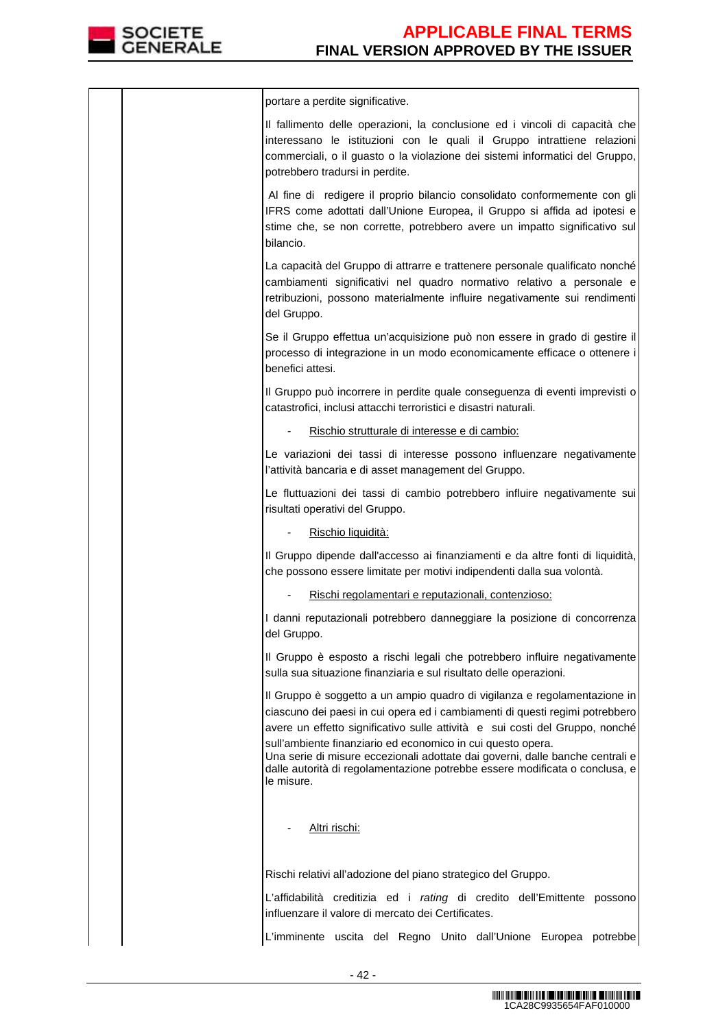

|  | portare a perdite significative.                                                                                                                                                                                                                                                                                                                                                                                                                                                       |
|--|----------------------------------------------------------------------------------------------------------------------------------------------------------------------------------------------------------------------------------------------------------------------------------------------------------------------------------------------------------------------------------------------------------------------------------------------------------------------------------------|
|  | Il fallimento delle operazioni, la conclusione ed i vincoli di capacità che<br>interessano le istituzioni con le quali il Gruppo intrattiene relazioni<br>commerciali, o il guasto o la violazione dei sistemi informatici del Gruppo,<br>potrebbero tradursi in perdite.                                                                                                                                                                                                              |
|  | Al fine di redigere il proprio bilancio consolidato conformemente con gli<br>IFRS come adottati dall'Unione Europea, il Gruppo si affida ad ipotesi e<br>stime che, se non corrette, potrebbero avere un impatto significativo sul<br>bilancio.                                                                                                                                                                                                                                        |
|  | La capacità del Gruppo di attrarre e trattenere personale qualificato nonché<br>cambiamenti significativi nel quadro normativo relativo a personale e<br>retribuzioni, possono materialmente influire negativamente sui rendimenti<br>del Gruppo.                                                                                                                                                                                                                                      |
|  | Se il Gruppo effettua un'acquisizione può non essere in grado di gestire il<br>processo di integrazione in un modo economicamente efficace o ottenere i<br>benefici attesi.                                                                                                                                                                                                                                                                                                            |
|  | Il Gruppo può incorrere in perdite quale conseguenza di eventi imprevisti o<br>catastrofici, inclusi attacchi terroristici e disastri naturali.                                                                                                                                                                                                                                                                                                                                        |
|  | Rischio strutturale di interesse e di cambio:                                                                                                                                                                                                                                                                                                                                                                                                                                          |
|  | Le variazioni dei tassi di interesse possono influenzare negativamente<br>l'attività bancaria e di asset management del Gruppo.                                                                                                                                                                                                                                                                                                                                                        |
|  | Le fluttuazioni dei tassi di cambio potrebbero influire negativamente sui<br>risultati operativi del Gruppo.                                                                                                                                                                                                                                                                                                                                                                           |
|  | Rischio liquidità:                                                                                                                                                                                                                                                                                                                                                                                                                                                                     |
|  | Il Gruppo dipende dall'accesso ai finanziamenti e da altre fonti di liquidità,<br>che possono essere limitate per motivi indipendenti dalla sua volontà.                                                                                                                                                                                                                                                                                                                               |
|  | Rischi regolamentari e reputazionali, contenzioso:                                                                                                                                                                                                                                                                                                                                                                                                                                     |
|  | I danni reputazionali potrebbero danneggiare la posizione di concorrenza<br>del Gruppo.                                                                                                                                                                                                                                                                                                                                                                                                |
|  | Il Gruppo è esposto a rischi legali che potrebbero influire negativamente<br>sulla sua situazione finanziaria e sul risultato delle operazioni.                                                                                                                                                                                                                                                                                                                                        |
|  | Il Gruppo è soggetto a un ampio quadro di vigilanza e regolamentazione in<br>ciascuno dei paesi in cui opera ed i cambiamenti di questi regimi potrebbero<br>avere un effetto significativo sulle attività e sui costi del Gruppo, nonché<br>sull'ambiente finanziario ed economico in cui questo opera.<br>Una serie di misure eccezionali adottate dai governi, dalle banche centrali e<br>dalle autorità di regolamentazione potrebbe essere modificata o conclusa, e<br>le misure. |
|  | Altri rischi:                                                                                                                                                                                                                                                                                                                                                                                                                                                                          |
|  | Rischi relativi all'adozione del piano strategico del Gruppo.                                                                                                                                                                                                                                                                                                                                                                                                                          |
|  | L'affidabilità creditizia ed i rating di credito dell'Emittente possono<br>influenzare il valore di mercato dei Certificates.                                                                                                                                                                                                                                                                                                                                                          |
|  | L'imminente uscita del Regno Unito dall'Unione Europea potrebbe                                                                                                                                                                                                                                                                                                                                                                                                                        |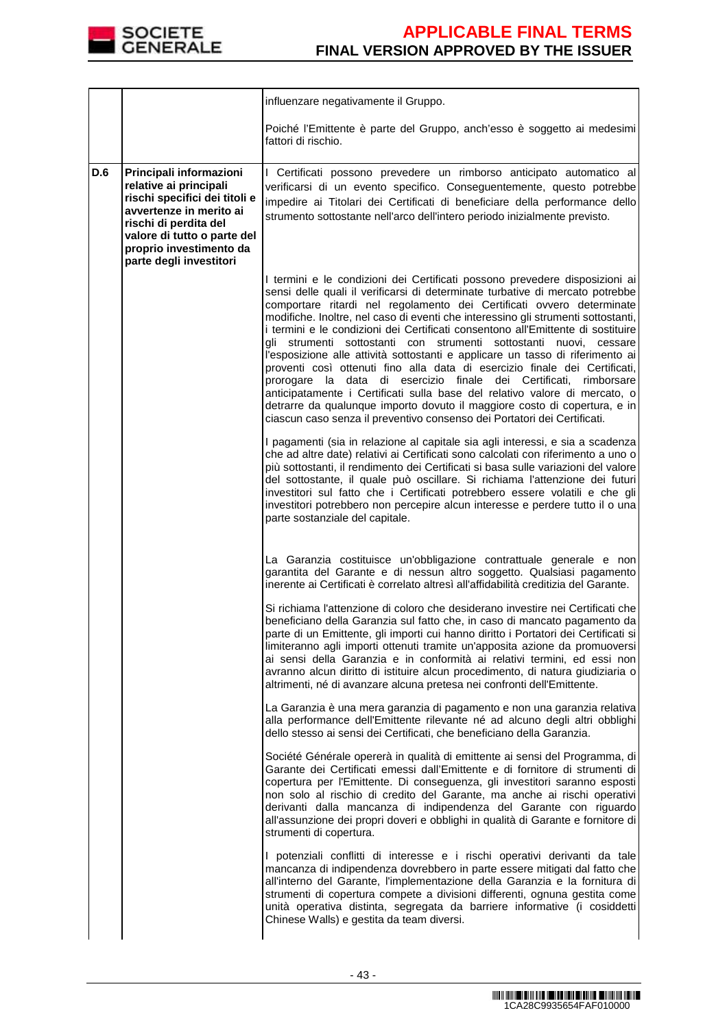

|     |                                                                                                                                                                                                                             | influenzare negativamente il Gruppo.                                                                                                                                                                                                                                                                                                                                                                                                                                                                                                                                                                                                                                                                                                                                                                                                                                                                                                                                |
|-----|-----------------------------------------------------------------------------------------------------------------------------------------------------------------------------------------------------------------------------|---------------------------------------------------------------------------------------------------------------------------------------------------------------------------------------------------------------------------------------------------------------------------------------------------------------------------------------------------------------------------------------------------------------------------------------------------------------------------------------------------------------------------------------------------------------------------------------------------------------------------------------------------------------------------------------------------------------------------------------------------------------------------------------------------------------------------------------------------------------------------------------------------------------------------------------------------------------------|
|     |                                                                                                                                                                                                                             | Poiché l'Emittente è parte del Gruppo, anch'esso è soggetto ai medesimi<br>fattori di rischio.                                                                                                                                                                                                                                                                                                                                                                                                                                                                                                                                                                                                                                                                                                                                                                                                                                                                      |
| D.6 | Principali informazioni<br>relative ai principali<br>rischi specifici dei titoli e<br>avvertenze in merito ai<br>rischi di perdita del<br>valore di tutto o parte del<br>proprio investimento da<br>parte degli investitori | I Certificati possono prevedere un rimborso anticipato automatico al<br>verificarsi di un evento specifico. Conseguentemente, questo potrebbe<br>impedire ai Titolari dei Certificati di beneficiare della performance dello<br>strumento sottostante nell'arco dell'intero periodo inizialmente previsto.                                                                                                                                                                                                                                                                                                                                                                                                                                                                                                                                                                                                                                                          |
|     |                                                                                                                                                                                                                             | I termini e le condizioni dei Certificati possono prevedere disposizioni ai<br>sensi delle quali il verificarsi di determinate turbative di mercato potrebbe<br>comportare ritardi nel regolamento dei Certificati ovvero determinate<br>modifiche. Inoltre, nel caso di eventi che interessino gli strumenti sottostanti,<br>i termini e le condizioni dei Certificati consentono all'Emittente di sostituire<br>gli strumenti sottostanti con strumenti sottostanti nuovi, cessare<br>l'esposizione alle attività sottostanti e applicare un tasso di riferimento ai<br>proventi così ottenuti fino alla data di esercizio finale dei Certificati,<br>prorogare la data di esercizio finale dei Certificati,<br>rimborsare<br>anticipatamente i Certificati sulla base del relativo valore di mercato, o<br>detrarre da qualunque importo dovuto il maggiore costo di copertura, e in<br>ciascun caso senza il preventivo consenso dei Portatori dei Certificati. |
|     |                                                                                                                                                                                                                             | I pagamenti (sia in relazione al capitale sia agli interessi, e sia a scadenza<br>che ad altre date) relativi ai Certificati sono calcolati con riferimento a uno o<br>più sottostanti, il rendimento dei Certificati si basa sulle variazioni del valore<br>del sottostante, il quale può oscillare. Si richiama l'attenzione dei futuri<br>investitori sul fatto che i Certificati potrebbero essere volatili e che gli<br>investitori potrebbero non percepire alcun interesse e perdere tutto il o una<br>parte sostanziale del capitale.                                                                                                                                                                                                                                                                                                                                                                                                                       |
|     |                                                                                                                                                                                                                             | La Garanzia costituisce un'obbligazione contrattuale generale e non<br>garantita del Garante e di nessun altro soggetto. Qualsiasi pagamento<br>inerente ai Certificati è correlato altresì all'affidabilità creditizia del Garante.                                                                                                                                                                                                                                                                                                                                                                                                                                                                                                                                                                                                                                                                                                                                |
|     |                                                                                                                                                                                                                             | Si richiama l'attenzione di coloro che desiderano investire nei Certificati che<br>beneficiano della Garanzia sul fatto che, in caso di mancato pagamento da<br>parte di un Emittente, gli importi cui hanno diritto i Portatori dei Certificati si<br>limiteranno agli importi ottenuti tramite un'apposita azione da promuoversi<br>ai sensi della Garanzia e in conformità ai relativi termini, ed essi non<br>avranno alcun diritto di istituire alcun procedimento, di natura giudiziaria o<br>altrimenti, né di avanzare alcuna pretesa nei confronti dell'Emittente.                                                                                                                                                                                                                                                                                                                                                                                         |
|     |                                                                                                                                                                                                                             | La Garanzia è una mera garanzia di pagamento e non una garanzia relativa<br>alla performance dell'Emittente rilevante né ad alcuno degli altri obblighi<br>dello stesso ai sensi dei Certificati, che beneficiano della Garanzia.                                                                                                                                                                                                                                                                                                                                                                                                                                                                                                                                                                                                                                                                                                                                   |
|     |                                                                                                                                                                                                                             | Société Générale opererà in qualità di emittente ai sensi del Programma, di<br>Garante dei Certificati emessi dall'Emittente e di fornitore di strumenti di<br>copertura per l'Emittente. Di conseguenza, gli investitori saranno esposti<br>non solo al rischio di credito del Garante, ma anche ai rischi operativi<br>derivanti dalla mancanza di indipendenza del Garante con riguardo<br>all'assunzione dei propri doveri e obblighi in qualità di Garante e fornitore di<br>strumenti di copertura.                                                                                                                                                                                                                                                                                                                                                                                                                                                           |
|     |                                                                                                                                                                                                                             | I potenziali conflitti di interesse e i rischi operativi derivanti da tale<br>mancanza di indipendenza dovrebbero in parte essere mitigati dal fatto che<br>all'interno del Garante, l'implementazione della Garanzia e la fornitura di<br>strumenti di copertura compete a divisioni differenti, ognuna gestita come<br>unità operativa distinta, segregata da barriere informative (i cosiddetti<br>Chinese Walls) e gestita da team diversi.                                                                                                                                                                                                                                                                                                                                                                                                                                                                                                                     |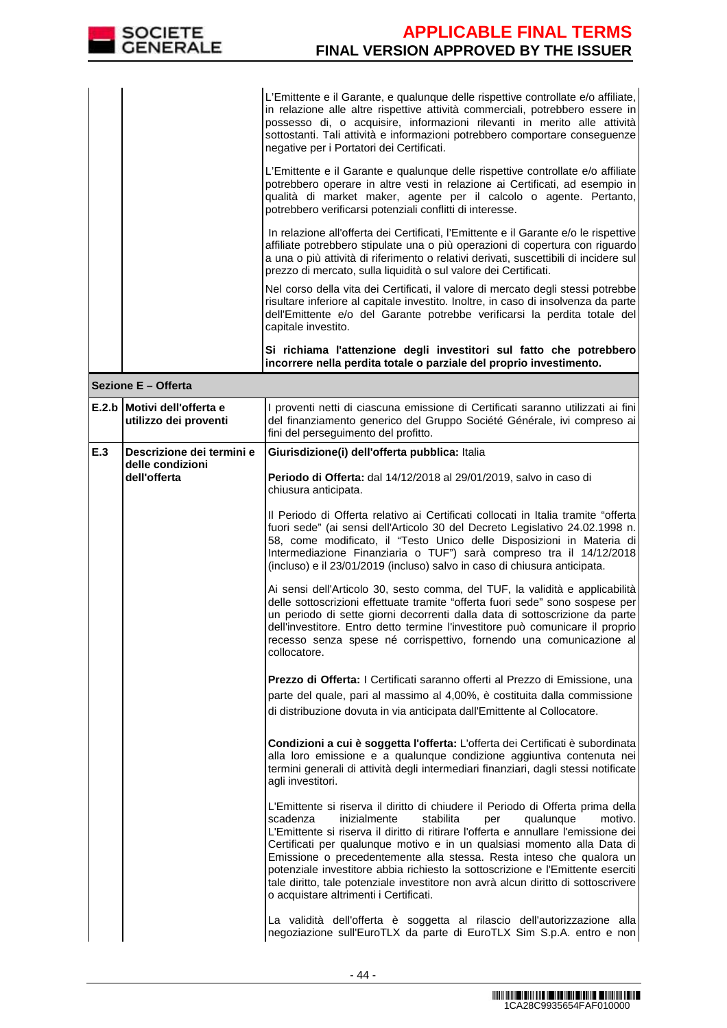|     | <b>SOCIETE</b><br><b>GENERALE</b>                             | <b>APPLICABLE FINAL TERMS</b><br><b>FINAL VERSION APPROVED BY THE ISSUER</b>                                                                                                                                                                                                                                                                                                                                                                                                                                                                                                                                        |
|-----|---------------------------------------------------------------|---------------------------------------------------------------------------------------------------------------------------------------------------------------------------------------------------------------------------------------------------------------------------------------------------------------------------------------------------------------------------------------------------------------------------------------------------------------------------------------------------------------------------------------------------------------------------------------------------------------------|
|     |                                                               | L'Emittente e il Garante, e qualunque delle rispettive controllate e/o affiliate,<br>in relazione alle altre rispettive attività commerciali, potrebbero essere in<br>possesso di, o acquisire, informazioni rilevanti in merito alle attività<br>sottostanti. Tali attività e informazioni potrebbero comportare conseguenze<br>negative per i Portatori dei Certificati.                                                                                                                                                                                                                                          |
|     |                                                               | L'Emittente e il Garante e qualunque delle rispettive controllate e/o affiliate<br>potrebbero operare in altre vesti in relazione ai Certificati, ad esempio in<br>qualità di market maker, agente per il calcolo o agente. Pertanto,<br>potrebbero verificarsi potenziali conflitti di interesse.                                                                                                                                                                                                                                                                                                                  |
|     |                                                               | In relazione all'offerta dei Certificati, l'Emittente e il Garante e/o le rispettive<br>affiliate potrebbero stipulate una o più operazioni di copertura con riguardo<br>a una o più attività di riferimento o relativi derivati, suscettibili di incidere sul<br>prezzo di mercato, sulla liquidità o sul valore dei Certificati.                                                                                                                                                                                                                                                                                  |
|     |                                                               | Nel corso della vita dei Certificati, il valore di mercato degli stessi potrebbe<br>risultare inferiore al capitale investito. Inoltre, in caso di insolvenza da parte<br>dell'Emittente e/o del Garante potrebbe verificarsi la perdita totale del<br>capitale investito.                                                                                                                                                                                                                                                                                                                                          |
|     |                                                               | Si richiama l'attenzione degli investitori sul fatto che potrebbero<br>incorrere nella perdita totale o parziale del proprio investimento.                                                                                                                                                                                                                                                                                                                                                                                                                                                                          |
|     | Sezione E - Offerta                                           |                                                                                                                                                                                                                                                                                                                                                                                                                                                                                                                                                                                                                     |
|     | E.2.b Motivi dell'offerta e<br>utilizzo dei proventi          | I proventi netti di ciascuna emissione di Certificati saranno utilizzati ai fini<br>del finanziamento generico del Gruppo Société Générale, ivi compreso ai<br>fini del perseguimento del profitto.                                                                                                                                                                                                                                                                                                                                                                                                                 |
| E.3 | Descrizione dei termini e<br>delle condizioni<br>dell'offerta | Giurisdizione(i) dell'offerta pubblica: Italia                                                                                                                                                                                                                                                                                                                                                                                                                                                                                                                                                                      |
|     |                                                               | Periodo di Offerta: dal 14/12/2018 al 29/01/2019, salvo in caso di<br>chiusura anticipata.                                                                                                                                                                                                                                                                                                                                                                                                                                                                                                                          |
|     |                                                               | Il Periodo di Offerta relativo ai Certificati collocati in Italia tramite "offerta<br>fuori sede" (ai sensi dell'Articolo 30 del Decreto Legislativo 24.02.1998 n.<br>58, come modificato, il "Testo Unico delle Disposizioni in Materia di<br>Intermediazione Finanziaria o TUF") sarà compreso tra il 14/12/2018<br>(incluso) e il 23/01/2019 (incluso) salvo in caso di chiusura anticipata.                                                                                                                                                                                                                     |
|     |                                                               | Ai sensi dell'Articolo 30, sesto comma, del TUF, la validità e applicabilità<br>delle sottoscrizioni effettuate tramite "offerta fuori sede" sono sospese per<br>un periodo di sette giorni decorrenti dalla data di sottoscrizione da parte<br>dell'investitore. Entro detto termine l'investitore può comunicare il proprio<br>recesso senza spese né corrispettivo, fornendo una comunicazione al<br>collocatore.                                                                                                                                                                                                |
|     |                                                               | Prezzo di Offerta: I Certificati saranno offerti al Prezzo di Emissione, una<br>parte del quale, pari al massimo al 4,00%, è costituita dalla commissione<br>di distribuzione dovuta in via anticipata dall'Emittente al Collocatore.                                                                                                                                                                                                                                                                                                                                                                               |
|     |                                                               | Condizioni a cui è soggetta l'offerta: L'offerta dei Certificati è subordinata<br>alla loro emissione e a qualunque condizione aggiuntiva contenuta nei<br>termini generali di attività degli intermediari finanziari, dagli stessi notificate<br>agli investitori.                                                                                                                                                                                                                                                                                                                                                 |
|     |                                                               | L'Emittente si riserva il diritto di chiudere il Periodo di Offerta prima della<br>stabilita<br>scadenza<br>inizialmente<br>qualunque<br>motivo.<br>per<br>L'Emittente si riserva il diritto di ritirare l'offerta e annullare l'emissione dei<br>Certificati per qualunque motivo e in un qualsiasi momento alla Data di<br>Emissione o precedentemente alla stessa. Resta inteso che qualora un<br>potenziale investitore abbia richiesto la sottoscrizione e l'Emittente eserciti<br>tale diritto, tale potenziale investitore non avrà alcun diritto di sottoscrivere<br>o acquistare altrimenti i Certificati. |
|     |                                                               | La validità dell'offerta è soggetta al rilascio dell'autorizzazione alla<br>negoziazione sull'EuroTLX da parte di EuroTLX Sim S.p.A. entro e non                                                                                                                                                                                                                                                                                                                                                                                                                                                                    |